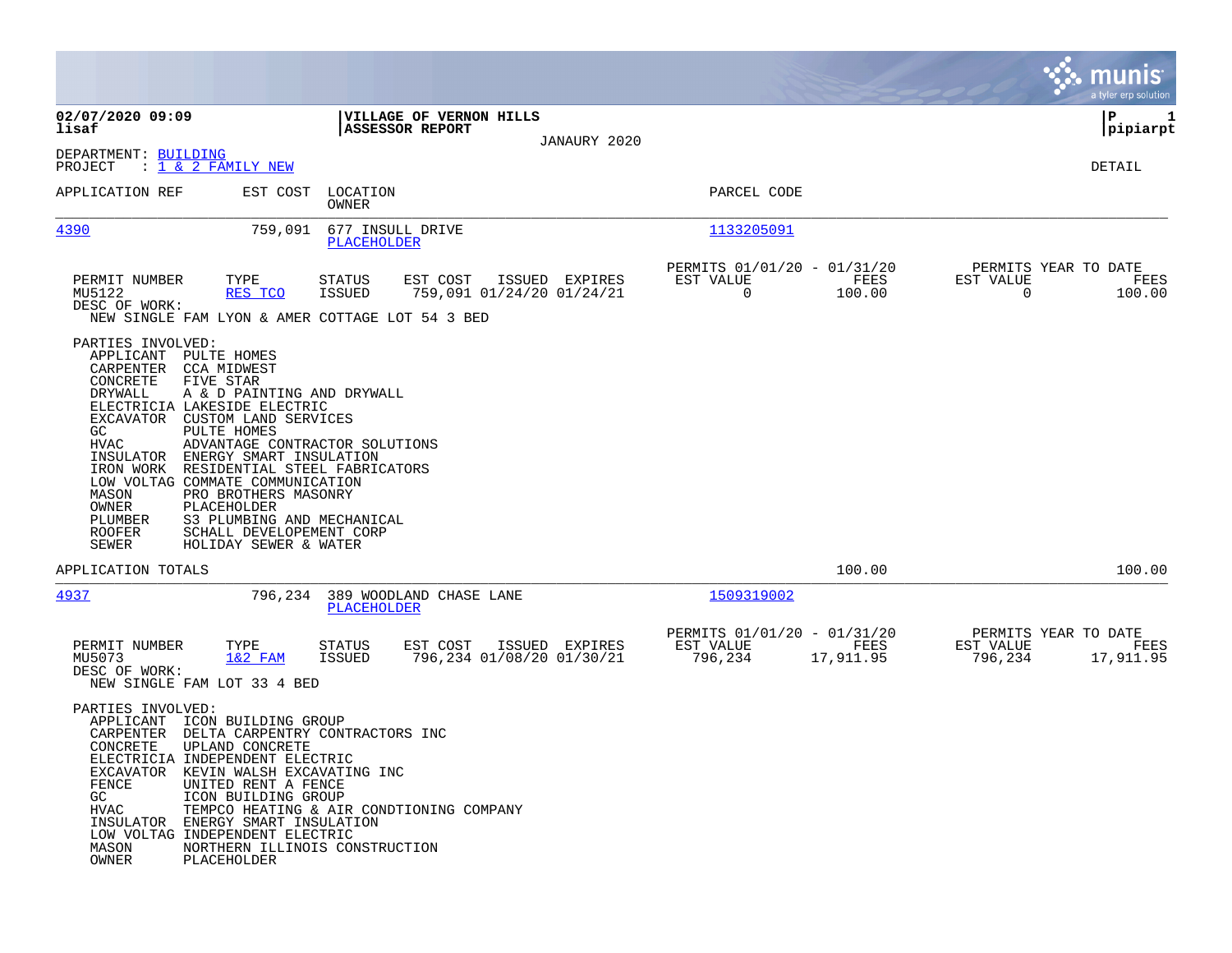|                                                                                                                                                                                                                                                                                                         |                                                                                                                                                                                                                                                                                                                                             |                                |                                                   |                |                                                         |                   |                                               | munis<br>a tyler erp solution |
|---------------------------------------------------------------------------------------------------------------------------------------------------------------------------------------------------------------------------------------------------------------------------------------------------------|---------------------------------------------------------------------------------------------------------------------------------------------------------------------------------------------------------------------------------------------------------------------------------------------------------------------------------------------|--------------------------------|---------------------------------------------------|----------------|---------------------------------------------------------|-------------------|-----------------------------------------------|-------------------------------|
| 02/07/2020 09:09<br>lisaf                                                                                                                                                                                                                                                                               |                                                                                                                                                                                                                                                                                                                                             |                                | VILLAGE OF VERNON HILLS<br><b>ASSESSOR REPORT</b> |                |                                                         |                   |                                               | l P<br>1<br> pipiarpt         |
| DEPARTMENT: BUILDING<br>PROJECT                                                                                                                                                                                                                                                                         | : 1 & 2 FAMILY NEW                                                                                                                                                                                                                                                                                                                          |                                |                                                   | JANAURY 2020   |                                                         |                   |                                               | DETAIL                        |
| APPLICATION REF                                                                                                                                                                                                                                                                                         | EST COST                                                                                                                                                                                                                                                                                                                                    | LOCATION<br>OWNER              |                                                   |                | PARCEL CODE                                             |                   |                                               |                               |
| 4390                                                                                                                                                                                                                                                                                                    | 759,091                                                                                                                                                                                                                                                                                                                                     | PLACEHOLDER                    | 677 INSULL DRIVE                                  |                | 1133205091                                              |                   |                                               |                               |
| PERMIT NUMBER<br>MU5122<br>DESC OF WORK:<br>NEW SINGLE FAM LYON & AMER COTTAGE LOT 54 3 BED                                                                                                                                                                                                             | TYPE<br>RES TCO                                                                                                                                                                                                                                                                                                                             | <b>STATUS</b><br><b>ISSUED</b> | EST COST<br>759,091 01/24/20 01/24/21             | ISSUED EXPIRES | PERMITS 01/01/20 - 01/31/20<br>EST VALUE<br>$\mathbf 0$ | FEES<br>100.00    | PERMITS YEAR TO DATE<br>EST VALUE<br>$\Omega$ | FEES<br>100.00                |
| PARTIES INVOLVED:<br>APPLICANT<br>CARPENTER<br>CONCRETE<br>DRYWALL<br>ELECTRICIA LAKESIDE ELECTRIC<br>EXCAVATOR<br>GC<br>HVAC<br>INSULATOR<br>IRON WORK<br>LOW VOLTAG COMMATE COMMUNICATION<br>MASON<br>OWNER<br>PLUMBER<br><b>ROOFER</b><br>SEWER                                                      | PULTE HOMES<br><b>CCA MIDWEST</b><br>FIVE STAR<br>A & D PAINTING AND DRYWALL<br>CUSTOM LAND SERVICES<br>PULTE HOMES<br>ADVANTAGE CONTRACTOR SOLUTIONS<br>ENERGY SMART INSULATION<br>RESIDENTIAL STEEL FABRICATORS<br>PRO BROTHERS MASONRY<br>PLACEHOLDER<br>S3 PLUMBING AND MECHANICAL<br>SCHALL DEVELOPEMENT CORP<br>HOLIDAY SEWER & WATER |                                |                                                   |                |                                                         |                   |                                               |                               |
| APPLICATION TOTALS                                                                                                                                                                                                                                                                                      |                                                                                                                                                                                                                                                                                                                                             |                                |                                                   |                |                                                         | 100.00            |                                               | 100.00                        |
| 4937                                                                                                                                                                                                                                                                                                    | 796,234                                                                                                                                                                                                                                                                                                                                     | PLACEHOLDER                    | 389 WOODLAND CHASE LANE                           |                | 1509319002                                              |                   |                                               |                               |
| PERMIT NUMBER<br>MU5073<br>DESC OF WORK:<br>NEW SINGLE FAM LOT 33 4 BED                                                                                                                                                                                                                                 | TYPE<br>$1&2$ FAM                                                                                                                                                                                                                                                                                                                           | <b>STATUS</b><br>ISSUED        | EST COST<br>796,234 01/08/20 01/30/21             | ISSUED EXPIRES | PERMITS 01/01/20 - 01/31/20<br>EST VALUE<br>796,234     | FEES<br>17,911.95 | PERMITS YEAR TO DATE<br>EST VALUE<br>796,234  | FEES<br>17,911.95             |
| PARTIES INVOLVED:<br>APPLICANT ICON BUILDING GROUP<br>CARPENTER DELTA CARPENTRY CONTRACTORS INC<br>CONCRETE<br>ELECTRICIA INDEPENDENT ELECTRIC<br>EXCAVATOR KEVIN WALSH EXCAVATING INC<br>FENCE<br>GC<br>HVAC<br>INSULATOR ENERGY SMART INSULATION<br>LOW VOLTAG INDEPENDENT ELECTRIC<br>MASON<br>OWNER | UPLAND CONCRETE<br>UNITED RENT A FENCE<br>ICON BUILDING GROUP<br>NORTHERN ILLINOIS CONSTRUCTION<br>PLACEHOLDER                                                                                                                                                                                                                              |                                | TEMPCO HEATING & AIR CONDTIONING COMPANY          |                |                                                         |                   |                                               |                               |

 $\mathcal{L}^{\text{max}}$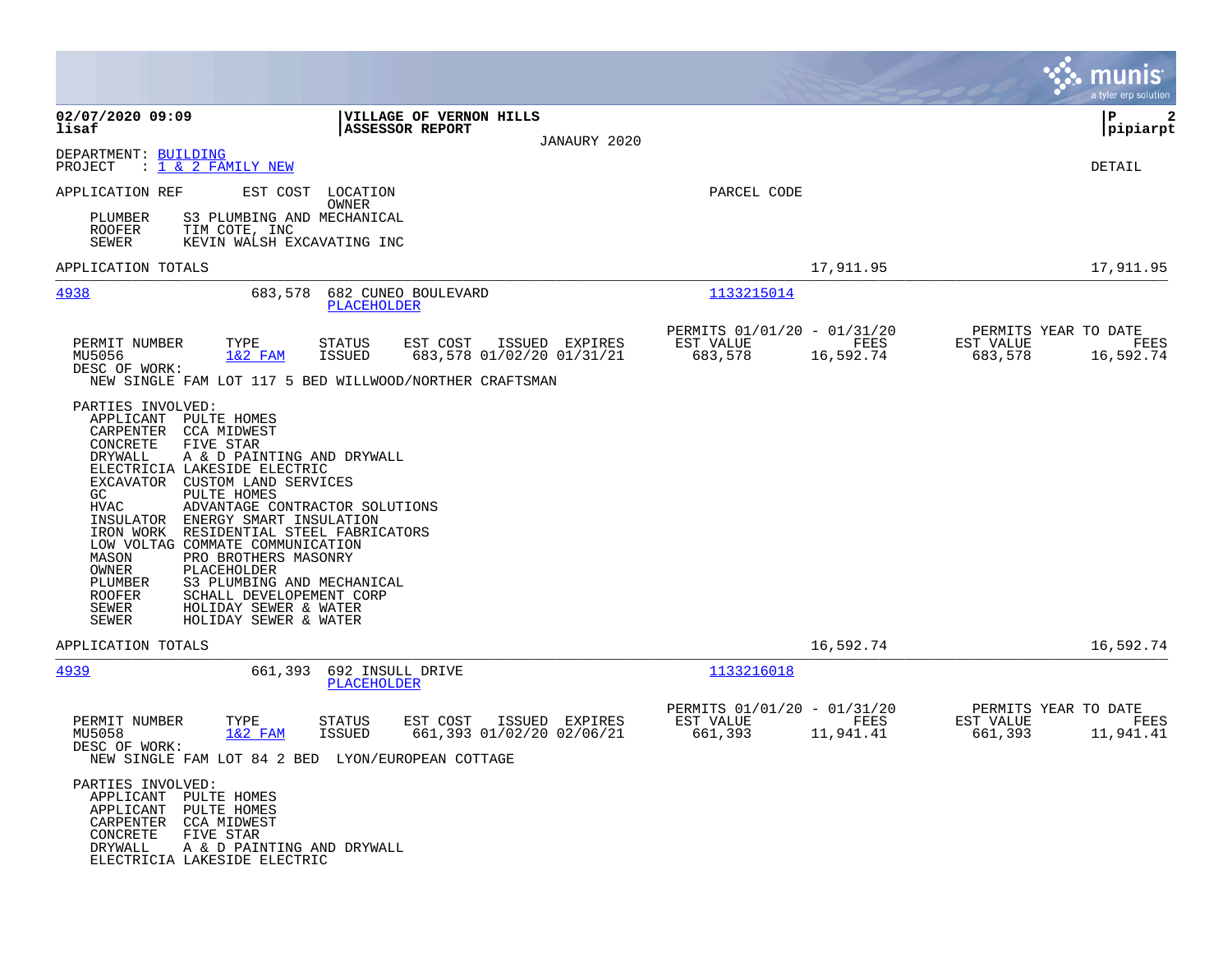|                                                                                                                                                                                                                                                                                                                                                                                                                                                                                                                                                                                                                            |                                                   |                                             |                                                     |                   | munis<br>a tyler erp solution                                     |
|----------------------------------------------------------------------------------------------------------------------------------------------------------------------------------------------------------------------------------------------------------------------------------------------------------------------------------------------------------------------------------------------------------------------------------------------------------------------------------------------------------------------------------------------------------------------------------------------------------------------------|---------------------------------------------------|---------------------------------------------|-----------------------------------------------------|-------------------|-------------------------------------------------------------------|
| 02/07/2020 09:09<br>lisaf                                                                                                                                                                                                                                                                                                                                                                                                                                                                                                                                                                                                  | VILLAGE OF VERNON HILLS<br><b>ASSESSOR REPORT</b> | JANAURY 2020                                |                                                     |                   | ∣P<br> pipiarpt                                                   |
| DEPARTMENT: BUILDING<br>: 1 & 2 FAMILY NEW<br>PROJECT                                                                                                                                                                                                                                                                                                                                                                                                                                                                                                                                                                      |                                                   |                                             |                                                     |                   | DETAIL                                                            |
| EST COST<br>APPLICATION REF<br>S3 PLUMBING AND MECHANICAL<br>PLUMBER<br><b>ROOFER</b><br>TIM COTE, INC<br>SEWER<br>KEVIN WALSH EXCAVATING INC                                                                                                                                                                                                                                                                                                                                                                                                                                                                              | LOCATION<br>OWNER                                 |                                             | PARCEL CODE                                         |                   |                                                                   |
| APPLICATION TOTALS                                                                                                                                                                                                                                                                                                                                                                                                                                                                                                                                                                                                         |                                                   |                                             |                                                     | 17,911.95         | 17,911.95                                                         |
| 4938<br>683,578                                                                                                                                                                                                                                                                                                                                                                                                                                                                                                                                                                                                            | 682 CUNEO BOULEVARD<br><b>PLACEHOLDER</b>         |                                             | 1133215014                                          |                   |                                                                   |
| PERMIT NUMBER<br>TYPE<br>MU5056<br>$1&2$ FAM<br>DESC OF WORK:<br>NEW SINGLE FAM LOT 117 5 BED WILLWOOD/NORTHER CRAFTSMAN                                                                                                                                                                                                                                                                                                                                                                                                                                                                                                   | EST COST<br>STATUS<br>ISSUED                      | ISSUED EXPIRES<br>683,578 01/02/20 01/31/21 | PERMITS 01/01/20 - 01/31/20<br>EST VALUE<br>683,578 | FEES<br>16,592.74 | PERMITS YEAR TO DATE<br>EST VALUE<br>FEES<br>683,578<br>16,592.74 |
| PARTIES INVOLVED:<br>APPLICANT PULTE HOMES<br>CARPENTER CCA MIDWEST<br>CONCRETE<br>FIVE STAR<br>DRYWALL<br>A & D PAINTING AND DRYWALL<br>ELECTRICIA LAKESIDE ELECTRIC<br>EXCAVATOR CUSTOM LAND SERVICES<br>GC<br>PULTE HOMES<br><b>HVAC</b><br>ADVANTAGE CONTRACTOR SOLUTIONS<br>ENERGY SMART INSULATION<br>INSULATOR<br>RESIDENTIAL STEEL FABRICATORS<br>IRON WORK<br>LOW VOLTAG COMMATE COMMUNICATION<br>PRO BROTHERS MASONRY<br>MASON<br>OWNER<br>PLACEHOLDER<br>S3 PLUMBING AND MECHANICAL<br>PLUMBER<br>ROOFER<br>SCHALL DEVELOPEMENT CORP<br>HOLIDAY SEWER & WATER<br>SEWER<br><b>SEWER</b><br>HOLIDAY SEWER & WATER |                                                   |                                             |                                                     |                   |                                                                   |
| APPLICATION TOTALS                                                                                                                                                                                                                                                                                                                                                                                                                                                                                                                                                                                                         |                                                   |                                             |                                                     | 16,592.74         | 16,592.74                                                         |
| <u>4939</u><br>661,393                                                                                                                                                                                                                                                                                                                                                                                                                                                                                                                                                                                                     | 692 INSULL DRIVE<br><b>PLACEHOLDER</b>            |                                             | 1133216018<br>PERMITS 01/01/20 - 01/31/20           |                   |                                                                   |
| PERMIT NUMBER<br>TYPE<br>MU5058<br>$1&2$ FAM<br>DESC OF WORK:<br>NEW SINGLE FAM LOT 84 2 BED LYON/EUROPEAN COTTAGE<br>PARTIES INVOLVED:                                                                                                                                                                                                                                                                                                                                                                                                                                                                                    | STATUS<br>EST COST<br><b>ISSUED</b>               | ISSUED EXPIRES<br>661,393 01/02/20 02/06/21 | EST VALUE<br>661,393                                | FEES<br>11,941.41 | PERMITS YEAR TO DATE<br>EST VALUE<br>FEES<br>661,393<br>11,941.41 |
| APPLICANT PULTE HOMES<br>APPLICANT PULTE HOMES<br>CARPENTER CCA MIDWEST<br>CONCRETE<br>FIVE STAR<br>DRYWALL<br>A & D PAINTING AND DRYWALL<br>ELECTRICIA LAKESIDE ELECTRIC                                                                                                                                                                                                                                                                                                                                                                                                                                                  |                                                   |                                             |                                                     |                   |                                                                   |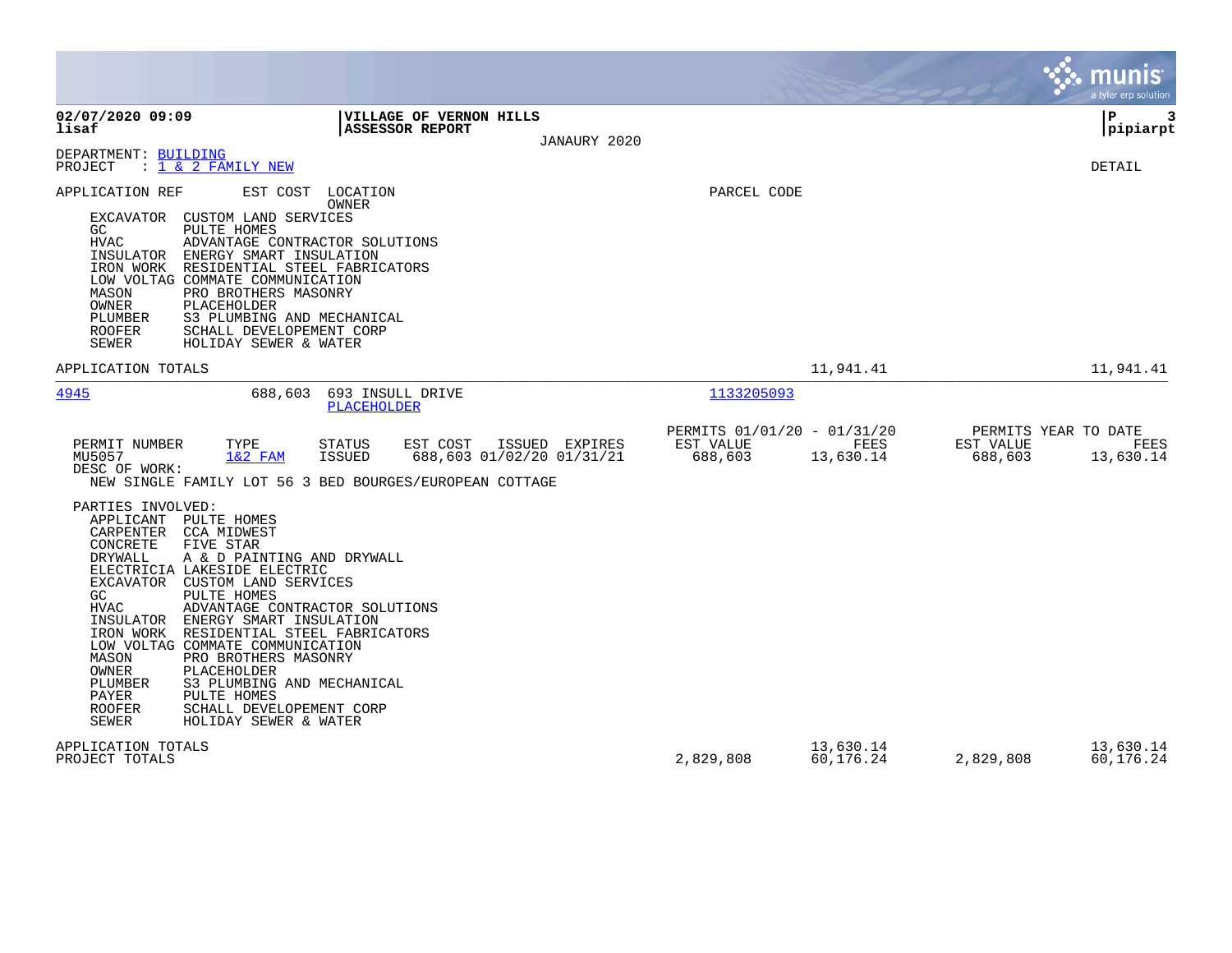|                                                                                                                                                                                                                                                                                                                                                                                                                                                                                                                                                                                                                      |                                                                                                                                                                                                                         |                                                     |                        |                                              | munis<br>a tyler erp solution |
|----------------------------------------------------------------------------------------------------------------------------------------------------------------------------------------------------------------------------------------------------------------------------------------------------------------------------------------------------------------------------------------------------------------------------------------------------------------------------------------------------------------------------------------------------------------------------------------------------------------------|-------------------------------------------------------------------------------------------------------------------------------------------------------------------------------------------------------------------------|-----------------------------------------------------|------------------------|----------------------------------------------|-------------------------------|
| 02/07/2020 09:09<br>lisaf                                                                                                                                                                                                                                                                                                                                                                                                                                                                                                                                                                                            | <b>VILLAGE OF VERNON HILLS</b><br><b>ASSESSOR REPORT</b>                                                                                                                                                                | JANAURY 2020                                        |                        |                                              | P<br>3<br> pipiarpt           |
| DEPARTMENT: BUILDING<br>PROJECT<br>: <u>1 &amp; 2 FAMILY NEW</u>                                                                                                                                                                                                                                                                                                                                                                                                                                                                                                                                                     |                                                                                                                                                                                                                         |                                                     |                        |                                              | DETAIL                        |
| APPLICATION REF<br>EST COST<br>CUSTOM LAND SERVICES<br><b>EXCAVATOR</b><br>GC<br>PULTE HOMES<br>HVAC<br>INSULATOR<br>ENERGY SMART INSULATION<br>IRON WORK RESIDENTIAL STEEL FABRICATORS<br>LOW VOLTAG COMMATE COMMUNICATION<br>MASON<br>PRO BROTHERS MASONRY<br>OWNER<br>PLACEHOLDER<br>PLUMBER<br>S3 PLUMBING AND MECHANICAL<br><b>ROOFER</b><br>SCHALL DEVELOPEMENT CORP<br><b>SEWER</b><br>HOLIDAY SEWER & WATER                                                                                                                                                                                                  | LOCATION<br>OWNER<br>ADVANTAGE CONTRACTOR SOLUTIONS                                                                                                                                                                     | PARCEL CODE                                         |                        |                                              |                               |
| APPLICATION TOTALS                                                                                                                                                                                                                                                                                                                                                                                                                                                                                                                                                                                                   |                                                                                                                                                                                                                         |                                                     | 11,941.41              |                                              | 11,941.41                     |
| 4945<br>688,603                                                                                                                                                                                                                                                                                                                                                                                                                                                                                                                                                                                                      | 693 INSULL DRIVE<br>PLACEHOLDER                                                                                                                                                                                         | 1133205093                                          |                        |                                              |                               |
| PERMIT NUMBER<br>TYPE<br>MU5057<br>$1&2$ FAM<br>DESC OF WORK:<br>PARTIES INVOLVED:<br>APPLICANT PULTE HOMES<br>CARPENTER<br>CCA MIDWEST<br>CONCRETE<br>FIVE STAR<br>DRYWALL<br>A & D PAINTING AND DRYWALL<br>ELECTRICIA LAKESIDE ELECTRIC<br>EXCAVATOR<br>CUSTOM LAND SERVICES<br>GC<br>PULTE HOMES<br><b>HVAC</b><br>INSULATOR<br>ENERGY SMART INSULATION<br>IRON WORK<br>LOW VOLTAG COMMATE COMMUNICATION<br>PRO BROTHERS MASONRY<br>MASON<br>OWNER<br>PLACEHOLDER<br>S3 PLUMBING AND MECHANICAL<br>PLUMBER<br>PULTE HOMES<br>PAYER<br><b>ROOFER</b><br>SCHALL DEVELOPEMENT CORP<br>SEWER<br>HOLIDAY SEWER & WATER | <b>STATUS</b><br>EST COST<br>ISSUED EXPIRES<br>688,603 01/02/20 01/31/21<br><b>ISSUED</b><br>NEW SINGLE FAMILY LOT 56 3 BED BOURGES/EUROPEAN COTTAGE<br>ADVANTAGE CONTRACTOR SOLUTIONS<br>RESIDENTIAL STEEL FABRICATORS | PERMITS 01/01/20 - 01/31/20<br>EST VALUE<br>688,603 | FEES<br>13,630.14      | PERMITS YEAR TO DATE<br>EST VALUE<br>688,603 | FEES<br>13,630.14             |
| APPLICATION TOTALS<br>PROJECT TOTALS                                                                                                                                                                                                                                                                                                                                                                                                                                                                                                                                                                                 |                                                                                                                                                                                                                         | 2,829,808                                           | 13,630.14<br>60,176.24 | 2,829,808                                    | 13,630.14<br>60,176.24        |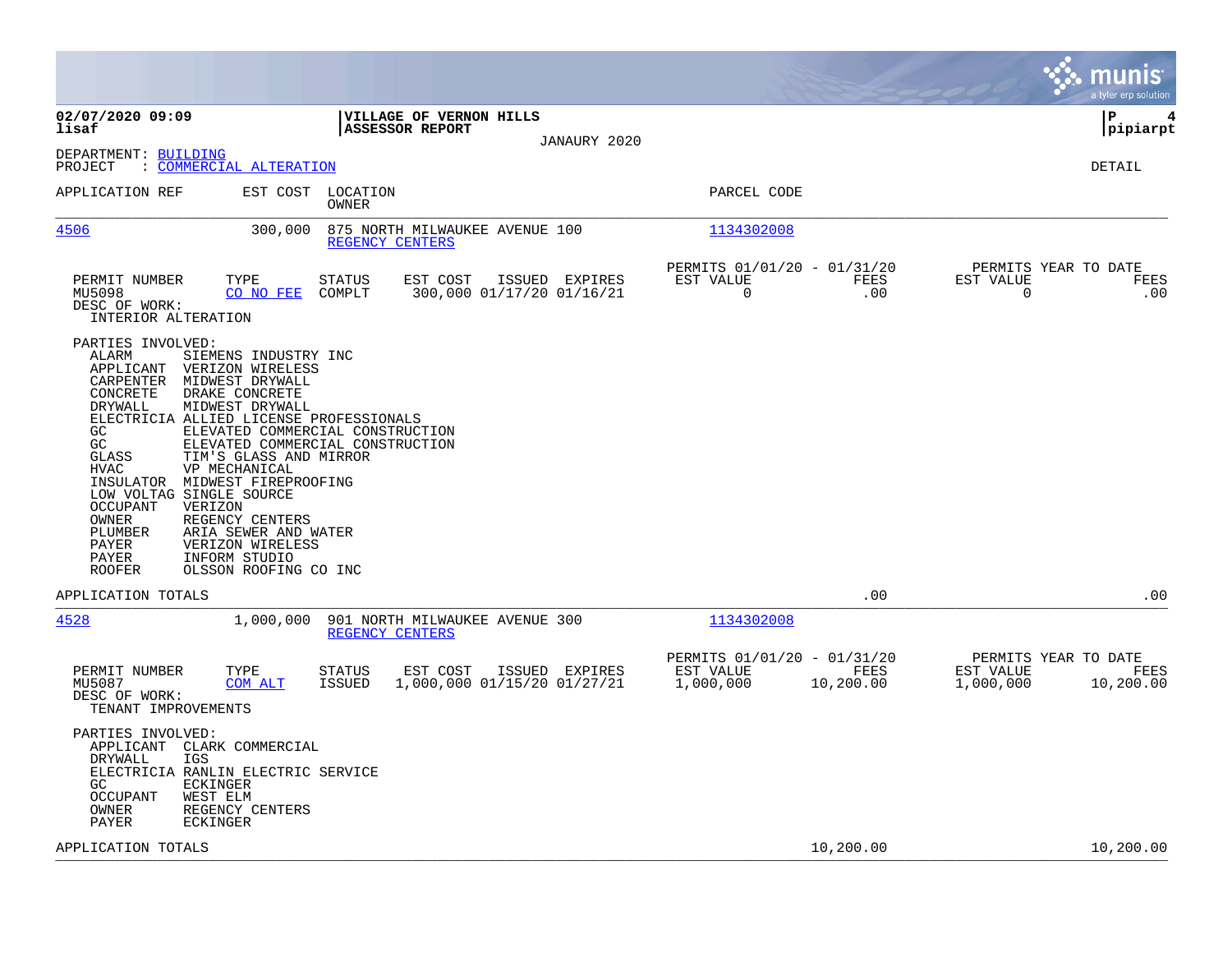|                                                                                                                                                                                                                                                                                                                                                                                                                                                                                                                                                         |                                                                                      |                                                                            | munis<br>a tyler erp solution                                       |
|---------------------------------------------------------------------------------------------------------------------------------------------------------------------------------------------------------------------------------------------------------------------------------------------------------------------------------------------------------------------------------------------------------------------------------------------------------------------------------------------------------------------------------------------------------|--------------------------------------------------------------------------------------|----------------------------------------------------------------------------|---------------------------------------------------------------------|
| 02/07/2020 09:09<br>lisaf                                                                                                                                                                                                                                                                                                                                                                                                                                                                                                                               | VILLAGE OF VERNON HILLS<br><b>ASSESSOR REPORT</b>                                    |                                                                            | l P<br>4<br> pipiarpt                                               |
| DEPARTMENT: BUILDING<br>: COMMERCIAL ALTERATION<br>PROJECT                                                                                                                                                                                                                                                                                                                                                                                                                                                                                              | JANAURY 2020                                                                         |                                                                            | DETAIL                                                              |
| APPLICATION REF<br>EST COST                                                                                                                                                                                                                                                                                                                                                                                                                                                                                                                             | LOCATION<br>OWNER                                                                    | PARCEL CODE                                                                |                                                                     |
| <u>4506</u><br>300,000                                                                                                                                                                                                                                                                                                                                                                                                                                                                                                                                  | 875 NORTH MILWAUKEE AVENUE 100<br>REGENCY CENTERS                                    | 1134302008                                                                 |                                                                     |
| TYPE<br>PERMIT NUMBER<br>MU5098<br>CO NO FEE<br>DESC OF WORK:<br>INTERIOR ALTERATION                                                                                                                                                                                                                                                                                                                                                                                                                                                                    | ISSUED EXPIRES<br>STATUS<br>EST COST<br>COMPLT<br>300,000 01/17/20 01/16/21          | PERMITS 01/01/20 - 01/31/20<br>EST VALUE<br>FEES<br>0<br>.00               | PERMITS YEAR TO DATE<br>EST VALUE<br>FEES<br>$\mathbf 0$<br>.00     |
| PARTIES INVOLVED:<br>ALARM<br>SIEMENS INDUSTRY INC<br>APPLICANT<br>VERIZON WIRELESS<br>MIDWEST DRYWALL<br>CARPENTER<br>DRAKE CONCRETE<br>CONCRETE<br>MIDWEST DRYWALL<br>DRYWALL<br>ELECTRICIA ALLIED LICENSE PROFESSIONALS<br>GC<br>GC<br>GLASS<br>TIM'S GLASS AND MIRROR<br>VP MECHANICAL<br>HVAC<br>INSULATOR MIDWEST FIREPROOFING<br>LOW VOLTAG SINGLE SOURCE<br>OCCUPANT<br>VERIZON<br>REGENCY CENTERS<br>OWNER<br>PLUMBER<br>ARIA SEWER AND WATER<br>PAYER<br>VERIZON WIRELESS<br>PAYER<br>INFORM STUDIO<br>OLSSON ROOFING CO INC<br><b>ROOFER</b> | ELEVATED COMMERCIAL CONSTRUCTION<br>ELEVATED COMMERCIAL CONSTRUCTION                 |                                                                            |                                                                     |
| APPLICATION TOTALS                                                                                                                                                                                                                                                                                                                                                                                                                                                                                                                                      |                                                                                      | .00                                                                        | .00                                                                 |
| 4528<br>1,000,000                                                                                                                                                                                                                                                                                                                                                                                                                                                                                                                                       | 901 NORTH MILWAUKEE AVENUE 300<br>REGENCY CENTERS                                    | 1134302008                                                                 |                                                                     |
| PERMIT NUMBER<br>TYPE<br>MU5087<br>COM ALT<br>DESC OF WORK:<br>TENANT IMPROVEMENTS                                                                                                                                                                                                                                                                                                                                                                                                                                                                      | STATUS<br>EST COST<br>ISSUED EXPIRES<br>1,000,000 01/15/20 01/27/21<br><b>ISSUED</b> | PERMITS 01/01/20 - 01/31/20<br>EST VALUE<br>FEES<br>1,000,000<br>10,200.00 | PERMITS YEAR TO DATE<br>EST VALUE<br>FEES<br>1,000,000<br>10,200.00 |
| PARTIES INVOLVED:<br>APPLICANT<br>CLARK COMMERCIAL<br><b>DRYWALL</b><br>IGS<br>ELECTRICIA RANLIN ELECTRIC SERVICE<br>GC.<br>ECKINGER<br><b>OCCUPANT</b><br>WEST ELM<br>REGENCY CENTERS<br>OWNER<br>PAYER<br>ECKINGER                                                                                                                                                                                                                                                                                                                                    |                                                                                      |                                                                            |                                                                     |
| APPLICATION TOTALS                                                                                                                                                                                                                                                                                                                                                                                                                                                                                                                                      |                                                                                      | 10,200.00                                                                  | 10,200.00                                                           |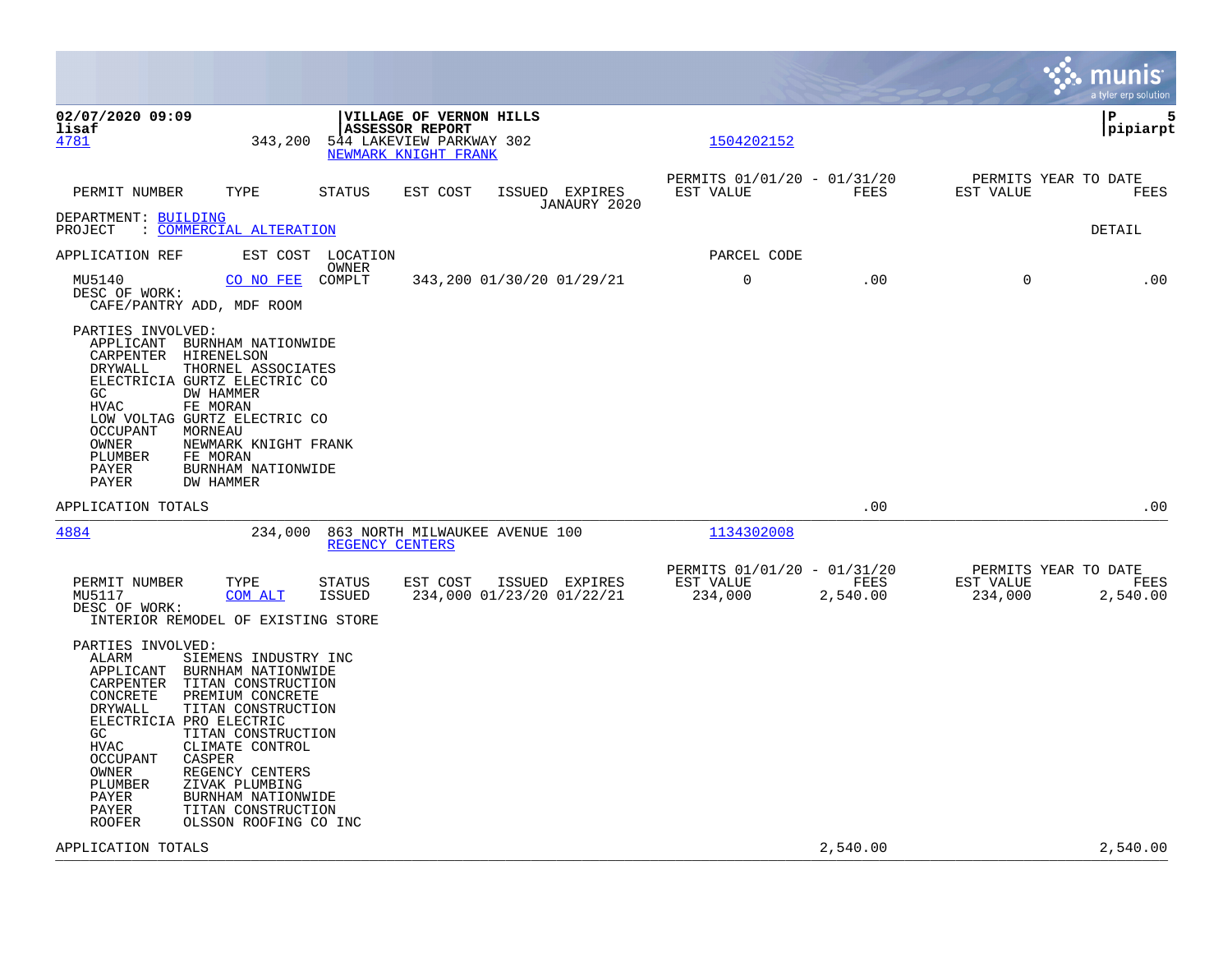|                                                                                                                                                                                                                                                                                                                                                                                                                                                                     |                                                                                                       |                                                     |                  | munis<br>a tyler erp solution                                    |
|---------------------------------------------------------------------------------------------------------------------------------------------------------------------------------------------------------------------------------------------------------------------------------------------------------------------------------------------------------------------------------------------------------------------------------------------------------------------|-------------------------------------------------------------------------------------------------------|-----------------------------------------------------|------------------|------------------------------------------------------------------|
| 02/07/2020 09:09<br>lisaf<br>343,200<br>4781                                                                                                                                                                                                                                                                                                                                                                                                                        | VILLAGE OF VERNON HILLS<br><b>ASSESSOR REPORT</b><br>544 LAKEVIEW PARKWAY 302<br>NEWMARK KNIGHT FRANK | 1504202152                                          |                  | P<br>5<br> pipiarpt                                              |
| TYPE<br>PERMIT NUMBER                                                                                                                                                                                                                                                                                                                                                                                                                                               | <b>STATUS</b><br>EST COST<br>ISSUED EXPIRES<br>JANAURY 2020                                           | PERMITS 01/01/20 - 01/31/20<br>EST VALUE            | FEES             | PERMITS YEAR TO DATE<br>EST VALUE<br>FEES                        |
| DEPARTMENT: BUILDING<br><u>COMMERCIAL ALTERATION</u><br>PROJECT                                                                                                                                                                                                                                                                                                                                                                                                     |                                                                                                       |                                                     |                  | DETAIL                                                           |
| APPLICATION REF                                                                                                                                                                                                                                                                                                                                                                                                                                                     | EST COST LOCATION<br>OWNER                                                                            | PARCEL CODE                                         |                  |                                                                  |
| MU5140<br>CO NO FEE<br>DESC OF WORK:<br>CAFE/PANTRY ADD, MDF ROOM                                                                                                                                                                                                                                                                                                                                                                                                   | COMPLT<br>343,200 01/30/20 01/29/21                                                                   | 0                                                   | .00              | $\mathbf 0$<br>.00                                               |
| PARTIES INVOLVED:<br>APPLICANT<br>BURNHAM NATIONWIDE<br>CARPENTER<br>HIRENELSON<br>THORNEL ASSOCIATES<br>DRYWALL<br>ELECTRICIA GURTZ ELECTRIC CO<br>GC<br>DW HAMMER<br>FE MORAN<br>HVAC<br>LOW VOLTAG GURTZ ELECTRIC CO<br>OCCUPANT<br>MORNEAU<br>OWNER<br>NEWMARK KNIGHT FRANK<br>PLUMBER<br>FE MORAN<br>PAYER<br>BURNHAM NATIONWIDE<br>PAYER<br>DW HAMMER                                                                                                         |                                                                                                       |                                                     |                  |                                                                  |
| APPLICATION TOTALS                                                                                                                                                                                                                                                                                                                                                                                                                                                  |                                                                                                       |                                                     | .00              | .00                                                              |
| 234,000<br>4884                                                                                                                                                                                                                                                                                                                                                                                                                                                     | 863 NORTH MILWAUKEE AVENUE 100<br>REGENCY CENTERS                                                     | 1134302008                                          |                  |                                                                  |
| PERMIT NUMBER<br>TYPE<br>MU5117<br>COM ALT<br>DESC OF WORK:<br>INTERIOR REMODEL OF EXISTING STORE                                                                                                                                                                                                                                                                                                                                                                   | <b>STATUS</b><br>EST COST<br>ISSUED EXPIRES<br><b>ISSUED</b><br>234,000 01/23/20 01/22/21             | PERMITS 01/01/20 - 01/31/20<br>EST VALUE<br>234,000 | FEES<br>2,540.00 | PERMITS YEAR TO DATE<br>EST VALUE<br>FEES<br>234,000<br>2,540.00 |
| PARTIES INVOLVED:<br>ALARM<br>SIEMENS INDUSTRY INC<br>APPLICANT<br>BURNHAM NATIONWIDE<br>TITAN CONSTRUCTION<br>CARPENTER<br>CONCRETE<br>PREMIUM CONCRETE<br>DRYWALL<br>TITAN CONSTRUCTION<br>ELECTRICIA PRO ELECTRIC<br>GC.<br>TITAN CONSTRUCTION<br>CLIMATE CONTROL<br>HVAC<br><b>OCCUPANT</b><br>CASPER<br>OWNER<br>REGENCY CENTERS<br>PLUMBER<br>ZIVAK PLUMBING<br>PAYER<br>BURNHAM NATIONWIDE<br>TITAN CONSTRUCTION<br>PAYER<br>ROOFER<br>OLSSON ROOFING CO INC |                                                                                                       |                                                     |                  |                                                                  |
| APPLICATION TOTALS                                                                                                                                                                                                                                                                                                                                                                                                                                                  |                                                                                                       |                                                     | 2,540.00         | 2,540.00                                                         |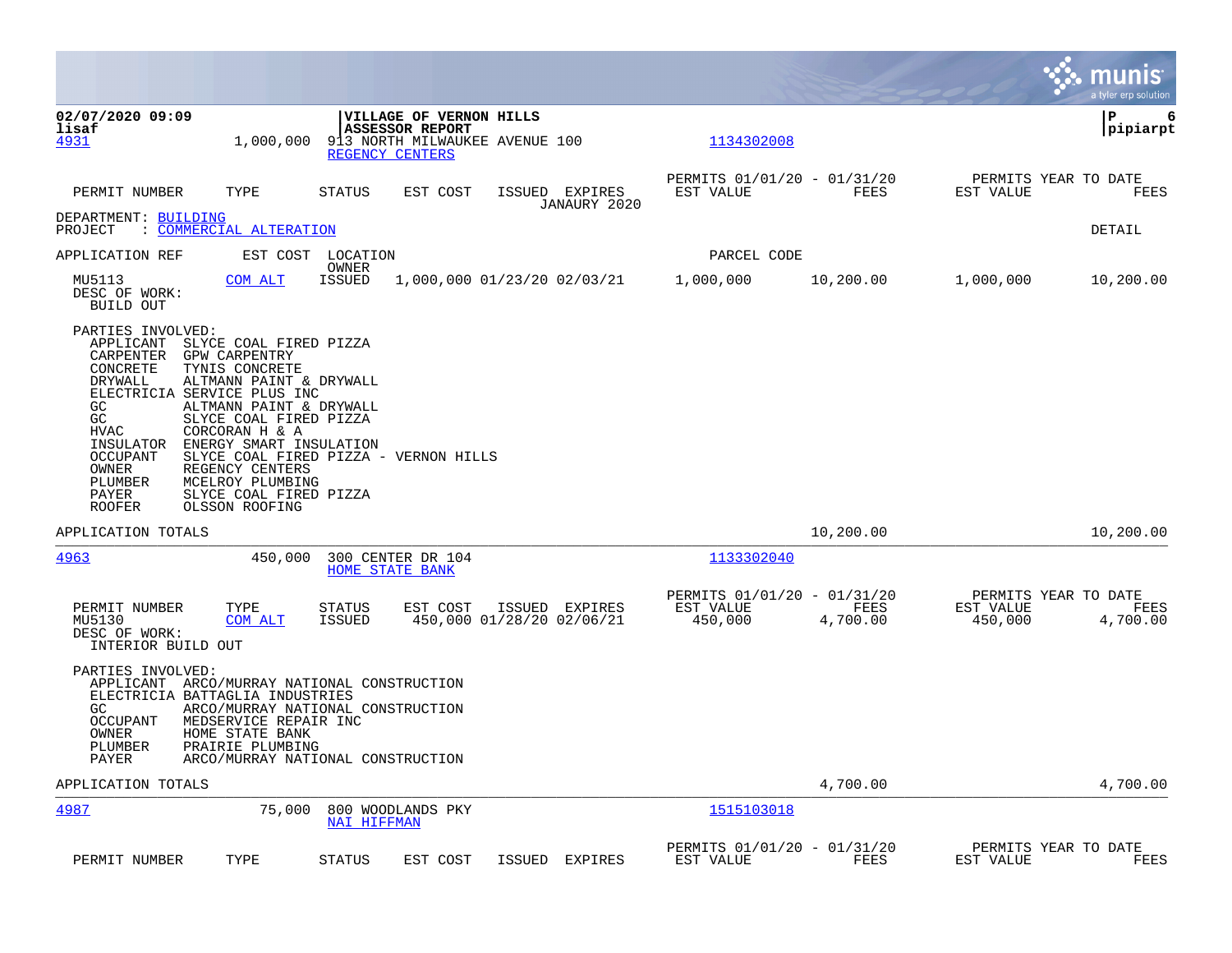|                                                                                                                                                               |                                                                                                                                                                                                                                                                                                                                                          |                         |                                                                                                        |                                             |                                                     |                  |                                              | munis<br>a tyler erp solution |
|---------------------------------------------------------------------------------------------------------------------------------------------------------------|----------------------------------------------------------------------------------------------------------------------------------------------------------------------------------------------------------------------------------------------------------------------------------------------------------------------------------------------------------|-------------------------|--------------------------------------------------------------------------------------------------------|---------------------------------------------|-----------------------------------------------------|------------------|----------------------------------------------|-------------------------------|
| 02/07/2020 09:09<br>lisaf<br>4931                                                                                                                             | 1,000,000                                                                                                                                                                                                                                                                                                                                                |                         | VILLAGE OF VERNON HILLS<br><b>ASSESSOR REPORT</b><br>913 NORTH MILWAUKEE AVENUE 100<br>REGENCY CENTERS |                                             | 1134302008                                          |                  |                                              | ∣P<br>6<br> pipiarpt          |
| PERMIT NUMBER                                                                                                                                                 | TYPE                                                                                                                                                                                                                                                                                                                                                     | <b>STATUS</b>           | EST COST                                                                                               | ISSUED EXPIRES<br>JANAURY 2020              | PERMITS 01/01/20 - 01/31/20<br>EST VALUE            | FEES             | PERMITS YEAR TO DATE<br>EST VALUE            | FEES                          |
| DEPARTMENT: BUILDING<br>PROJECT                                                                                                                               | <u> COMMERCIAL ALTERATION</u>                                                                                                                                                                                                                                                                                                                            |                         |                                                                                                        |                                             |                                                     |                  |                                              | DETAIL                        |
| APPLICATION REF                                                                                                                                               |                                                                                                                                                                                                                                                                                                                                                          | EST COST LOCATION       |                                                                                                        |                                             | PARCEL CODE                                         |                  |                                              |                               |
| MU5113<br>DESC OF WORK:<br>BUILD OUT                                                                                                                          | COM ALT                                                                                                                                                                                                                                                                                                                                                  | OWNER<br><b>ISSUED</b>  | 1,000,000 01/23/20 02/03/21                                                                            |                                             | 1,000,000                                           | 10,200.00        | 1,000,000                                    | 10,200.00                     |
| PARTIES INVOLVED:<br>APPLICANT<br>CARPENTER<br>CONCRETE<br>DRYWALL<br>GC<br>GC<br>HVAC<br>INSULATOR<br>OCCUPANT<br>OWNER<br>PLUMBER<br>PAYER<br><b>ROOFER</b> | SLYCE COAL FIRED PIZZA<br><b>GPW CARPENTRY</b><br>TYNIS CONCRETE<br>ALTMANN PAINT & DRYWALL<br>ELECTRICIA SERVICE PLUS INC<br>ALTMANN PAINT & DRYWALL<br>SLYCE COAL FIRED PIZZA<br>CORCORAN H & A<br>ENERGY SMART INSULATION<br>SLYCE COAL FIRED PIZZA - VERNON HILLS<br>REGENCY CENTERS<br>MCELROY PLUMBING<br>SLYCE COAL FIRED PIZZA<br>OLSSON ROOFING |                         |                                                                                                        |                                             |                                                     |                  |                                              |                               |
| APPLICATION TOTALS                                                                                                                                            |                                                                                                                                                                                                                                                                                                                                                          |                         |                                                                                                        |                                             |                                                     | 10,200.00        |                                              | 10,200.00                     |
| 4963                                                                                                                                                          | 450,000                                                                                                                                                                                                                                                                                                                                                  |                         | 300 CENTER DR 104<br><b>HOME STATE BANK</b>                                                            |                                             | 1133302040                                          |                  |                                              |                               |
| PERMIT NUMBER<br>MU5130<br>DESC OF WORK:<br>INTERIOR BUILD OUT                                                                                                | TYPE<br>COM ALT                                                                                                                                                                                                                                                                                                                                          | <b>STATUS</b><br>ISSUED | EST COST                                                                                               | ISSUED EXPIRES<br>450,000 01/28/20 02/06/21 | PERMITS 01/01/20 - 01/31/20<br>EST VALUE<br>450,000 | FEES<br>4,700.00 | PERMITS YEAR TO DATE<br>EST VALUE<br>450,000 | FEES<br>4,700.00              |
| PARTIES INVOLVED:<br>GC<br>OCCUPANT<br>OWNER<br>PLUMBER<br>PAYER                                                                                              | APPLICANT ARCO/MURRAY NATIONAL CONSTRUCTION<br>ELECTRICIA BATTAGLIA INDUSTRIES<br>ARCO/MURRAY NATIONAL CONSTRUCTION<br>MEDSERVICE REPAIR INC<br>HOME STATE BANK<br>PRAIRIE PLUMBING<br>ARCO/MURRAY NATIONAL CONSTRUCTION                                                                                                                                 |                         |                                                                                                        |                                             |                                                     |                  |                                              |                               |
| APPLICATION TOTALS                                                                                                                                            |                                                                                                                                                                                                                                                                                                                                                          |                         |                                                                                                        |                                             |                                                     | 4,700.00         |                                              | 4,700.00                      |
| 4987                                                                                                                                                          | 75,000                                                                                                                                                                                                                                                                                                                                                   | <b>NAI HIFFMAN</b>      | 800 WOODLANDS PKY                                                                                      |                                             | 1515103018                                          |                  |                                              |                               |
| PERMIT NUMBER                                                                                                                                                 | TYPE                                                                                                                                                                                                                                                                                                                                                     | <b>STATUS</b>           | EST COST                                                                                               | ISSUED EXPIRES                              | PERMITS 01/01/20 - 01/31/20<br>EST VALUE            | FEES             | PERMITS YEAR TO DATE<br>EST VALUE            | FEES                          |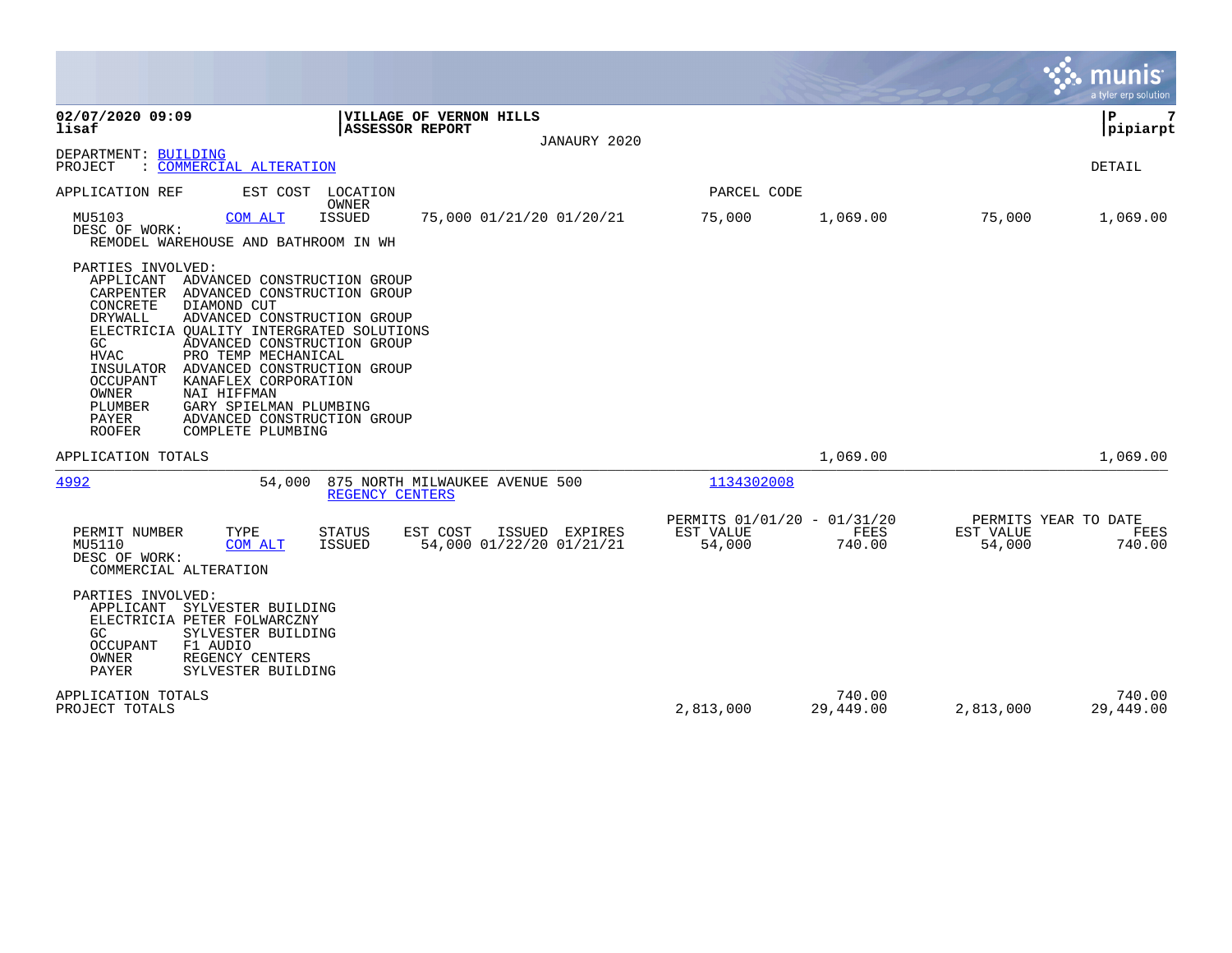|                                                                                                                                                                                                                                                                                                                                                                                                                                                                                                                                              |                                                    |                     |                                             | munis<br>a tyler erp solution |
|----------------------------------------------------------------------------------------------------------------------------------------------------------------------------------------------------------------------------------------------------------------------------------------------------------------------------------------------------------------------------------------------------------------------------------------------------------------------------------------------------------------------------------------------|----------------------------------------------------|---------------------|---------------------------------------------|-------------------------------|
| 02/07/2020 09:09<br>VILLAGE OF VERNON HILLS<br>lisaf<br><b>ASSESSOR REPORT</b><br>JANAURY 2020                                                                                                                                                                                                                                                                                                                                                                                                                                               |                                                    |                     |                                             | 7<br>l P<br> pipiarpt         |
| DEPARTMENT: BUILDING<br>PROJECT<br>: COMMERCIAL ALTERATION                                                                                                                                                                                                                                                                                                                                                                                                                                                                                   |                                                    |                     |                                             | DETAIL                        |
| APPLICATION REF<br>EST COST LOCATION                                                                                                                                                                                                                                                                                                                                                                                                                                                                                                         | PARCEL CODE                                        |                     |                                             |                               |
| OWNER<br>MU5103<br><b>ISSUED</b><br>75,000 01/21/20 01/20/21<br>COM ALT<br>DESC OF WORK:<br>REMODEL WAREHOUSE AND BATHROOM IN WH                                                                                                                                                                                                                                                                                                                                                                                                             | 75,000                                             | 1,069.00            | 75,000                                      | 1,069.00                      |
| PARTIES INVOLVED:<br>APPLICANT<br>ADVANCED CONSTRUCTION GROUP<br>CARPENTER ADVANCED CONSTRUCTION GROUP<br>CONCRETE<br>DIAMOND CUT<br><b>DRYWALL</b><br>ADVANCED CONSTRUCTION GROUP<br>ELECTRICIA OUALITY INTERGRATED SOLUTIONS<br>GC.<br>ADVANCED CONSTRUCTION GROUP<br>PRO TEMP MECHANICAL<br><b>HVAC</b><br>INSULATOR<br>ADVANCED CONSTRUCTION GROUP<br>OCCUPANT<br>KANAFLEX CORPORATION<br>OWNER<br>NAI HIFFMAN<br>PLUMBER<br>GARY SPIELMAN PLUMBING<br><b>PAYER</b><br>ADVANCED CONSTRUCTION GROUP<br>COMPLETE PLUMBING<br><b>ROOFER</b> |                                                    |                     |                                             |                               |
| APPLICATION TOTALS                                                                                                                                                                                                                                                                                                                                                                                                                                                                                                                           |                                                    | 1,069.00            |                                             | 1,069.00                      |
| 4992<br>54,000<br>875 NORTH MILWAUKEE AVENUE 500<br>REGENCY CENTERS                                                                                                                                                                                                                                                                                                                                                                                                                                                                          | 1134302008                                         |                     |                                             |                               |
| TYPE<br>PERMIT NUMBER<br><b>STATUS</b><br>EST COST<br>ISSUED EXPIRES<br>54,000 01/22/20 01/21/21<br>MU5110<br><b>ISSUED</b><br>COM ALT<br>DESC OF WORK:<br>COMMERCIAL ALTERATION                                                                                                                                                                                                                                                                                                                                                             | PERMITS 01/01/20 - 01/31/20<br>EST VALUE<br>54,000 | FEES<br>740.00      | PERMITS YEAR TO DATE<br>EST VALUE<br>54,000 | FEES<br>740.00                |
| PARTIES INVOLVED:<br>APPLICANT<br>SYLVESTER BUILDING<br>ELECTRICIA PETER FOLWARCZNY<br>GC<br>SYLVESTER BUILDING<br>F1 AUDIO<br>OCCUPANT<br>OWNER<br>REGENCY CENTERS<br>PAYER<br>SYLVESTER BUILDING                                                                                                                                                                                                                                                                                                                                           |                                                    |                     |                                             |                               |
| APPLICATION TOTALS<br>PROJECT TOTALS                                                                                                                                                                                                                                                                                                                                                                                                                                                                                                         | 2,813,000                                          | 740.00<br>29,449.00 | 2,813,000                                   | 740.00<br>29,449.00           |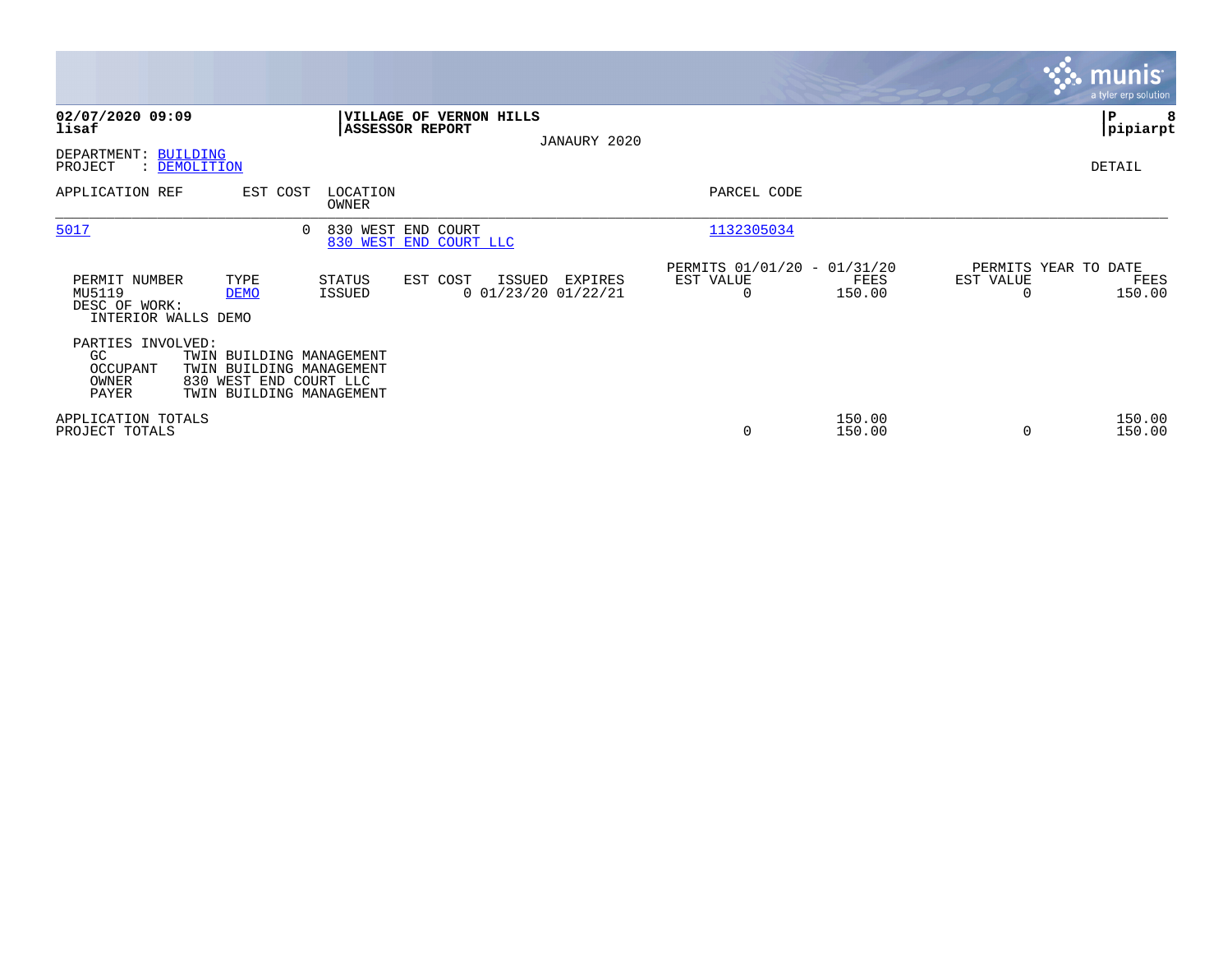|                                                                 |                     |                                                                                                            |                                                   |                                            |                                                      |                  |                                   | <b>munis</b><br>a tyler erp solution |
|-----------------------------------------------------------------|---------------------|------------------------------------------------------------------------------------------------------------|---------------------------------------------------|--------------------------------------------|------------------------------------------------------|------------------|-----------------------------------|--------------------------------------|
| 02/07/2020 09:09<br>lisaf                                       |                     |                                                                                                            | VILLAGE OF VERNON HILLS<br><b>ASSESSOR REPORT</b> | JANAURY 2020                               |                                                      |                  |                                   | ∣P<br> pipiarpt                      |
| DEPARTMENT: BUILDING<br>PROJECT                                 | : DEMOLITION        |                                                                                                            |                                                   |                                            |                                                      |                  |                                   | DETAIL                               |
| APPLICATION REF                                                 |                     | EST COST<br>LOCATION<br>OWNER                                                                              |                                                   |                                            | PARCEL CODE                                          |                  |                                   |                                      |
| 5017                                                            |                     | 0                                                                                                          | 830 WEST END COURT<br>830 WEST END COURT LLC      |                                            | 1132305034                                           |                  |                                   |                                      |
| PERMIT NUMBER<br>MU5119<br>DESC OF WORK:<br>INTERIOR WALLS DEMO | TYPE<br><b>DEMO</b> | STATUS<br>ISSUED                                                                                           | EST COST                                          | ISSUED<br>EXPIRES<br>$0$ 01/23/20 01/22/21 | PERMITS 01/01/20 - 01/31/20<br>EST VALUE<br>$\Omega$ | FEES<br>150.00   | PERMITS YEAR TO DATE<br>EST VALUE | FEES<br>150.00                       |
| PARTIES INVOLVED:<br>GC<br>OCCUPANT<br>OWNER<br>PAYER           |                     | TWIN BUILDING MANAGEMENT<br>TWIN BUILDING MANAGEMENT<br>830 WEST END COURT LLC<br>TWIN BUILDING MANAGEMENT |                                                   |                                            |                                                      |                  |                                   |                                      |
| APPLICATION TOTALS<br>PROJECT TOTALS                            |                     |                                                                                                            |                                                   |                                            | 0                                                    | 150.00<br>150.00 |                                   | 150.00<br>150.00                     |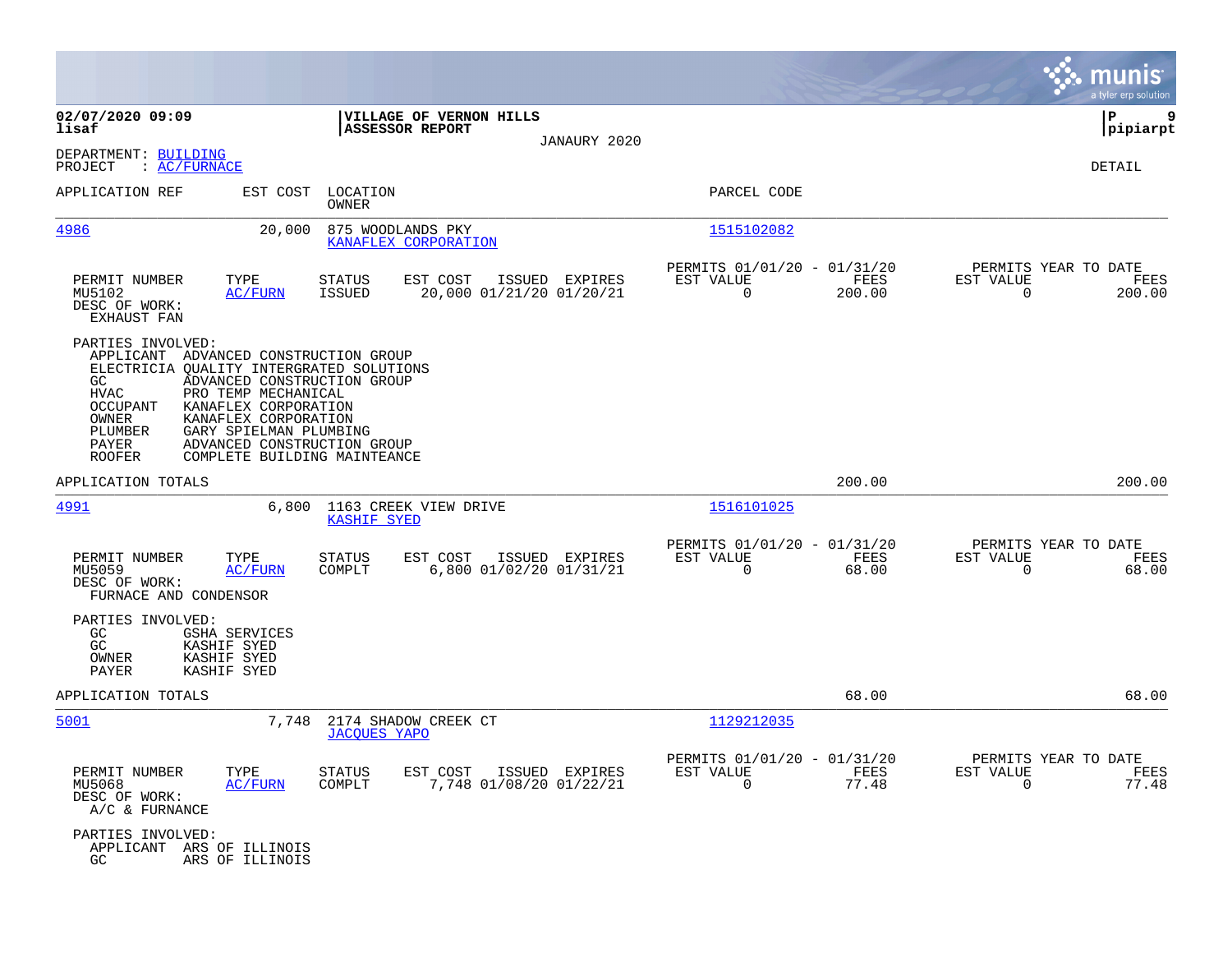|                                                                                                                                                                                                                                                                                 |                                                                                            |                                                                          | munis<br>a tyler erp solution                                     |
|---------------------------------------------------------------------------------------------------------------------------------------------------------------------------------------------------------------------------------------------------------------------------------|--------------------------------------------------------------------------------------------|--------------------------------------------------------------------------|-------------------------------------------------------------------|
| 02/07/2020 09:09<br>lisaf                                                                                                                                                                                                                                                       | VILLAGE OF VERNON HILLS<br><b>ASSESSOR REPORT</b>                                          |                                                                          | P<br>9<br> pipiarpt                                               |
| DEPARTMENT: BUILDING<br>: <u>AC/FURNACE</u><br>PROJECT                                                                                                                                                                                                                          | JANAURY 2020                                                                               |                                                                          | DETAIL                                                            |
| APPLICATION REF                                                                                                                                                                                                                                                                 | EST COST LOCATION<br>OWNER                                                                 | PARCEL CODE                                                              |                                                                   |
| <u>4986</u>                                                                                                                                                                                                                                                                     | 20,000<br>875 WOODLANDS PKY<br>KANAFLEX CORPORATION                                        | 1515102082                                                               |                                                                   |
| TYPE<br>PERMIT NUMBER<br>MU5102<br><b>AC/FURN</b><br>DESC OF WORK:<br><b>EXHAUST FAN</b>                                                                                                                                                                                        | EST COST<br><b>STATUS</b><br>ISSUED EXPIRES<br>20,000 01/21/20 01/20/21<br>ISSUED          | PERMITS 01/01/20 - 01/31/20<br>EST VALUE<br>FEES<br>$\Omega$<br>200.00   | PERMITS YEAR TO DATE<br>EST VALUE<br>FEES<br>$\Omega$<br>200.00   |
| PARTIES INVOLVED:<br>APPLICANT ADVANCED CONSTRUCTION GROUP<br>ELECTRICIA QUALITY INTERGRATED SOLUTIONS<br>GC<br>PRO TEMP MECHANICAL<br>HVAC<br>KANAFLEX CORPORATION<br>OCCUPANT<br>OWNER<br>KANAFLEX CORPORATION<br>PLUMBER<br>GARY SPIELMAN PLUMBING<br>PAYER<br><b>ROOFER</b> | ADVANCED CONSTRUCTION GROUP<br>ADVANCED CONSTRUCTION GROUP<br>COMPLETE BUILDING MAINTEANCE |                                                                          |                                                                   |
| APPLICATION TOTALS                                                                                                                                                                                                                                                              |                                                                                            | 200.00                                                                   | 200.00                                                            |
| 4991                                                                                                                                                                                                                                                                            | 6,800<br>1163 CREEK VIEW DRIVE<br><b>KASHIF SYED</b>                                       | 1516101025                                                               |                                                                   |
| PERMIT NUMBER<br>TYPE<br>MU5059<br>AC/FURN<br>DESC OF WORK:<br>FURNACE AND CONDENSOR                                                                                                                                                                                            | <b>STATUS</b><br>EST COST<br>ISSUED EXPIRES<br>COMPLT<br>6,800 01/02/20 01/31/21           | PERMITS 01/01/20 - 01/31/20<br>EST VALUE<br>FEES<br>$\mathbf 0$<br>68.00 | PERMITS YEAR TO DATE<br>EST VALUE<br>FEES<br>$\mathbf 0$<br>68.00 |
| PARTIES INVOLVED:<br>GC<br><b>GSHA SERVICES</b><br>GC<br>KASHIF SYED<br>OWNER<br>KASHIF SYED<br>PAYER<br>KASHIF SYED                                                                                                                                                            |                                                                                            |                                                                          |                                                                   |
| APPLICATION TOTALS                                                                                                                                                                                                                                                              |                                                                                            | 68.00                                                                    | 68.00                                                             |
| 5001                                                                                                                                                                                                                                                                            | 7,748<br>2174 SHADOW CREEK CT<br><b>JACOUES YAPO</b>                                       | 1129212035                                                               |                                                                   |
| PERMIT NUMBER<br>TYPE<br>MU5068<br>AC/FURN<br>DESC OF WORK:<br>A/C & FURNANCE                                                                                                                                                                                                   | <b>STATUS</b><br>EST COST<br>ISSUED EXPIRES<br>COMPLT<br>7,748 01/08/20 01/22/21           | PERMITS 01/01/20 - 01/31/20<br>EST VALUE<br>FEES<br>$\mathbf 0$<br>77.48 | PERMITS YEAR TO DATE<br>EST VALUE<br>FEES<br>77.48<br>$\Omega$    |
| PARTIES INVOLVED:<br>APPLICANT ARS OF ILLINOIS<br>GC<br>ARS OF ILLINOIS                                                                                                                                                                                                         |                                                                                            |                                                                          |                                                                   |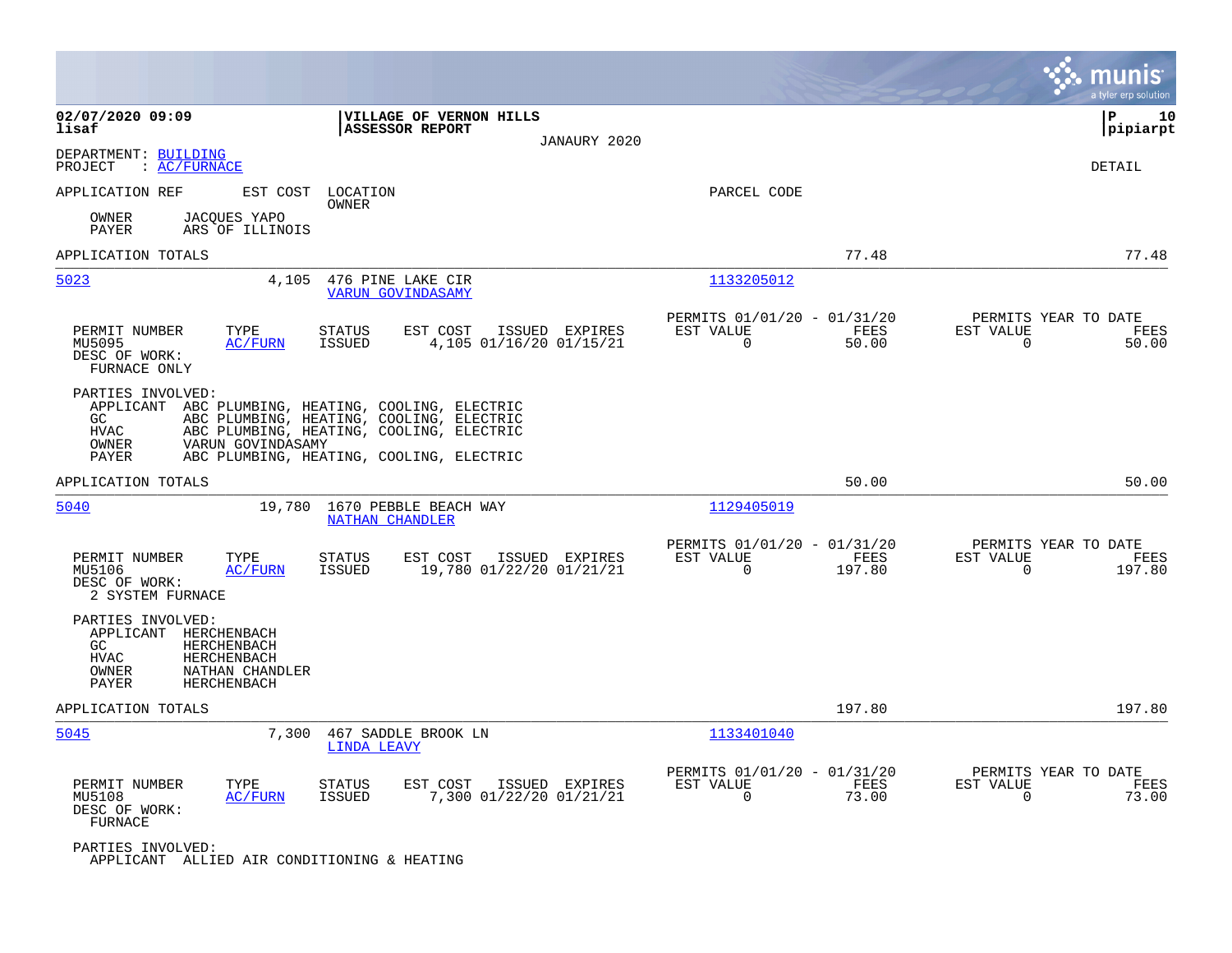|                                                                       |                                                                                           |                                                 |                                                                                                                                                                              |                |                                                         |                |                                                  | munis<br>a tyler erp solution |
|-----------------------------------------------------------------------|-------------------------------------------------------------------------------------------|-------------------------------------------------|------------------------------------------------------------------------------------------------------------------------------------------------------------------------------|----------------|---------------------------------------------------------|----------------|--------------------------------------------------|-------------------------------|
| 02/07/2020 09:09<br>lisaf                                             |                                                                                           | <b>ASSESSOR REPORT</b>                          | <b> VILLAGE OF VERNON HILLS</b>                                                                                                                                              | JANAURY 2020   |                                                         |                |                                                  | ΙP<br>10<br> pipiarpt         |
| DEPARTMENT: BUILDING<br>PROJECT<br>: AC/FWNACE                        |                                                                                           |                                                 |                                                                                                                                                                              |                |                                                         |                |                                                  | DETAIL                        |
| APPLICATION REF                                                       |                                                                                           | EST COST LOCATION<br>OWNER                      |                                                                                                                                                                              |                | PARCEL CODE                                             |                |                                                  |                               |
| OWNER<br>PAYER                                                        | JACQUES YAPO<br>ARS OF ILLINOIS                                                           |                                                 |                                                                                                                                                                              |                |                                                         |                |                                                  |                               |
| APPLICATION TOTALS                                                    |                                                                                           |                                                 |                                                                                                                                                                              |                |                                                         | 77.48          |                                                  | 77.48                         |
| 5023                                                                  | 4,105                                                                                     | 476 PINE LAKE CIR<br><b>VARUN GOVINDASAMY</b>   |                                                                                                                                                                              |                | 1133205012                                              |                |                                                  |                               |
| PERMIT NUMBER<br>MU5095<br>DESC OF WORK:<br>FURNACE ONLY              | TYPE<br>AC/FURN                                                                           | STATUS<br>ISSUED                                | EST COST<br>4,105 01/16/20 01/15/21                                                                                                                                          | ISSUED EXPIRES | PERMITS 01/01/20 - 01/31/20<br>EST VALUE<br>$\Omega$    | FEES<br>50.00  | PERMITS YEAR TO DATE<br>EST VALUE<br>$\Omega$    | FEES<br>50.00                 |
| PARTIES INVOLVED:<br>APPLICANT<br>GC<br><b>HVAC</b><br>OWNER<br>PAYER | VARUN GOVINDASAMY                                                                         |                                                 | ABC PLUMBING, HEATING, COOLING, ELECTRIC<br>ABC PLUMBING, HEATING, COOLING, ELECTRIC<br>ABC PLUMBING, HEATING, COOLING, ELECTRIC<br>ABC PLUMBING, HEATING, COOLING, ELECTRIC |                |                                                         |                |                                                  |                               |
| APPLICATION TOTALS                                                    |                                                                                           |                                                 |                                                                                                                                                                              |                |                                                         | 50.00          |                                                  | 50.00                         |
| 5040                                                                  | 19,780                                                                                    | 1670 PEBBLE BEACH WAY<br><b>NATHAN CHANDLER</b> |                                                                                                                                                                              |                | 1129405019                                              |                |                                                  |                               |
| PERMIT NUMBER<br>MU5106<br>DESC OF WORK:<br>2 SYSTEM FURNACE          | TYPE<br><b>AC/FURN</b>                                                                    | <b>STATUS</b><br>ISSUED                         | EST COST<br>19,780 01/22/20 01/21/21                                                                                                                                         | ISSUED EXPIRES | PERMITS 01/01/20 - 01/31/20<br>EST VALUE<br>$\Omega$    | FEES<br>197.80 | PERMITS YEAR TO DATE<br>EST VALUE<br>$\Omega$    | FEES<br>197.80                |
| PARTIES INVOLVED:<br>APPLICANT<br>GC<br><b>HVAC</b><br>OWNER<br>PAYER | HERCHENBACH<br>HERCHENBACH<br><b>HERCHENBACH</b><br>NATHAN CHANDLER<br><b>HERCHENBACH</b> |                                                 |                                                                                                                                                                              |                |                                                         |                |                                                  |                               |
| APPLICATION TOTALS                                                    |                                                                                           |                                                 |                                                                                                                                                                              |                |                                                         | 197.80         |                                                  | 197.80                        |
| 5045                                                                  | 7,300                                                                                     | 467 SADDLE BROOK LN<br><b>LINDA LEAVY</b>       |                                                                                                                                                                              |                | 1133401040                                              |                |                                                  |                               |
| PERMIT NUMBER<br>MU5108<br>DESC OF WORK:<br>FURNACE                   | TYPE<br>AC/FURN                                                                           | STATUS<br>ISSUED                                | EST COST<br>7,300 01/22/20 01/21/21                                                                                                                                          | ISSUED EXPIRES | PERMITS 01/01/20 - 01/31/20<br>EST VALUE<br>$\mathbf 0$ | FEES<br>73.00  | PERMITS YEAR TO DATE<br>EST VALUE<br>$\mathbf 0$ | FEES<br>73.00                 |
| PARTIES INVOLVED:<br>APPLICANT ALLIED AIR CONDITIONING & HEATING      |                                                                                           |                                                 |                                                                                                                                                                              |                |                                                         |                |                                                  |                               |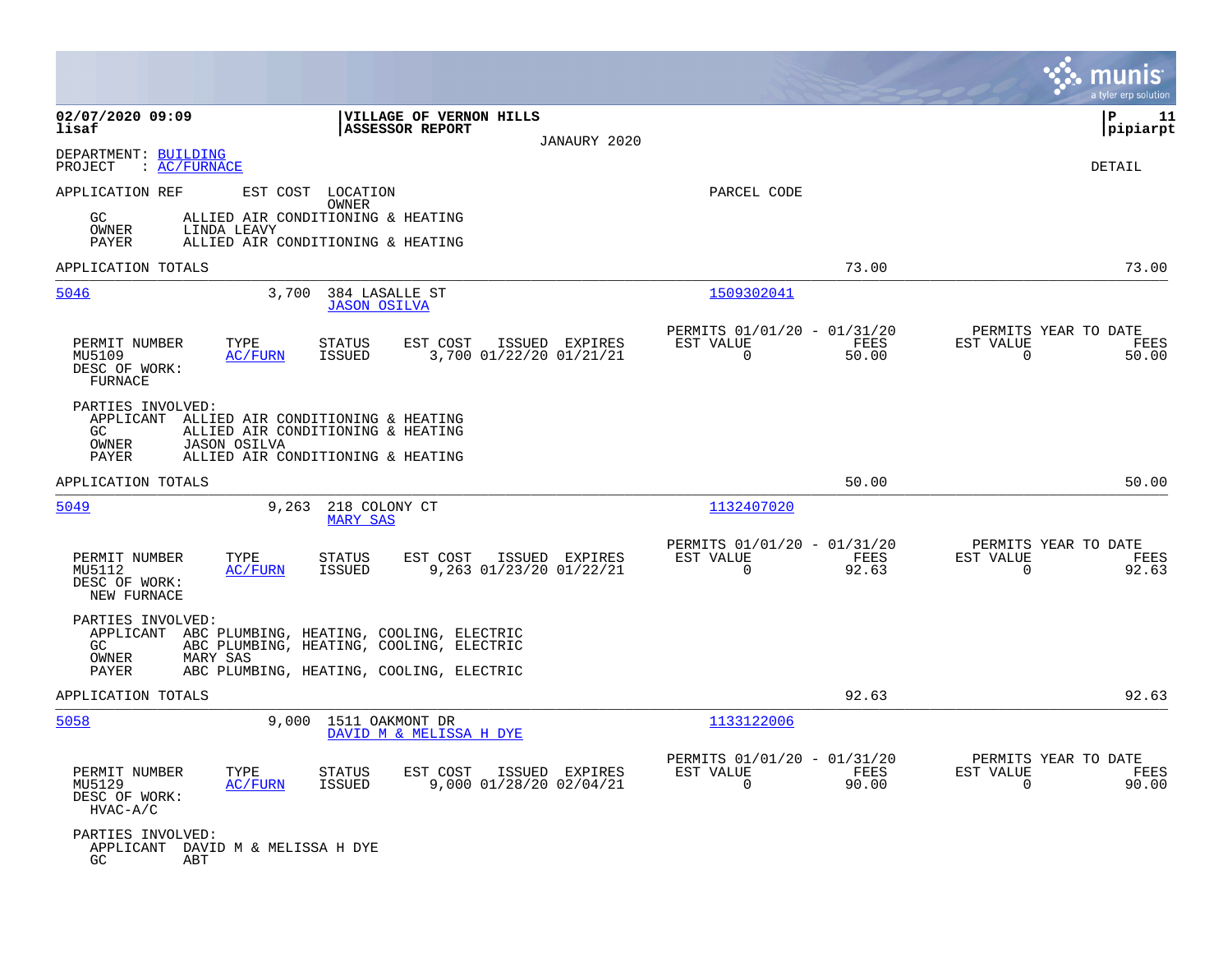|                                                            |                                          |                                                                                                                                            |                                           |              |                                                         |               |                                                   | munis<br>a tyler erp solution |
|------------------------------------------------------------|------------------------------------------|--------------------------------------------------------------------------------------------------------------------------------------------|-------------------------------------------|--------------|---------------------------------------------------------|---------------|---------------------------------------------------|-------------------------------|
| 02/07/2020 09:09<br>lisaf                                  |                                          | VILLAGE OF VERNON HILLS<br><b>ASSESSOR REPORT</b>                                                                                          |                                           |              |                                                         |               |                                                   | P<br>11<br> pipiarpt          |
| DEPARTMENT: BUILDING                                       |                                          |                                                                                                                                            |                                           | JANAURY 2020 |                                                         |               |                                                   |                               |
| PROJECT                                                    | : <u>AC/FURNACE</u>                      |                                                                                                                                            |                                           |              |                                                         |               |                                                   | DETAIL                        |
| APPLICATION REF                                            |                                          | EST COST LOCATION<br>OWNER                                                                                                                 |                                           |              | PARCEL CODE                                             |               |                                                   |                               |
| GC.<br>OWNER<br>PAYER                                      | LINDA LEAVY                              | ALLIED AIR CONDITIONING & HEATING<br>ALLIED AIR CONDITIONING & HEATING                                                                     |                                           |              |                                                         |               |                                                   |                               |
| APPLICATION TOTALS                                         |                                          |                                                                                                                                            |                                           |              |                                                         | 73.00         |                                                   | 73.00                         |
| 5046                                                       | 3,700                                    | 384 LASALLE ST<br><b>JASON OSILVA</b>                                                                                                      |                                           |              | 1509302041                                              |               |                                                   |                               |
| PERMIT NUMBER<br>MU5109<br>DESC OF WORK:<br><b>FURNACE</b> | TYPE<br>AC/FURN                          | EST COST<br><b>STATUS</b><br><b>ISSUED</b>                                                                                                 | ISSUED EXPIRES<br>3,700 01/22/20 01/21/21 |              | PERMITS 01/01/20 - 01/31/20<br>EST VALUE<br>$\mathbf 0$ | FEES<br>50.00 | PERMITS YEAR TO DATE<br>EST VALUE<br>$\Omega$     | FEES<br>50.00                 |
| PARTIES INVOLVED:<br>APPLICANT<br>GC<br>OWNER<br>PAYER     | <b>JASON OSILVA</b>                      | ALLIED AIR CONDITIONING & HEATING<br>ALLIED AIR CONDITIONING & HEATING<br>ALLIED AIR CONDITIONING & HEATING                                |                                           |              |                                                         |               |                                                   |                               |
| APPLICATION TOTALS                                         |                                          |                                                                                                                                            |                                           |              |                                                         | 50.00         |                                                   | 50.00                         |
| 5049                                                       |                                          | 9,263 218 COLONY CT<br><b>MARY SAS</b>                                                                                                     |                                           |              | 1132407020                                              |               |                                                   |                               |
| PERMIT NUMBER<br>MU5112<br>DESC OF WORK:<br>NEW FURNACE    | TYPE<br>AC/FURN                          | EST COST<br>STATUS<br>ISSUED                                                                                                               | ISSUED EXPIRES<br>9,263 01/23/20 01/22/21 |              | PERMITS 01/01/20 - 01/31/20<br>EST VALUE<br>$\mathbf 0$ | FEES<br>92.63 | PERMITS YEAR TO DATE<br>EST VALUE<br>$\Omega$     | FEES<br>92.63                 |
| PARTIES INVOLVED:<br>GC<br>OWNER<br>PAYER                  | MARY SAS                                 | APPLICANT ABC PLUMBING, HEATING, COOLING, ELECTRIC<br>ABC PLUMBING, HEATING, COOLING, ELECTRIC<br>ABC PLUMBING, HEATING, COOLING, ELECTRIC |                                           |              |                                                         |               |                                                   |                               |
| APPLICATION TOTALS                                         |                                          |                                                                                                                                            |                                           |              |                                                         | 92.63         |                                                   | 92.63                         |
| 5058                                                       |                                          | 9,000 1511 OAKMONT DR<br>DAVID M & MELISSA H DYE                                                                                           |                                           |              | 1133122006                                              |               |                                                   |                               |
| PERMIT NUMBER<br>MU5129<br>DESC OF WORK:<br>HVAC-A/C       | TYPE<br>AC/FURN                          | EST COST<br>STATUS<br><b>ISSUED</b>                                                                                                        | ISSUED EXPIRES<br>9,000 01/28/20 02/04/21 |              | PERMITS 01/01/20 - 01/31/20<br>EST VALUE<br>$\Omega$    | FEES<br>90.00 | PERMITS YEAR TO DATE<br>EST VALUE<br>$\mathbf{0}$ | FEES<br>90.00                 |
| PARTIES INVOLVED:<br>GC                                    | APPLICANT DAVID M & MELISSA H DYE<br>ABT |                                                                                                                                            |                                           |              |                                                         |               |                                                   |                               |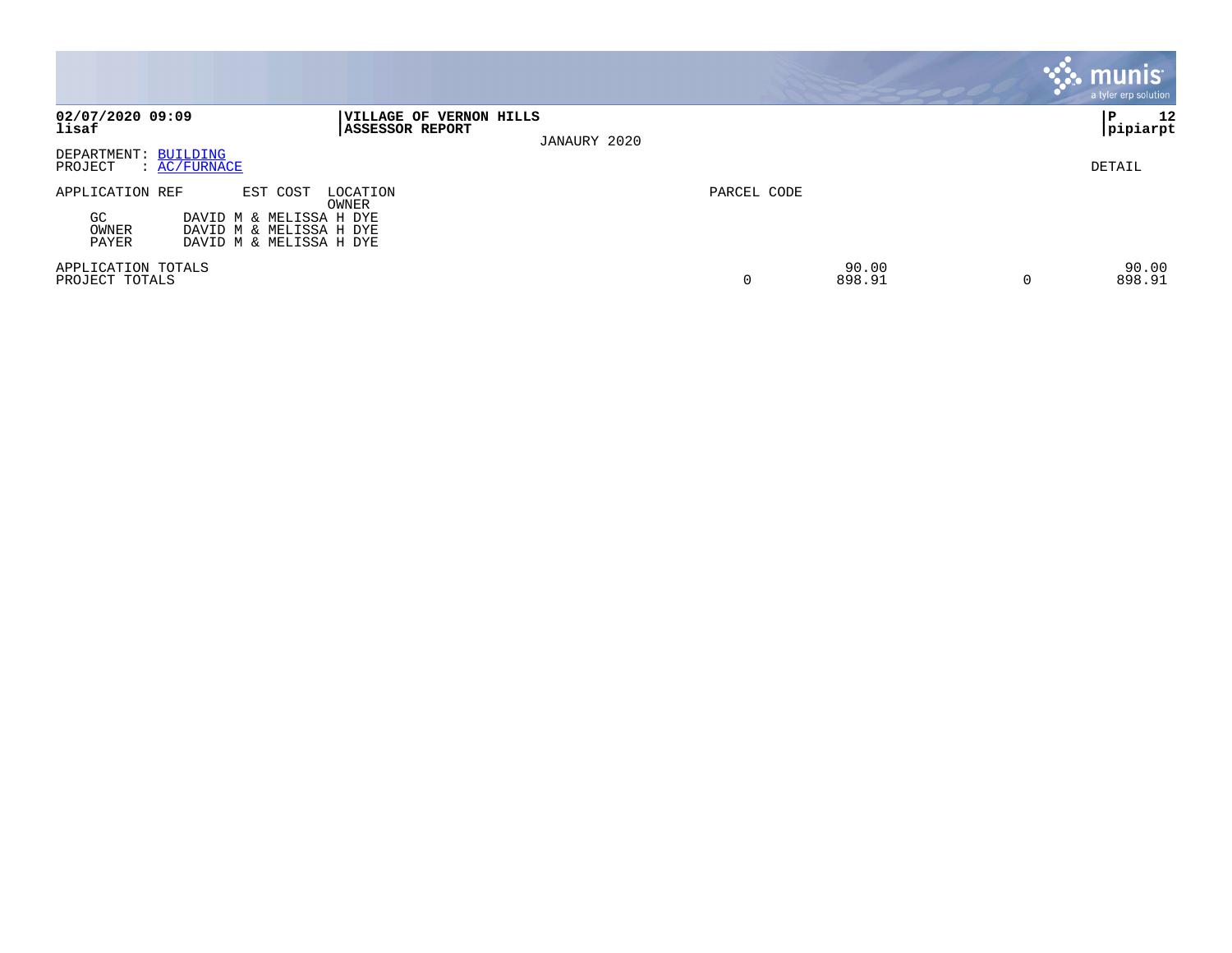|                                          |                                                                                           |                                                   |              |             |                 | <b>munis</b><br>a tyler erp solution |
|------------------------------------------|-------------------------------------------------------------------------------------------|---------------------------------------------------|--------------|-------------|-----------------|--------------------------------------|
| 02/07/2020 09:09<br>lisaf                |                                                                                           | VILLAGE OF VERNON HILLS<br><b>ASSESSOR REPORT</b> | JANAURY 2020 |             |                 | 12<br>l P<br> pipiarpt               |
| DEPARTMENT: BUILDING<br>PROJECT          | $\colon$ AC/FURNACE                                                                       |                                                   |              |             |                 | DETAIL                               |
| APPLICATION REF<br>GC.<br>OWNER<br>PAYER | EST COST<br>DAVID M & MELISSA H DYE<br>DAVID M & MELISSA H DYE<br>DAVID M & MELISSA H DYE | LOCATION<br>OWNER                                 |              | PARCEL CODE |                 |                                      |
| APPLICATION TOTALS<br>PROJECT TOTALS     |                                                                                           |                                                   |              | 0           | 90.00<br>898.91 | 90.00<br>898.91                      |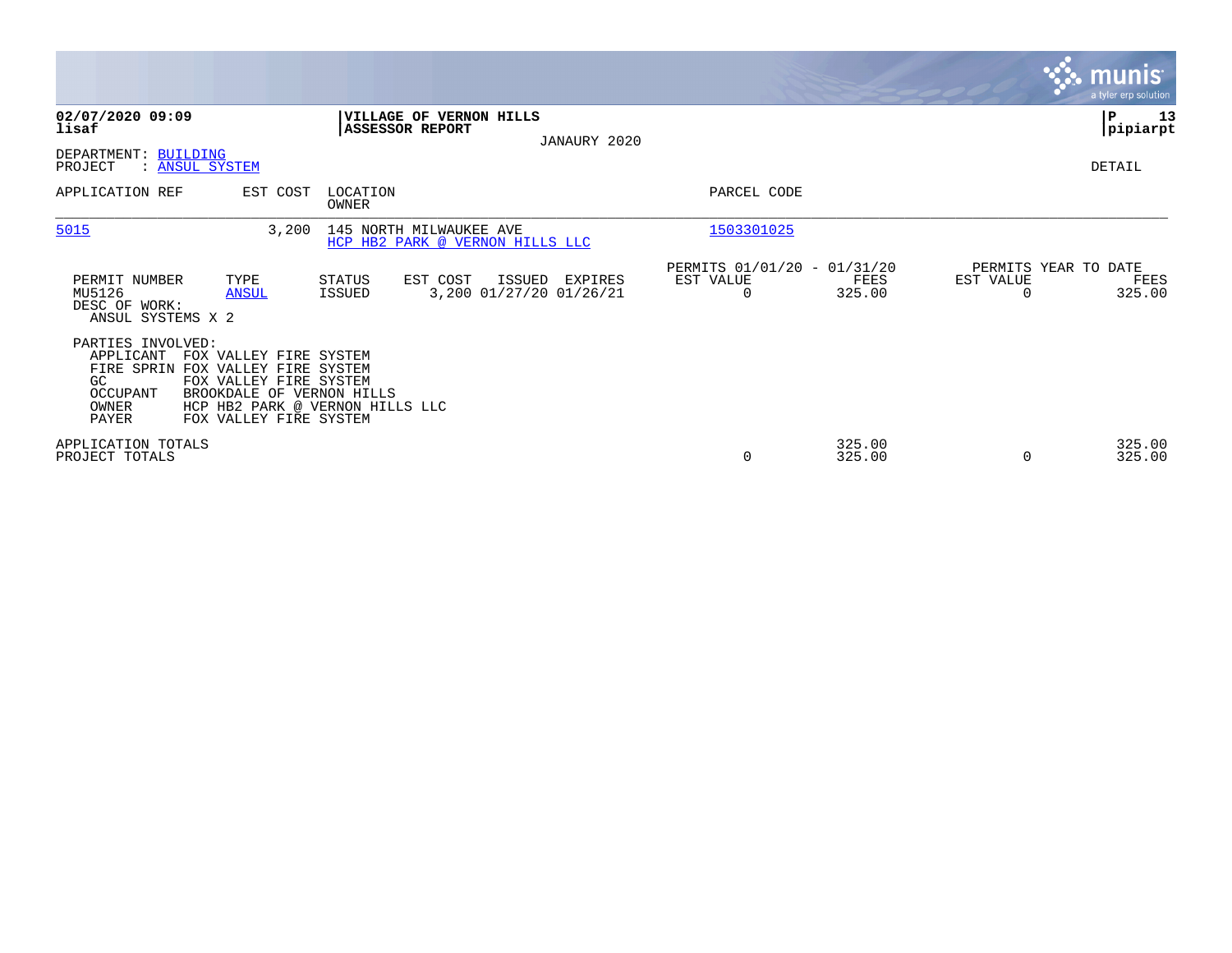|                                                                                                                                                                                                                            |                                                                                     |                                                      |                             | munis<br>a tyler erp solution          |
|----------------------------------------------------------------------------------------------------------------------------------------------------------------------------------------------------------------------------|-------------------------------------------------------------------------------------|------------------------------------------------------|-----------------------------|----------------------------------------|
| 02/07/2020 09:09<br>lisaf                                                                                                                                                                                                  | <b>VILLAGE OF VERNON HILLS</b><br><b>ASSESSOR REPORT</b><br>JANAURY 2020            |                                                      |                             | ∣₽<br>13<br> pipiarpt                  |
| DEPARTMENT: BUILDING<br>PROJECT<br>: ANSUL SYSTEM                                                                                                                                                                          |                                                                                     |                                                      |                             | DETAIL                                 |
| APPLICATION REF<br>EST COST                                                                                                                                                                                                | LOCATION<br>OWNER                                                                   | PARCEL CODE                                          |                             |                                        |
| 5015<br>3,200                                                                                                                                                                                                              | 145 NORTH MILWAUKEE AVE<br>HCP HB2 PARK @ VERNON HILLS LLC                          | 1503301025                                           |                             |                                        |
| PERMIT NUMBER<br>TYPE<br>MU5126<br><b>ANSUL</b><br>DESC OF WORK:<br>ANSUL SYSTEMS X 2                                                                                                                                      | EST COST<br>ISSUED<br><b>STATUS</b><br>EXPIRES<br>3,200 01/27/20 01/26/21<br>ISSUED | PERMITS 01/01/20 - 01/31/20<br>EST VALUE<br>$\Omega$ | EST VALUE<br>FEES<br>325.00 | PERMITS YEAR TO DATE<br>FEES<br>325.00 |
| PARTIES INVOLVED:<br>APPLICANT<br>FOX VALLEY FIRE SYSTEM<br>FIRE SPRIN FOX VALLEY FIRE SYSTEM<br>FOX VALLEY FIRE SYSTEM<br>GC.<br>OCCUPANT<br>BROOKDALE OF VERNON HILLS<br>OWNER<br><b>PAYER</b><br>FOX VALLEY FIRE SYSTEM | HCP HB2 PARK @ VERNON HILLS LLC                                                     |                                                      |                             |                                        |
| APPLICATION TOTALS<br>PROJECT TOTALS                                                                                                                                                                                       |                                                                                     | 0                                                    | 325.00<br>325.00<br>0       | 325.00<br>325.00                       |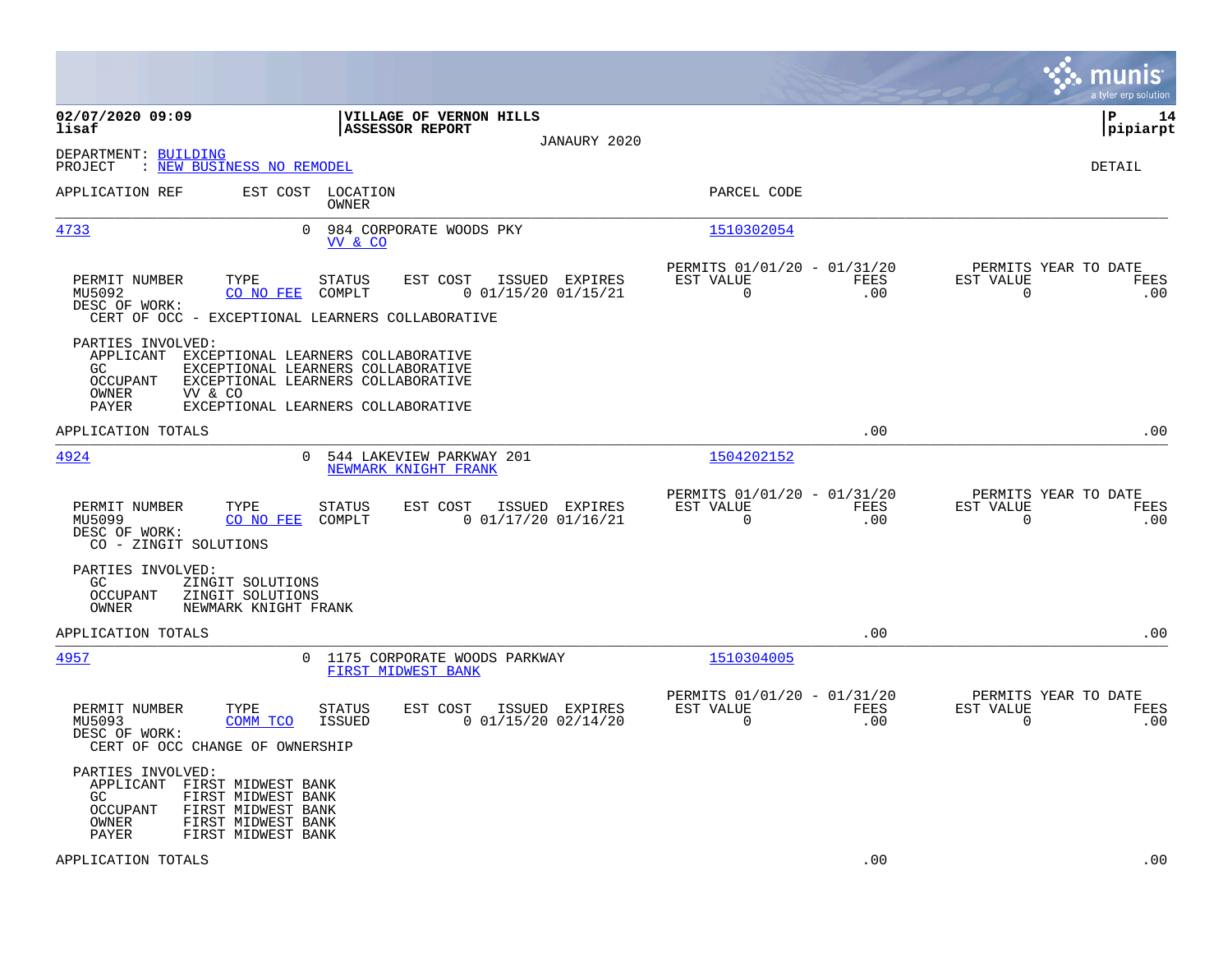|                                                                                                                                                                               |                                                                                                                                                                |                                                                        | munis<br>a tyler erp solution                                   |
|-------------------------------------------------------------------------------------------------------------------------------------------------------------------------------|----------------------------------------------------------------------------------------------------------------------------------------------------------------|------------------------------------------------------------------------|-----------------------------------------------------------------|
| 02/07/2020 09:09<br>lisaf                                                                                                                                                     | VILLAGE OF VERNON HILLS<br><b>ASSESSOR REPORT</b><br>JANAURY 2020                                                                                              |                                                                        | l P<br>14<br> pipiarpt                                          |
| DEPARTMENT: BUILDING<br>: NEW BUSINESS NO REMODEL<br>PROJECT                                                                                                                  |                                                                                                                                                                |                                                                        | DETAIL                                                          |
| APPLICATION REF                                                                                                                                                               | EST COST LOCATION<br>OWNER                                                                                                                                     | PARCEL CODE                                                            |                                                                 |
| 4733                                                                                                                                                                          | $\Omega$<br>984 CORPORATE WOODS PKY<br>VV & CO                                                                                                                 | 1510302054                                                             |                                                                 |
| PERMIT NUMBER<br>TYPE<br>MU5092<br>CO NO FEE<br>DESC OF WORK:                                                                                                                 | <b>STATUS</b><br>EST COST<br>ISSUED EXPIRES<br>COMPLT<br>$0$ $01/15/20$ $01/15/21$<br>CERT OF OCC - EXCEPTIONAL LEARNERS COLLABORATIVE                         | PERMITS 01/01/20 - 01/31/20<br>EST VALUE<br>FEES<br>$\mathbf 0$<br>.00 | PERMITS YEAR TO DATE<br>EST VALUE<br>FEES<br>$\mathbf 0$<br>.00 |
| PARTIES INVOLVED:<br>GC<br><b>OCCUPANT</b><br>OWNER<br>VV & CO<br>PAYER                                                                                                       | APPLICANT EXCEPTIONAL LEARNERS COLLABORATIVE<br>EXCEPTIONAL LEARNERS COLLABORATIVE<br>EXCEPTIONAL LEARNERS COLLABORATIVE<br>EXCEPTIONAL LEARNERS COLLABORATIVE |                                                                        |                                                                 |
| APPLICATION TOTALS                                                                                                                                                            |                                                                                                                                                                | .00                                                                    | .00                                                             |
| 4924                                                                                                                                                                          | $\Omega$<br>544 LAKEVIEW PARKWAY 201<br>NEWMARK KNIGHT FRANK                                                                                                   | 1504202152                                                             |                                                                 |
| TYPE<br>PERMIT NUMBER<br>MU5099<br>CO NO FEE<br>DESC OF WORK:<br>CO - ZINGIT SOLUTIONS                                                                                        | EST COST<br>ISSUED EXPIRES<br><b>STATUS</b><br>COMPLT<br>$0$ 01/17/20 01/16/21                                                                                 | PERMITS 01/01/20 - 01/31/20<br>EST VALUE<br>FEES<br>.00<br>$\mathbf 0$ | PERMITS YEAR TO DATE<br>EST VALUE<br>FEES<br>$\mathbf 0$<br>.00 |
| PARTIES INVOLVED:<br>GC.<br>ZINGIT SOLUTIONS<br><b>OCCUPANT</b><br>ZINGIT SOLUTIONS<br>OWNER<br>NEWMARK KNIGHT FRANK                                                          |                                                                                                                                                                |                                                                        |                                                                 |
| APPLICATION TOTALS                                                                                                                                                            |                                                                                                                                                                | .00                                                                    | .00                                                             |
| 4957                                                                                                                                                                          | 0 1175 CORPORATE WOODS PARKWAY<br>FIRST MIDWEST BANK                                                                                                           | 1510304005                                                             |                                                                 |
| PERMIT NUMBER<br>TYPE<br>COMM TCO<br>MU5093<br>DESC OF WORK:<br>CERT OF OCC CHANGE OF OWNERSHIP                                                                               | <b>STATUS</b><br>EST COST<br>ISSUED EXPIRES<br>ISSUED<br>$0$ 01/15/20 02/14/20                                                                                 | PERMITS 01/01/20 - 01/31/20<br>EST VALUE<br>FEES<br>$\mathbf 0$<br>.00 | PERMITS YEAR TO DATE<br>EST VALUE<br>FEES<br>$\mathbf 0$<br>.00 |
| PARTIES INVOLVED:<br>APPLICANT FIRST MIDWEST BANK<br>GC<br>FIRST MIDWEST BANK<br>OCCUPANT<br>FIRST MIDWEST BANK<br>OWNER<br>FIRST MIDWEST BANK<br>PAYER<br>FIRST MIDWEST BANK |                                                                                                                                                                |                                                                        |                                                                 |
| APPLICATION TOTALS                                                                                                                                                            |                                                                                                                                                                | .00                                                                    | .00                                                             |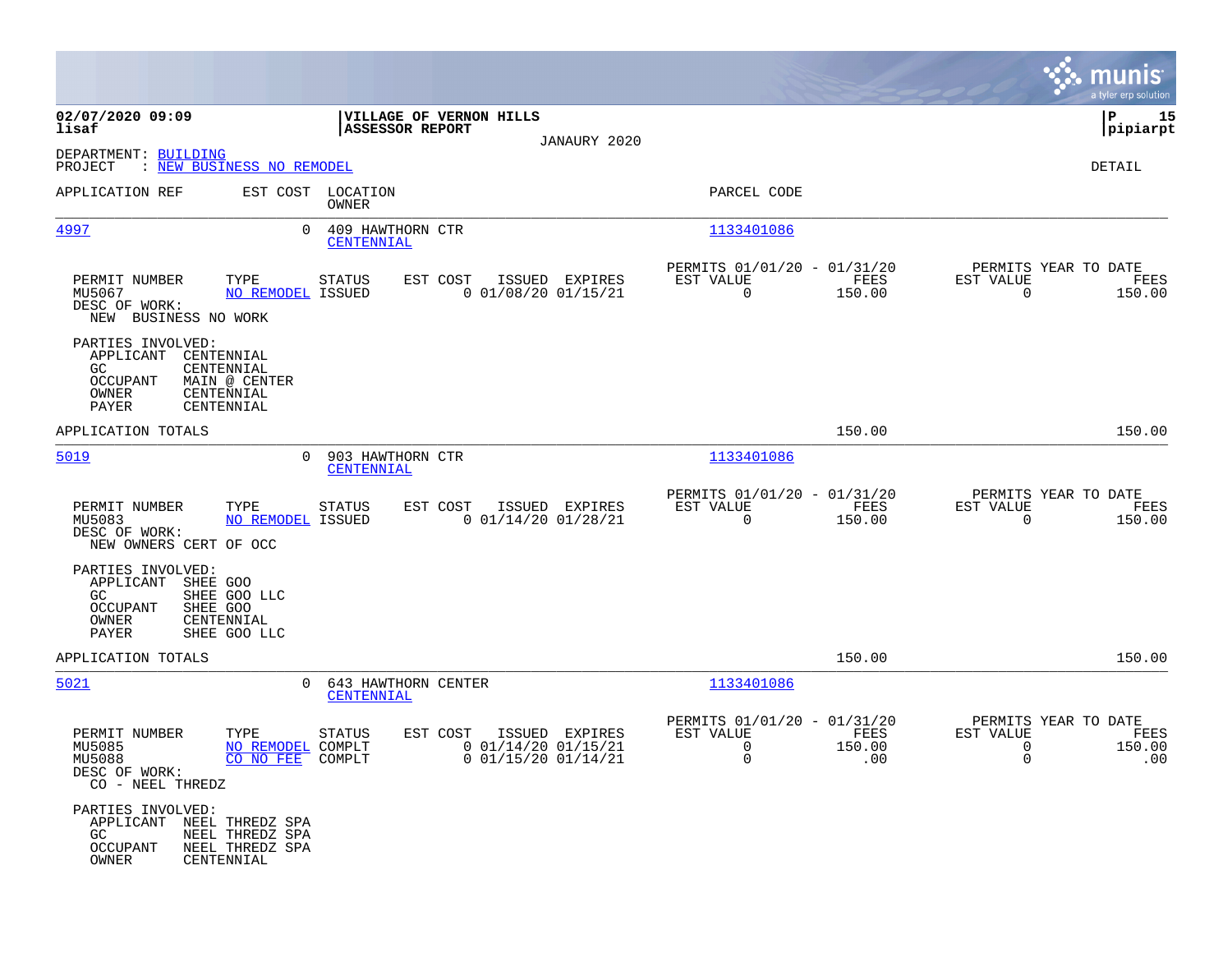|                                                                                          |                                                         |                                          |                                                                |                |                                                                     |                       |                                                                 | munis<br>a tyler erp solution |
|------------------------------------------------------------------------------------------|---------------------------------------------------------|------------------------------------------|----------------------------------------------------------------|----------------|---------------------------------------------------------------------|-----------------------|-----------------------------------------------------------------|-------------------------------|
| 02/07/2020 09:09<br>lisaf                                                                |                                                         | <b>ASSESSOR REPORT</b>                   | VILLAGE OF VERNON HILLS                                        |                |                                                                     |                       |                                                                 | 15<br> P<br> pipiarpt         |
| DEPARTMENT: BUILDING<br>PROJECT<br>: NEW BUSINESS NO REMODEL                             |                                                         |                                          |                                                                | JANAURY 2020   |                                                                     |                       |                                                                 | DETAIL                        |
| APPLICATION REF                                                                          |                                                         | EST COST LOCATION<br>OWNER               |                                                                |                | PARCEL CODE                                                         |                       |                                                                 |                               |
| 4997                                                                                     | $\Omega$                                                | 409 HAWTHORN CTR<br>CENTENNIAL           |                                                                |                | 1133401086                                                          |                       |                                                                 |                               |
| PERMIT NUMBER<br>MU5067<br>DESC OF WORK:<br>NEW BUSINESS NO WORK                         | TYPE<br>NO REMODEL ISSUED                               | STATUS                                   | EST COST<br>$0$ 01/08/20 01/15/21                              | ISSUED EXPIRES | PERMITS 01/01/20 - 01/31/20<br>EST VALUE<br>$\overline{0}$          | FEES<br>150.00        | PERMITS YEAR TO DATE<br>EST VALUE<br>$\Omega$                   | FEES<br>150.00                |
| PARTIES INVOLVED:<br>APPLICANT<br>CENTENNIAL<br>GC<br>OCCUPANT<br>OWNER<br>PAYER         | CENTENNIAL<br>MAIN @ CENTER<br>CENTENNIAL<br>CENTENNIAL |                                          |                                                                |                |                                                                     |                       |                                                                 |                               |
| APPLICATION TOTALS                                                                       |                                                         |                                          |                                                                |                |                                                                     | 150.00                |                                                                 | 150.00                        |
| 5019                                                                                     | $\Omega$                                                | 903 HAWTHORN CTR<br>CENTENNIAL           |                                                                |                | 1133401086                                                          |                       |                                                                 |                               |
| PERMIT NUMBER<br>MU5083<br>DESC OF WORK:<br>NEW OWNERS CERT OF OCC                       | TYPE<br>NO REMODEL ISSUED                               | <b>STATUS</b>                            | EST COST<br>$0$ 01/14/20 01/28/21                              | ISSUED EXPIRES | PERMITS 01/01/20 - 01/31/20<br>EST VALUE<br>$\Omega$                | FEES<br>150.00        | PERMITS YEAR TO DATE<br>EST VALUE<br>$\Omega$                   | FEES<br>150.00                |
| PARTIES INVOLVED:<br>APPLICANT SHEE GOO<br>GC.<br>SHEE GOO<br>OCCUPANT<br>OWNER<br>PAYER | SHEE GOO LLC<br>CENTENNIAL<br>SHEE GOO LLC              |                                          |                                                                |                |                                                                     |                       |                                                                 |                               |
| APPLICATION TOTALS                                                                       |                                                         |                                          |                                                                |                |                                                                     | 150.00                |                                                                 | 150.00                        |
| 5021                                                                                     | $\mathbf{0}$                                            | 643 HAWTHORN CENTER<br><b>CENTENNIAL</b> |                                                                |                | 1133401086                                                          |                       |                                                                 |                               |
| PERMIT NUMBER<br>MU5085<br>MU5088<br>DESC OF WORK:<br>CO - NEEL THREDZ                   | TYPE<br>NO REMODEL COMPLT<br>CO NO FEE COMPLT           | <b>STATUS</b>                            | EST COST<br>$0$ 01/14/20 01/15/21<br>$0$ $01/15/20$ $01/14/21$ | ISSUED EXPIRES | PERMITS 01/01/20 - 01/31/20<br>EST VALUE<br>$\Omega$<br>$\mathbf 0$ | FEES<br>150.00<br>.00 | PERMITS YEAR TO DATE<br>EST VALUE<br>$\mathbf 0$<br>$\mathbf 0$ | FEES<br>150.00<br>.00         |
| PARTIES INVOLVED:<br>APPLICANT NEEL THREDZ SPA<br>GC<br>OCCUPANT<br>OWNER                | NEEL THREDZ SPA<br>NEEL THREDZ SPA<br>CENTENNIAL        |                                          |                                                                |                |                                                                     |                       |                                                                 |                               |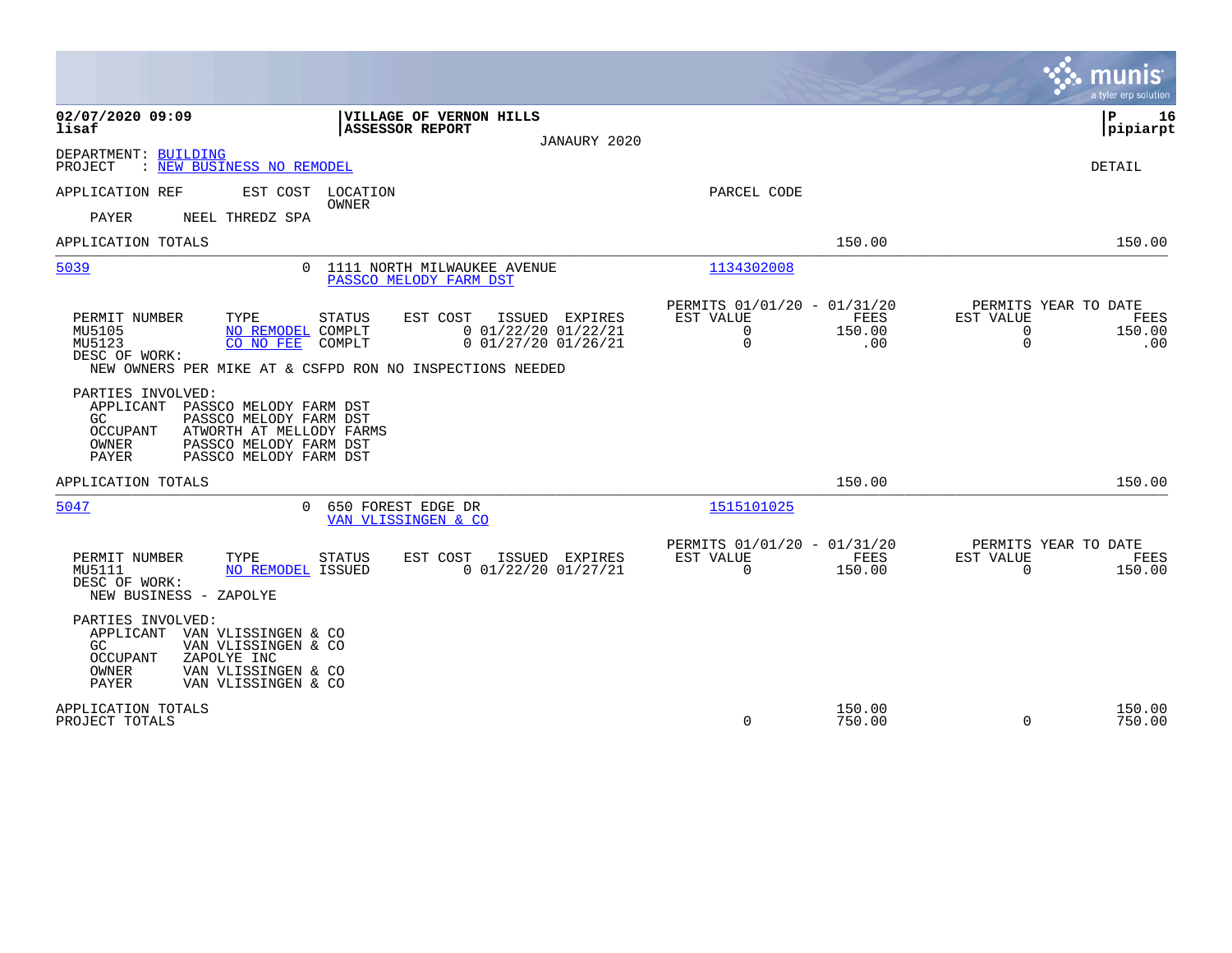|                                                                                                                                                                                                                                                                         |                                                                                       | munis<br>a tyler erp solution                                                  |
|-------------------------------------------------------------------------------------------------------------------------------------------------------------------------------------------------------------------------------------------------------------------------|---------------------------------------------------------------------------------------|--------------------------------------------------------------------------------|
| 02/07/2020 09:09<br><b>VILLAGE OF VERNON HILLS</b><br>lisaf<br><b>ASSESSOR REPORT</b><br>JANAURY 2020                                                                                                                                                                   |                                                                                       | 16<br>ΙP<br> pipiarpt                                                          |
| DEPARTMENT: BUILDING<br>: NEW BUSINESS NO REMODEL<br>PROJECT                                                                                                                                                                                                            |                                                                                       | DETAIL                                                                         |
| APPLICATION REF<br>EST COST<br>LOCATION<br>OWNER<br>PAYER<br>NEEL THREDZ SPA                                                                                                                                                                                            | PARCEL CODE                                                                           |                                                                                |
| APPLICATION TOTALS                                                                                                                                                                                                                                                      | 150.00                                                                                | 150.00                                                                         |
| 5039<br>1111 NORTH MILWAUKEE AVENUE<br>$\Omega$<br>PASSCO MELODY FARM DST                                                                                                                                                                                               | 1134302008                                                                            |                                                                                |
| PERMIT NUMBER<br>TYPE<br><b>STATUS</b><br>EST COST<br>ISSUED EXPIRES<br>$0$ 01/22/20 01/22/21<br>MU5105<br>NO REMODEL COMPLT<br>$0$ $01/27/20$ $01/26/21$<br>MU5123<br>CO NO FEE<br>COMPLT<br>DESC OF WORK:<br>NEW OWNERS PER MIKE AT & CSFPD RON NO INSPECTIONS NEEDED | PERMITS 01/01/20 - 01/31/20<br>FEES<br>EST VALUE<br>0<br>150.00<br>$\mathbf 0$<br>.00 | PERMITS YEAR TO DATE<br>EST VALUE<br>FEES<br>0<br>150.00<br>$\mathbf 0$<br>.00 |
| PARTIES INVOLVED:<br>APPLICANT<br>PASSCO MELODY FARM DST<br>PASSCO MELODY FARM DST<br>GC<br>OCCUPANT<br>ATWORTH AT MELLODY FARMS<br>OWNER<br>PASSCO MELODY FARM DST<br><b>PAYER</b><br>PASSCO MELODY FARM DST                                                           |                                                                                       |                                                                                |
| APPLICATION TOTALS                                                                                                                                                                                                                                                      | 150.00                                                                                | 150.00                                                                         |
| 5047<br>650 FOREST EDGE DR<br>$\Omega$<br>VAN VLISSINGEN & CO                                                                                                                                                                                                           | 1515101025                                                                            |                                                                                |
| PERMIT NUMBER<br>TYPE<br>EST COST<br>ISSUED EXPIRES<br>STATUS<br>$0$ 01/22/20 01/27/21<br>MU5111<br>NO REMODEL ISSUED<br>DESC OF WORK:<br>NEW BUSINESS - ZAPOLYE                                                                                                        | PERMITS 01/01/20 - 01/31/20<br>EST VALUE<br>FEES<br>$\Omega$<br>150.00                | PERMITS YEAR TO DATE<br>EST VALUE<br>FEES<br>$\Omega$<br>150.00                |
| PARTIES INVOLVED:<br>APPLICANT<br>VAN VLISSINGEN & CO<br>GC<br>VAN VLISSINGEN & CO<br>ZAPOLYE INC<br><b>OCCUPANT</b><br><b>OWNER</b><br>VAN VLISSINGEN & CO<br><b>PAYER</b><br>VAN VLISSINGEN & CO                                                                      |                                                                                       |                                                                                |
| APPLICATION TOTALS<br>PROJECT TOTALS                                                                                                                                                                                                                                    | 150.00<br>0<br>750.00                                                                 | 150.00<br>$\Omega$<br>750.00                                                   |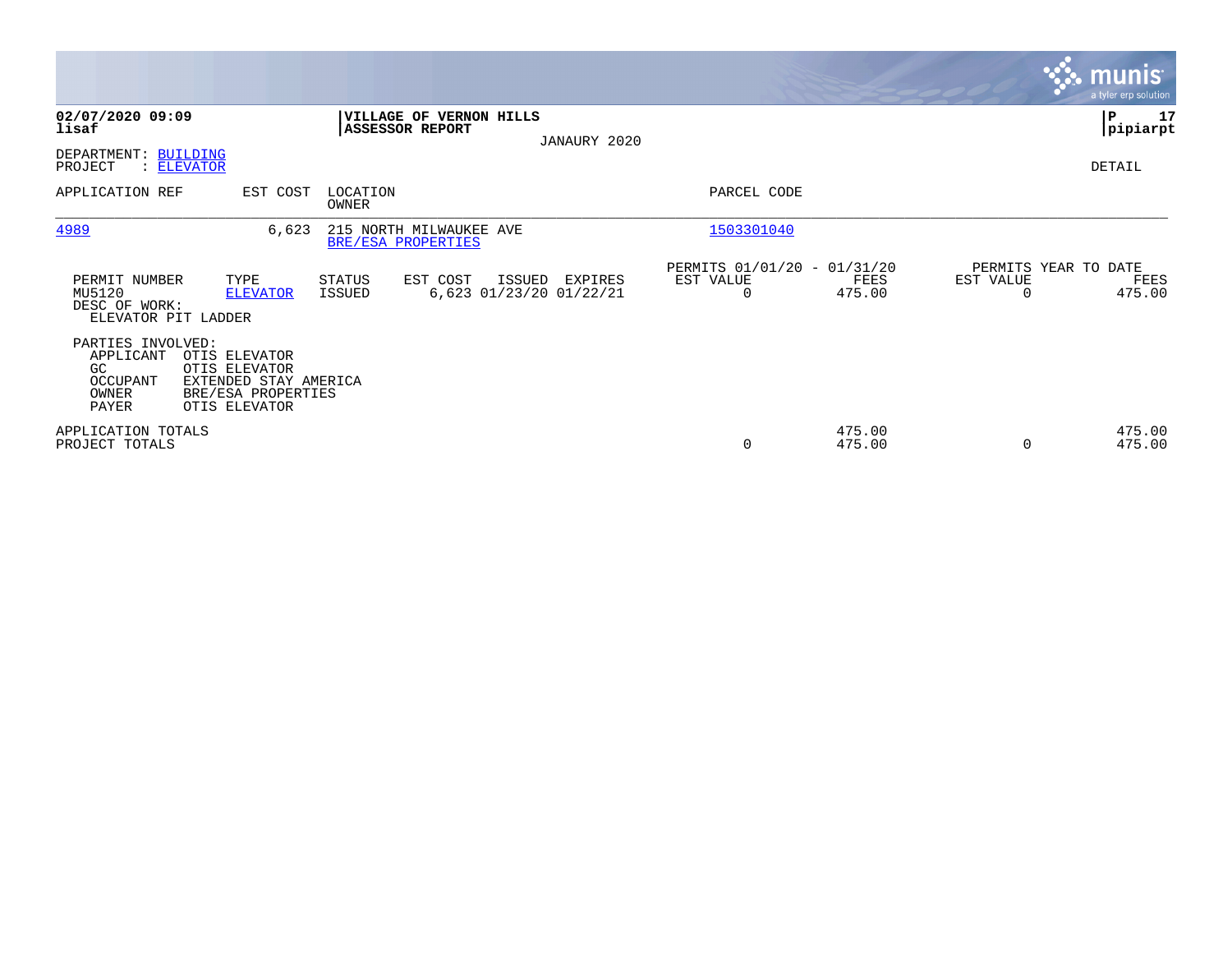|                                                                                                            |                                                                                                |                   |                                                                                                |              |                                                                    |                  |                                   | <b>munis</b><br>a tyler erp solution |
|------------------------------------------------------------------------------------------------------------|------------------------------------------------------------------------------------------------|-------------------|------------------------------------------------------------------------------------------------|--------------|--------------------------------------------------------------------|------------------|-----------------------------------|--------------------------------------|
| 02/07/2020 09:09<br>lisaf<br>DEPARTMENT: BUILDING                                                          |                                                                                                |                   | <b>VILLAGE OF VERNON HILLS</b><br><b>ASSESSOR REPORT</b>                                       | JANAURY 2020 |                                                                    |                  |                                   | ∣P<br>17<br> pipiarpt                |
| PROJECT<br>APPLICATION REF                                                                                 | : ELEVATOR<br>EST COST                                                                         | LOCATION<br>OWNER |                                                                                                |              | PARCEL CODE                                                        |                  |                                   | DETAIL                               |
| 4989<br>PERMIT NUMBER<br>MU5120<br>DESC OF WORK:<br>ELEVATOR PIT LADDER                                    | 6,623<br>TYPE<br><b>ELEVATOR</b>                                                               | STATUS<br>ISSUED  | 215 NORTH MILWAUKEE AVE<br>BRE/ESA PROPERTIES<br>EST COST<br>ISSUED<br>6,623 01/23/20 01/22/21 | EXPIRES      | 1503301040<br>PERMITS 01/01/20 - 01/31/20<br>EST VALUE<br>$\Omega$ | FEES<br>475.00   | PERMITS YEAR TO DATE<br>EST VALUE | FEES<br>475.00                       |
| PARTIES INVOLVED:<br>APPLICANT<br>GC<br>OCCUPANT<br>OWNER<br>PAYER<br>APPLICATION TOTALS<br>PROJECT TOTALS | OTIS ELEVATOR<br>OTIS ELEVATOR<br>EXTENDED STAY AMERICA<br>BRE/ESA PROPERTIES<br>OTIS ELEVATOR |                   |                                                                                                |              | 0                                                                  | 475.00<br>475.00 |                                   | 475.00<br>475.00                     |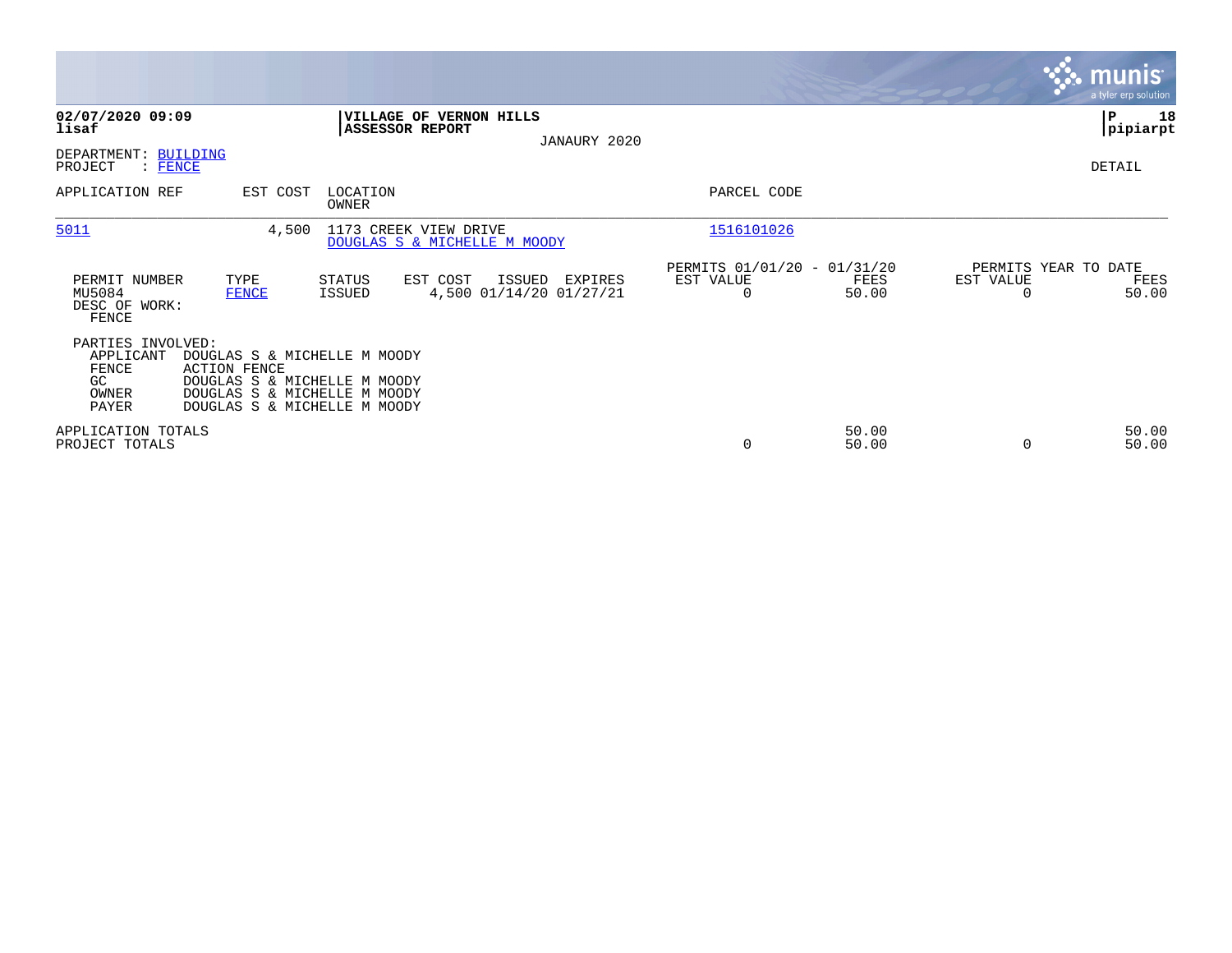|                                                                 |                                                                                                                                                     |                   |                                                          |                                   |              |                                                      |                |           | munis <sup>®</sup><br>a tyler erp solution |
|-----------------------------------------------------------------|-----------------------------------------------------------------------------------------------------------------------------------------------------|-------------------|----------------------------------------------------------|-----------------------------------|--------------|------------------------------------------------------|----------------|-----------|--------------------------------------------|
| 02/07/2020 09:09<br>lisaf                                       |                                                                                                                                                     |                   | <b>VILLAGE OF VERNON HILLS</b><br><b>ASSESSOR REPORT</b> |                                   | JANAURY 2020 |                                                      |                |           | ∣P<br>18<br> pipiarpt                      |
| DEPARTMENT:<br>PROJECT<br><b>FENCE</b>                          | <b>BUILDING</b>                                                                                                                                     |                   |                                                          |                                   |              |                                                      |                |           | DETAIL                                     |
| APPLICATION REF                                                 | EST COST                                                                                                                                            | LOCATION<br>OWNER |                                                          |                                   |              | PARCEL CODE                                          |                |           |                                            |
| 5011                                                            | 4,500                                                                                                                                               |                   | 1173 CREEK VIEW DRIVE<br>DOUGLAS S & MICHELLE M MOODY    |                                   |              | 1516101026                                           |                |           |                                            |
| PERMIT NUMBER<br>MU5084<br>DESC OF WORK:<br>FENCE               | TYPE<br><b>FENCE</b>                                                                                                                                | STATUS<br>ISSUED  | EST COST                                                 | ISSUED<br>4,500 01/14/20 01/27/21 | EXPIRES      | PERMITS 01/01/20 - 01/31/20<br>EST VALUE<br>$\Omega$ | FEES<br>50.00  | EST VALUE | PERMITS YEAR TO DATE<br>FEES<br>50.00      |
| PARTIES INVOLVED:<br>APPLICANT<br>FENCE<br>GC<br>OWNER<br>PAYER | DOUGLAS S & MICHELLE M MOODY<br><b>ACTION FENCE</b><br>DOUGLAS S & MICHELLE M MOODY<br>DOUGLAS S & MICHELLE M MOODY<br>DOUGLAS S & MICHELLE M MOODY |                   |                                                          |                                   |              |                                                      |                |           |                                            |
| APPLICATION TOTALS<br>PROJECT TOTALS                            |                                                                                                                                                     |                   |                                                          |                                   |              | 0                                                    | 50.00<br>50.00 |           | 50.00<br>50.00                             |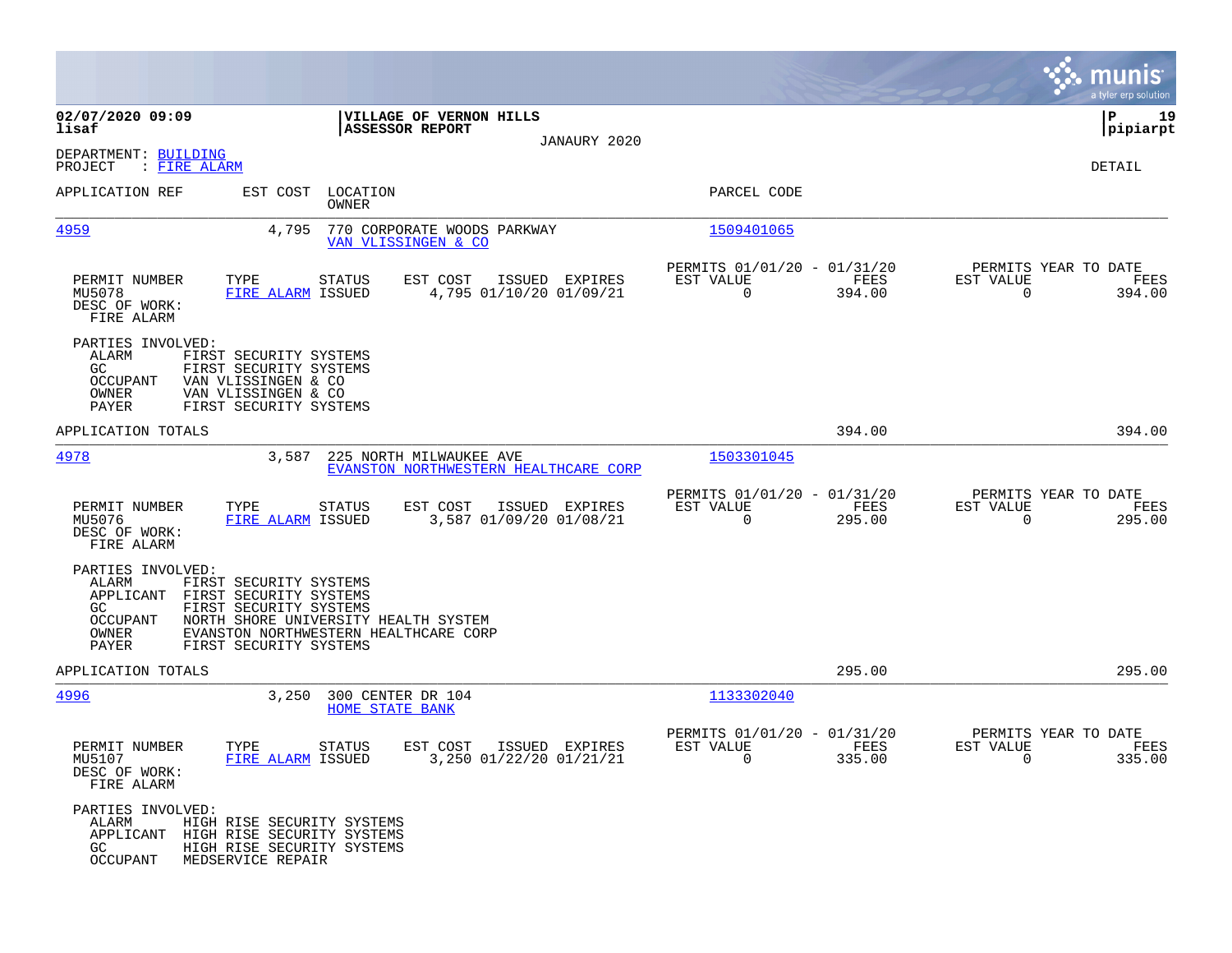|                                                                                                                                                                                            |                                                                               |                                                            | munis<br>a tyler erp solution                                                           |
|--------------------------------------------------------------------------------------------------------------------------------------------------------------------------------------------|-------------------------------------------------------------------------------|------------------------------------------------------------|-----------------------------------------------------------------------------------------|
| 02/07/2020 09:09<br>lisaf                                                                                                                                                                  | VILLAGE OF VERNON HILLS<br><b>ASSESSOR REPORT</b>                             |                                                            | ΙP<br>19<br> pipiarpt                                                                   |
| DEPARTMENT: BUILDING<br>PROJECT<br>: FIRE ALARM                                                                                                                                            | JANAURY 2020                                                                  |                                                            | DETAIL                                                                                  |
| APPLICATION REF                                                                                                                                                                            | EST COST LOCATION<br><b>OWNER</b>                                             | PARCEL CODE                                                |                                                                                         |
| <u>4959</u><br>4,795                                                                                                                                                                       | 770 CORPORATE WOODS PARKWAY<br>VAN VLISSINGEN & CO                            | 1509401065                                                 |                                                                                         |
| PERMIT NUMBER<br>TYPE<br>MU5078<br>FIRE ALARM ISSUED<br>DESC OF WORK:<br>FIRE ALARM                                                                                                        | EST COST<br>ISSUED EXPIRES<br>STATUS<br>4,795 01/10/20 01/09/21               | PERMITS 01/01/20 - 01/31/20<br>EST VALUE<br>$\overline{0}$ | PERMITS YEAR TO DATE<br>FEES<br>EST VALUE<br>FEES<br>394.00<br>$\Omega$<br>394.00       |
| PARTIES INVOLVED:<br>ALARM<br>FIRST SECURITY SYSTEMS<br>GC<br>FIRST SECURITY SYSTEMS<br>OCCUPANT<br>VAN VLISSINGEN & CO<br>OWNER<br>VAN VLISSINGEN & CO<br>PAYER<br>FIRST SECURITY SYSTEMS |                                                                               |                                                            |                                                                                         |
| APPLICATION TOTALS                                                                                                                                                                         |                                                                               |                                                            | 394.00<br>394.00                                                                        |
| 4978<br>3,587                                                                                                                                                                              | 225 NORTH MILWAUKEE AVE<br>EVANSTON NORTHWESTERN HEALTHCARE CORP              | 1503301045                                                 |                                                                                         |
| PERMIT NUMBER<br>TYPE<br>MU5076<br>FIRE ALARM ISSUED<br>DESC OF WORK:<br>FIRE ALARM                                                                                                        | EST COST<br>ISSUED EXPIRES<br>STATUS<br>3,587 01/09/20 01/08/21               | PERMITS 01/01/20 - 01/31/20<br>EST VALUE<br>$\mathbf 0$    | PERMITS YEAR TO DATE<br>FEES<br>EST VALUE<br>FEES<br>295.00<br>$\Omega$<br>295.00       |
| PARTIES INVOLVED:<br>ALARM<br>FIRST SECURITY SYSTEMS<br>APPLICANT FIRST SECURITY SYSTEMS<br>GC<br>FIRST SECURITY SYSTEMS<br>OCCUPANT<br>OWNER<br>PAYER<br>FIRST SECURITY SYSTEMS           | NORTH SHORE UNIVERSITY HEALTH SYSTEM<br>EVANSTON NORTHWESTERN HEALTHCARE CORP |                                                            |                                                                                         |
| APPLICATION TOTALS                                                                                                                                                                         |                                                                               |                                                            | 295.00<br>295.00                                                                        |
| 4996                                                                                                                                                                                       | 3,250 300 CENTER DR 104<br><b>HOME STATE BANK</b>                             | 1133302040                                                 |                                                                                         |
| PERMIT NUMBER<br>TYPE<br>FIRE ALARM ISSUED<br>MU5107<br>DESC OF WORK:<br>FIRE ALARM                                                                                                        | <b>STATUS</b><br>EST COST<br>ISSUED EXPIRES<br>3,250 01/22/20 01/21/21        | PERMITS 01/01/20 - 01/31/20<br>EST VALUE<br>$\sim$ 0       | PERMITS YEAR TO DATE<br>FEES<br>EST VALUE<br>FEES<br>335.00<br>335.00<br>$\overline{0}$ |
| PARTIES INVOLVED:<br>ALARM<br>HIGH RISE SECURITY SYSTEMS<br>APPLICANT HIGH RISE SECURITY SYSTEMS<br>GC<br>HIGH RISE SECURITY SYSTEMS<br>OCCUPANT<br>MEDSERVICE REPAIR                      |                                                                               |                                                            |                                                                                         |

**Contract**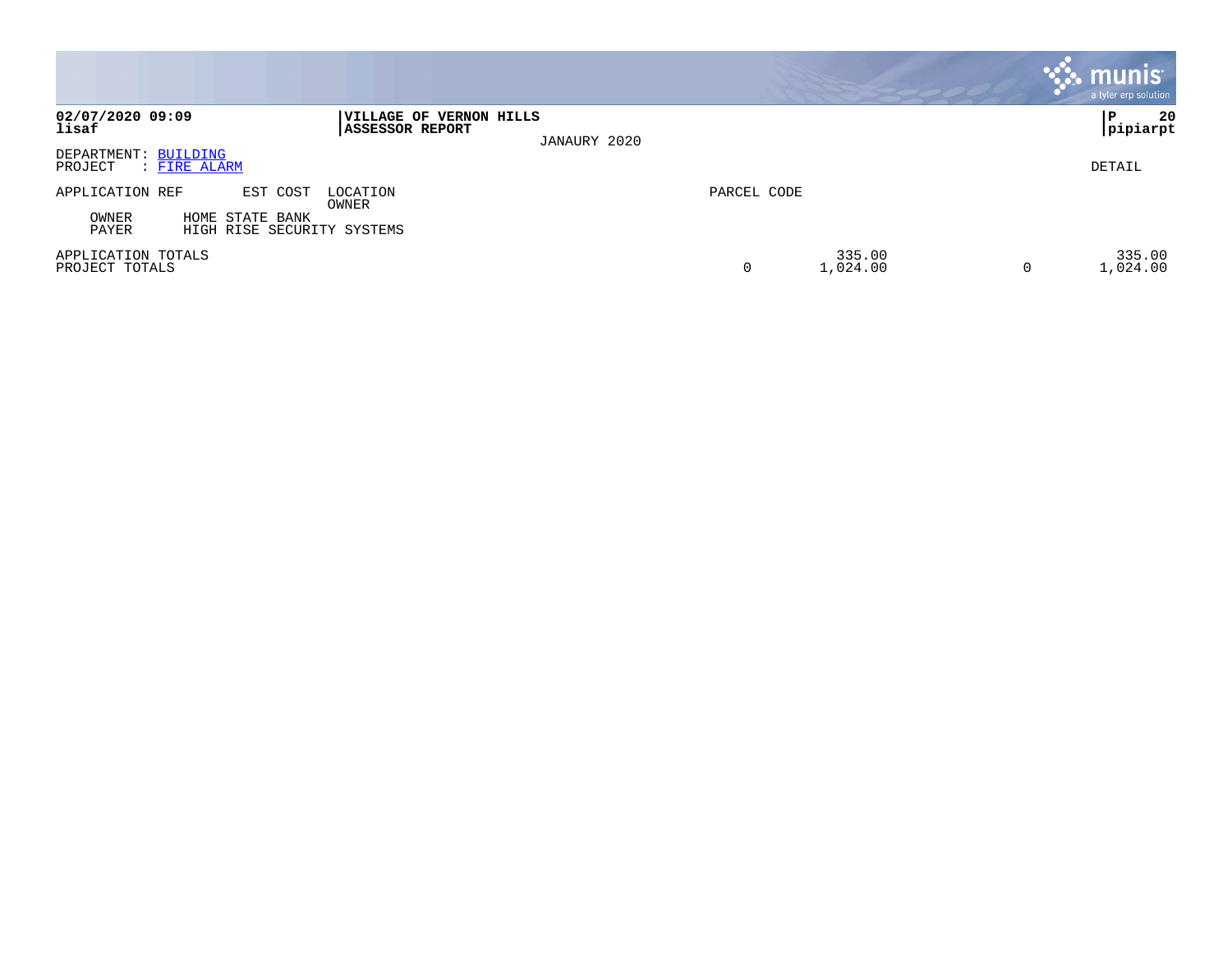|                                                                 |                                                                           |             |                         | munis<br>a tyler erp solution |
|-----------------------------------------------------------------|---------------------------------------------------------------------------|-------------|-------------------------|-------------------------------|
| 02/07/2020 09:09<br>lisaf                                       | <b> VILLAGE OF VERNON HILLS</b><br><b>ASSESSOR REPORT</b><br>JANAURY 2020 |             |                         | 20<br>  P<br>pipiarpt         |
| DEPARTMENT: BUILDING<br>PROJECT<br>: FIRE ALARM                 |                                                                           |             |                         | DETAIL                        |
| APPLICATION REF<br>EST COST                                     | LOCATION<br>OWNER                                                         | PARCEL CODE |                         |                               |
| OWNER<br>HOME STATE BANK<br>PAYER<br>HIGH RISE SECURITY SYSTEMS |                                                                           |             |                         |                               |
| APPLICATION TOTALS<br>PROJECT TOTALS                            |                                                                           | 0           | 335.00<br>1,024.00<br>0 | 335.00<br>1,024.00            |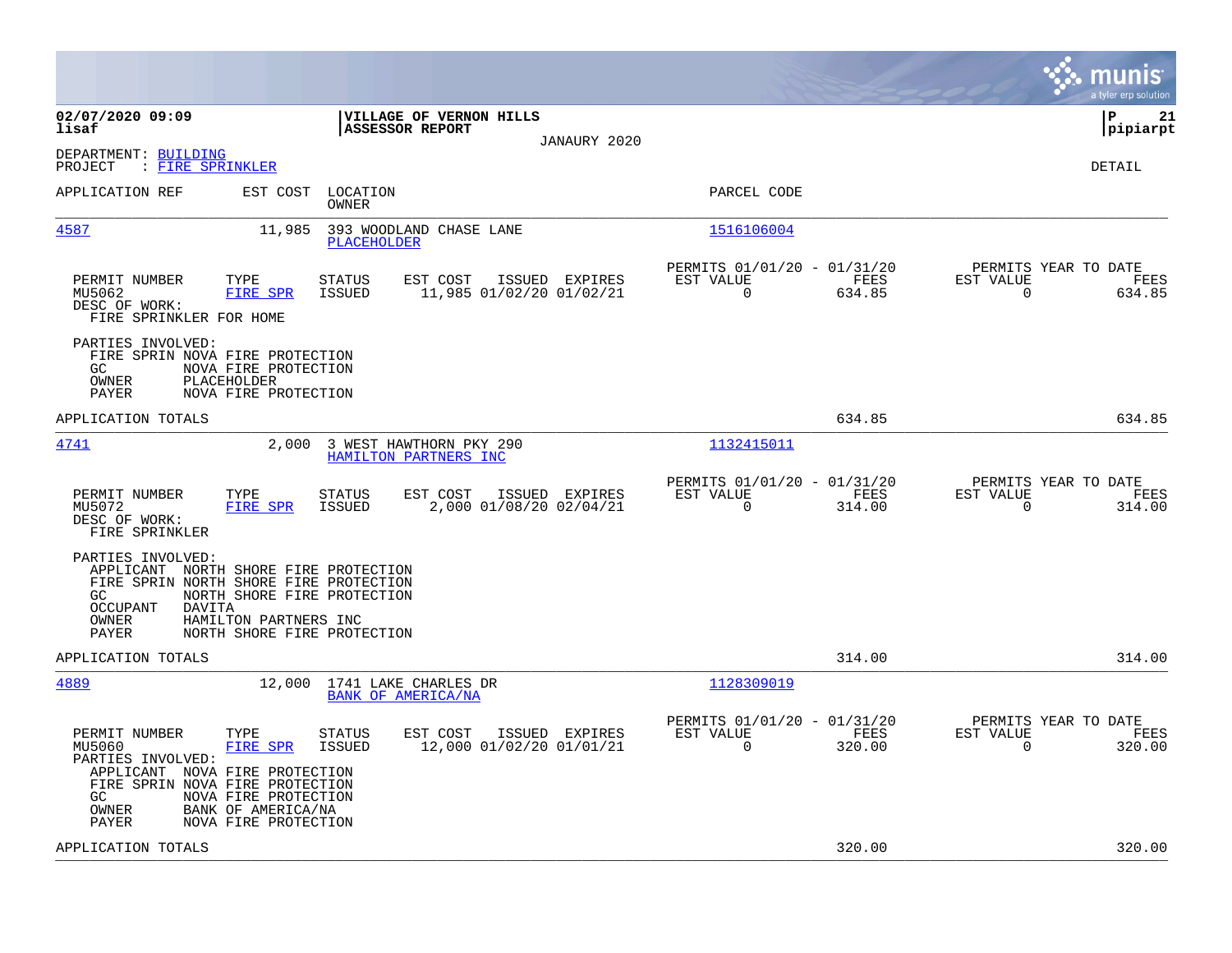| 02/07/2020 09:09<br>VILLAGE OF VERNON HILLS<br>lisaf<br><b>ASSESSOR REPORT</b><br>JANAURY 2020                                                                                                                                                                                                                                                                                                                                                   | l P<br>21<br> pipiarpt<br>DETAIL |
|--------------------------------------------------------------------------------------------------------------------------------------------------------------------------------------------------------------------------------------------------------------------------------------------------------------------------------------------------------------------------------------------------------------------------------------------------|----------------------------------|
|                                                                                                                                                                                                                                                                                                                                                                                                                                                  |                                  |
| DEPARTMENT: BUILDING<br>PROJECT<br>: FIRE SPRINKLER                                                                                                                                                                                                                                                                                                                                                                                              |                                  |
| APPLICATION REF<br>EST COST<br>LOCATION<br>PARCEL CODE<br>OWNER                                                                                                                                                                                                                                                                                                                                                                                  |                                  |
| 4587<br>11,985<br>393 WOODLAND CHASE LANE<br>1516106004<br><b>PLACEHOLDER</b>                                                                                                                                                                                                                                                                                                                                                                    |                                  |
| PERMITS 01/01/20 - 01/31/20<br>PERMITS YEAR TO DATE<br>EST COST<br>EST VALUE<br>EST VALUE<br>PERMIT NUMBER<br>TYPE<br><b>STATUS</b><br>ISSUED EXPIRES<br>FEES<br>$\Omega$<br>MU5062<br>FIRE SPR<br><b>ISSUED</b><br>11,985 01/02/20 01/02/21<br>634.85<br>$\Omega$<br>DESC OF WORK:<br>FIRE SPRINKLER FOR HOME                                                                                                                                   | FEES<br>634.85                   |
| PARTIES INVOLVED:<br>FIRE SPRIN NOVA FIRE PROTECTION<br>GC<br>NOVA FIRE PROTECTION<br>OWNER<br>PLACEHOLDER<br>NOVA FIRE PROTECTION<br>PAYER                                                                                                                                                                                                                                                                                                      |                                  |
| 634.85<br>APPLICATION TOTALS                                                                                                                                                                                                                                                                                                                                                                                                                     | 634.85                           |
| 4741<br>1132415011<br>2,000 3 WEST HAWTHORN PKY 290<br>HAMILTON PARTNERS INC                                                                                                                                                                                                                                                                                                                                                                     |                                  |
| PERMITS 01/01/20 - 01/31/20<br>PERMITS YEAR TO DATE<br>PERMIT NUMBER<br>TYPE<br><b>STATUS</b><br>EST COST<br>ISSUED EXPIRES<br>EST VALUE<br>FEES<br>EST VALUE<br>2,000 01/08/20 02/04/21<br>$\Omega$<br>314.00<br>$\mathbf 0$<br>MU5072<br>FIRE SPR<br>ISSUED<br>DESC OF WORK:<br>FIRE SPRINKLER                                                                                                                                                 | FEES<br>314.00                   |
| PARTIES INVOLVED:<br>APPLICANT NORTH SHORE FIRE PROTECTION<br>FIRE SPRIN NORTH SHORE FIRE PROTECTION<br>NORTH SHORE FIRE PROTECTION<br>GC<br><b>OCCUPANT</b><br><b>DAVITA</b><br>OWNER<br>HAMILTON PARTNERS INC<br>PAYER<br>NORTH SHORE FIRE PROTECTION                                                                                                                                                                                          |                                  |
| 314.00<br>APPLICATION TOTALS                                                                                                                                                                                                                                                                                                                                                                                                                     | 314.00                           |
| 4889<br>1128309019<br>12,000 1741 LAKE CHARLES DR<br><b>BANK OF AMERICA/NA</b>                                                                                                                                                                                                                                                                                                                                                                   |                                  |
| PERMITS 01/01/20 - 01/31/20<br>PERMITS YEAR TO DATE<br>EST VALUE<br>PERMIT NUMBER<br>FEES<br>EST VALUE<br>TYPE<br><b>STATUS</b><br>EST COST<br>ISSUED EXPIRES<br>12,000 01/02/20 01/01/21<br>$\mathbf 0$<br>320.00<br>MU5060<br>FIRE SPR<br>ISSUED<br>0<br>PARTIES INVOLVED:<br>APPLICANT NOVA FIRE PROTECTION<br>FIRE SPRIN NOVA FIRE PROTECTION<br>NOVA FIRE PROTECTION<br>GC.<br>BANK OF AMERICA/NA<br>OWNER<br>PAYER<br>NOVA FIRE PROTECTION | FEES<br>320.00                   |
| 320.00<br>APPLICATION TOTALS                                                                                                                                                                                                                                                                                                                                                                                                                     | 320.00                           |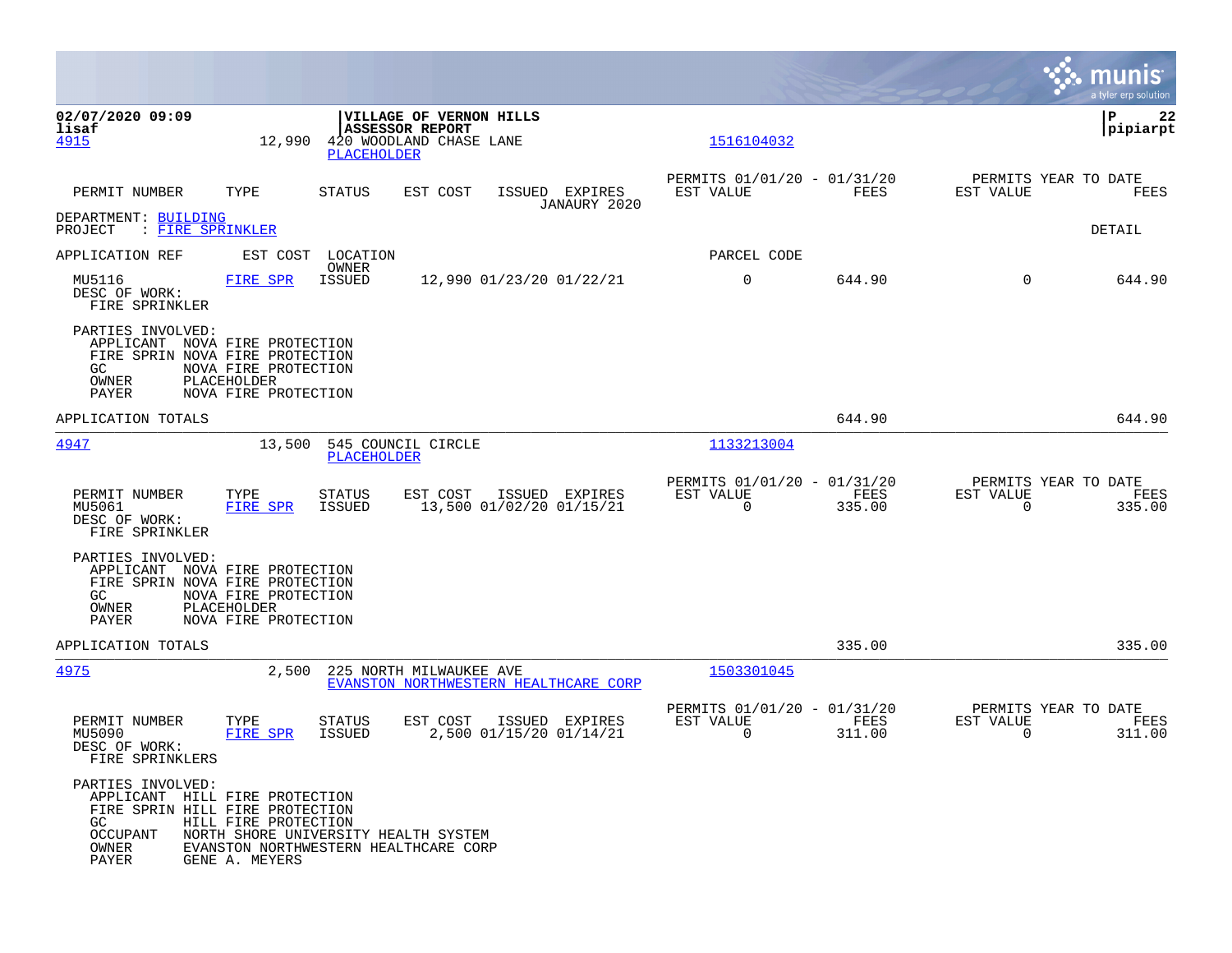|                                                                                                                                    |                                                                                                                         |                         |                                                                              |                                            |                                                         |                |                          | munis<br>a tyler erp solution          |
|------------------------------------------------------------------------------------------------------------------------------------|-------------------------------------------------------------------------------------------------------------------------|-------------------------|------------------------------------------------------------------------------|--------------------------------------------|---------------------------------------------------------|----------------|--------------------------|----------------------------------------|
| 02/07/2020 09:09<br>lisaf<br>4915                                                                                                  | 12,990                                                                                                                  | PLACEHOLDER             | VILLAGE OF VERNON HILLS<br><b>ASSESSOR REPORT</b><br>420 WOODLAND CHASE LANE |                                            | 1516104032                                              |                |                          | P<br>22<br> pipiarpt                   |
| PERMIT NUMBER<br>DEPARTMENT: BUILDING                                                                                              | TYPE                                                                                                                    | STATUS                  | EST COST                                                                     | ISSUED EXPIRES<br>JANAURY 2020             | PERMITS 01/01/20 - 01/31/20<br>EST VALUE                | FEES           | EST VALUE                | PERMITS YEAR TO DATE<br>FEES           |
| PROJECT<br>: FIRE SPRINKLER                                                                                                        |                                                                                                                         |                         |                                                                              |                                            |                                                         |                |                          | DETAIL                                 |
| APPLICATION REF                                                                                                                    | EST COST                                                                                                                | LOCATION<br>OWNER       |                                                                              |                                            | PARCEL CODE                                             |                |                          |                                        |
| MU5116<br>DESC OF WORK:<br>FIRE SPRINKLER                                                                                          | FIRE SPR                                                                                                                | <b>ISSUED</b>           |                                                                              | 12,990 01/23/20 01/22/21                   | 0                                                       | 644.90         | 0                        | 644.90                                 |
| PARTIES INVOLVED:<br>APPLICANT NOVA FIRE PROTECTION<br>FIRE SPRIN NOVA FIRE PROTECTION<br>GC.<br>OWNER<br>PAYER                    | NOVA FIRE PROTECTION<br>PLACEHOLDER<br>NOVA FIRE PROTECTION                                                             |                         |                                                                              |                                            |                                                         |                |                          |                                        |
| APPLICATION TOTALS                                                                                                                 |                                                                                                                         |                         |                                                                              |                                            |                                                         | 644.90         |                          | 644.90                                 |
| 4947                                                                                                                               | 13,500                                                                                                                  | <b>PLACEHOLDER</b>      | 545 COUNCIL CIRCLE                                                           |                                            | 1133213004                                              |                |                          |                                        |
| PERMIT NUMBER<br>MU5061<br>DESC OF WORK:<br>FIRE SPRINKLER                                                                         | TYPE<br><b>FIRE SPR</b>                                                                                                 | STATUS<br><b>ISSUED</b> | EST COST                                                                     | ISSUED EXPIRES<br>13,500 01/02/20 01/15/21 | PERMITS 01/01/20 - 01/31/20<br>EST VALUE<br>$\mathbf 0$ | FEES<br>335.00 | EST VALUE<br>$\mathbf 0$ | PERMITS YEAR TO DATE<br>FEES<br>335.00 |
| PARTIES INVOLVED:<br>APPLICANT NOVA FIRE PROTECTION<br>FIRE SPRIN NOVA FIRE PROTECTION<br>GC.<br>OWNER<br>PAYER                    | NOVA FIRE PROTECTION<br>PLACEHOLDER<br>NOVA FIRE PROTECTION                                                             |                         |                                                                              |                                            |                                                         |                |                          |                                        |
| APPLICATION TOTALS                                                                                                                 |                                                                                                                         |                         |                                                                              |                                            |                                                         | 335.00         |                          | 335.00                                 |
| <u>4975</u>                                                                                                                        | 2,500                                                                                                                   |                         | 225 NORTH MILWAUKEE AVE                                                      | EVANSTON NORTHWESTERN HEALTHCARE CORP      | 1503301045                                              |                |                          |                                        |
| PERMIT NUMBER<br>MU5090<br>DESC OF WORK:<br>FIRE SPRINKLERS                                                                        | TYPE<br>FIRE SPR                                                                                                        | STATUS<br><b>ISSUED</b> | EST COST                                                                     | ISSUED EXPIRES<br>2,500 01/15/20 01/14/21  | PERMITS 01/01/20 - 01/31/20<br>EST VALUE<br>$\mathbf 0$ | FEES<br>311.00 | EST VALUE<br>$\Omega$    | PERMITS YEAR TO DATE<br>FEES<br>311.00 |
| PARTIES INVOLVED:<br>APPLICANT HILL FIRE PROTECTION<br>FIRE SPRIN HILL FIRE PROTECTION<br>GC.<br><b>OCCUPANT</b><br>OWNER<br>PAYER | HILL FIRE PROTECTION<br>NORTH SHORE UNIVERSITY HEALTH SYSTEM<br>EVANSTON NORTHWESTERN HEALTHCARE CORP<br>GENE A. MEYERS |                         |                                                                              |                                            |                                                         |                |                          |                                        |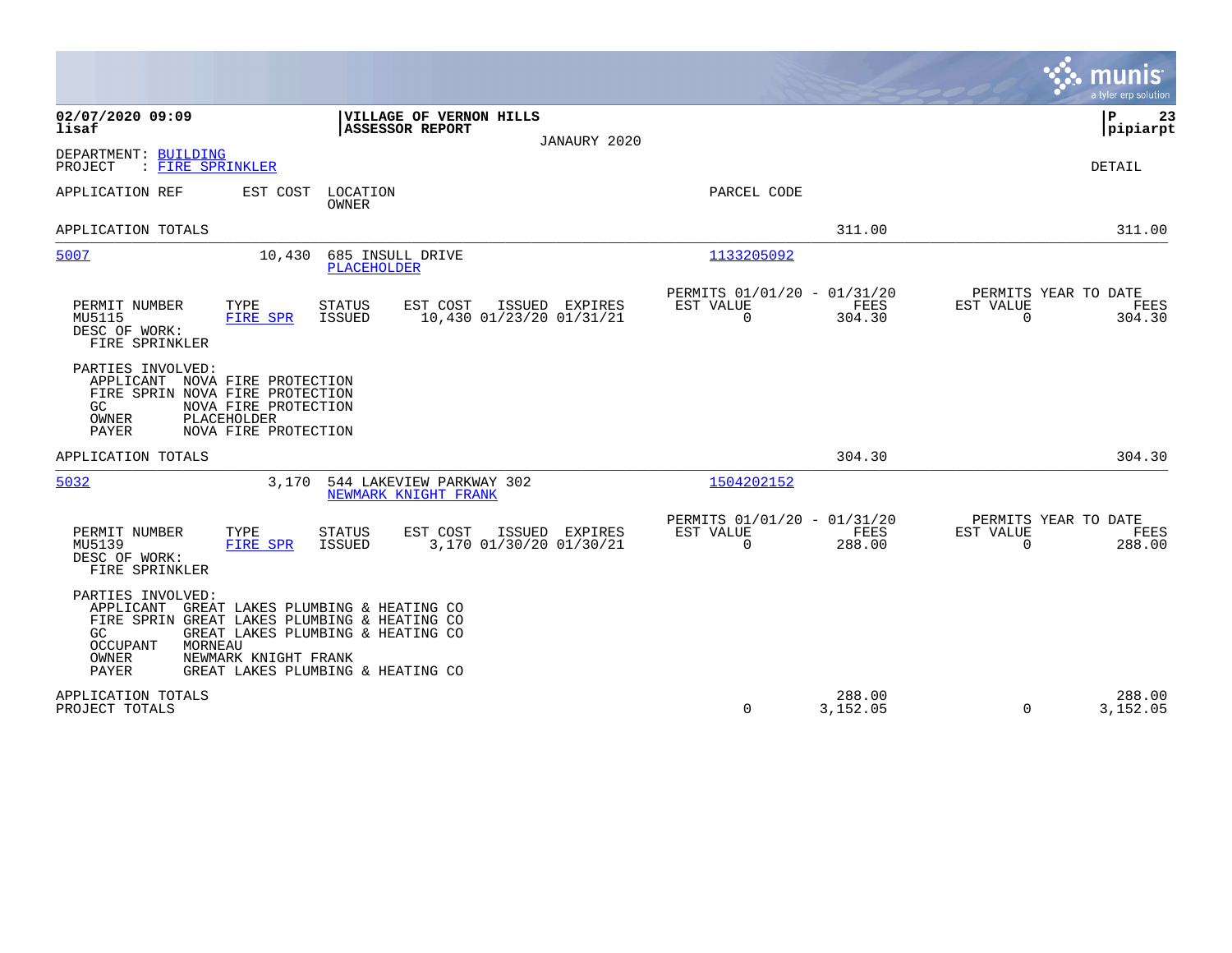|                                                                                                                                                                                                                                                                             | munis<br>a tyler erp solution                                                                                                                |                |
|-----------------------------------------------------------------------------------------------------------------------------------------------------------------------------------------------------------------------------------------------------------------------------|----------------------------------------------------------------------------------------------------------------------------------------------|----------------|
| 02/07/2020 09:09<br>VILLAGE OF VERNON HILLS<br><b>ASSESSOR REPORT</b><br>lisaf                                                                                                                                                                                              | ΙP<br> pipiarpt<br>JANAURY 2020                                                                                                              | 23             |
| DEPARTMENT: BUILDING<br>: FIRE SPRINKLER<br>PROJECT                                                                                                                                                                                                                         | <b>DETAIL</b>                                                                                                                                |                |
| EST COST<br>LOCATION<br>APPLICATION REF<br><b>OWNER</b>                                                                                                                                                                                                                     | PARCEL CODE                                                                                                                                  |                |
| APPLICATION TOTALS                                                                                                                                                                                                                                                          | 311.00                                                                                                                                       | 311.00         |
| 5007<br>10,430<br>685 INSULL DRIVE<br><b>PLACEHOLDER</b>                                                                                                                                                                                                                    | 1133205092                                                                                                                                   |                |
| PERMIT NUMBER<br>TYPE<br><b>STATUS</b><br>EST COST<br>10,430 01/23/20 01/31/21<br>MU5115<br>FIRE SPR<br>ISSUED<br>DESC OF WORK:<br>FIRE SPRINKLER                                                                                                                           | PERMITS 01/01/20 - 01/31/20<br>PERMITS YEAR TO DATE<br>ISSUED EXPIRES<br>EST VALUE<br>FEES<br>EST VALUE<br>0<br>304.30<br>$\mathbf 0$        | FEES<br>304.30 |
| PARTIES INVOLVED:<br>APPLICANT NOVA FIRE PROTECTION<br>FIRE SPRIN NOVA FIRE PROTECTION<br>GC.<br>NOVA FIRE PROTECTION<br>OWNER<br>PLACEHOLDER<br>NOVA FIRE PROTECTION<br>PAYER                                                                                              |                                                                                                                                              |                |
| APPLICATION TOTALS                                                                                                                                                                                                                                                          | 304.30                                                                                                                                       | 304.30         |
| 5032<br>3,170<br>544 LAKEVIEW PARKWAY 302<br>NEWMARK KNIGHT FRANK                                                                                                                                                                                                           | 1504202152                                                                                                                                   |                |
| PERMIT NUMBER<br>TYPE<br><b>STATUS</b><br>EST COST<br>3,170 01/30/20 01/30/21<br>MU5139<br>FIRE SPR<br>ISSUED<br>DESC OF WORK:<br>FIRE SPRINKLER                                                                                                                            | PERMITS 01/01/20 - 01/31/20<br>PERMITS YEAR TO DATE<br>EST VALUE<br>FEES<br>ISSUED EXPIRES<br>EST VALUE<br>$\mathbf 0$<br>288.00<br>$\Omega$ | FEES<br>288.00 |
| PARTIES INVOLVED:<br>GREAT LAKES PLUMBING & HEATING CO<br>APPLICANT<br>FIRE SPRIN GREAT LAKES PLUMBING & HEATING CO<br>GREAT LAKES PLUMBING & HEATING CO<br>GC<br>MORNEAU<br>OCCUPANT<br>OWNER<br>NEWMARK KNIGHT FRANK<br><b>PAYER</b><br>GREAT LAKES PLUMBING & HEATING CO |                                                                                                                                              |                |
| APPLICATION TOTALS<br>PROJECT TOTALS                                                                                                                                                                                                                                        | 288.00<br>$\mathbf 0$<br>3,152.05<br>$\Omega$<br>3,152.05                                                                                    | 288.00         |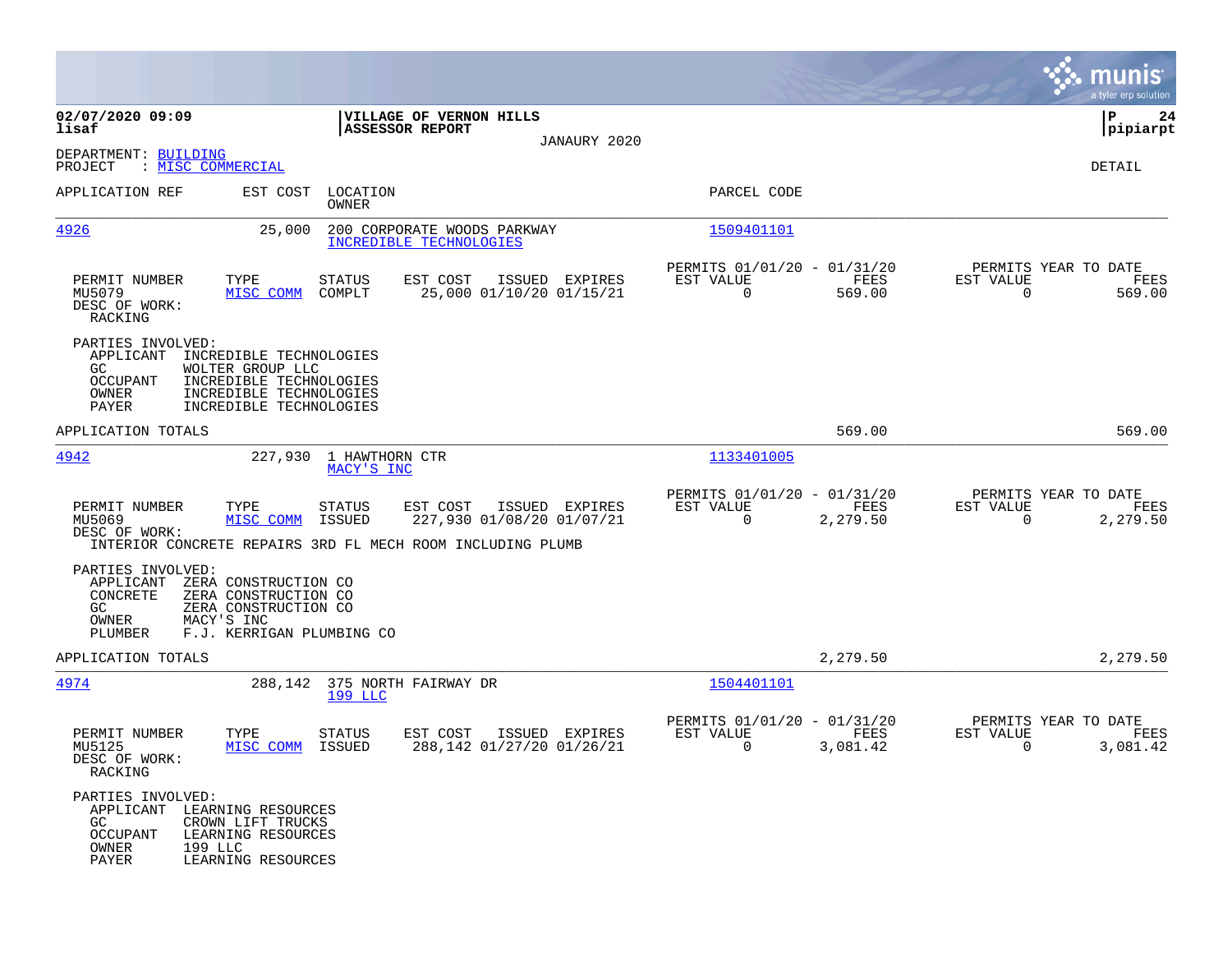|                                                                                                          |                                                                                                                              |                                                                                                                       |                                                         |                  | munis<br>a tyler erp solution                                     |    |
|----------------------------------------------------------------------------------------------------------|------------------------------------------------------------------------------------------------------------------------------|-----------------------------------------------------------------------------------------------------------------------|---------------------------------------------------------|------------------|-------------------------------------------------------------------|----|
| 02/07/2020 09:09<br>lisaf                                                                                |                                                                                                                              | VILLAGE OF VERNON HILLS<br><b>ASSESSOR REPORT</b>                                                                     |                                                         |                  | IΡ<br> pipiarpt                                                   | 24 |
| DEPARTMENT: BUILDING<br>: MISC COMMERCIAL<br>PROJECT                                                     |                                                                                                                              | JANAURY 2020                                                                                                          |                                                         |                  | DETAIL                                                            |    |
| APPLICATION REF                                                                                          | EST COST<br>LOCATION<br><b>OWNER</b>                                                                                         |                                                                                                                       | PARCEL CODE                                             |                  |                                                                   |    |
| 4926                                                                                                     | 25,000                                                                                                                       | 200 CORPORATE WOODS PARKWAY<br>INCREDIBLE TECHNOLOGIES                                                                | 1509401101                                              |                  |                                                                   |    |
| PERMIT NUMBER<br>MU5079<br>DESC OF WORK:<br>RACKING                                                      | TYPE<br><b>STATUS</b><br>MISC COMM<br>COMPLT                                                                                 | EST COST<br>ISSUED EXPIRES<br>25,000 01/10/20 01/15/21                                                                | PERMITS 01/01/20 - 01/31/20<br>EST VALUE<br>$\mathbf 0$ | FEES<br>569.00   | PERMITS YEAR TO DATE<br>EST VALUE<br>FEES<br>$\Omega$<br>569.00   |    |
| PARTIES INVOLVED:<br>APPLICANT<br>GC.<br>OCCUPANT<br>OWNER<br>PAYER                                      | INCREDIBLE TECHNOLOGIES<br>WOLTER GROUP LLC<br>INCREDIBLE TECHNOLOGIES<br>INCREDIBLE TECHNOLOGIES<br>INCREDIBLE TECHNOLOGIES |                                                                                                                       |                                                         |                  |                                                                   |    |
| APPLICATION TOTALS                                                                                       |                                                                                                                              |                                                                                                                       |                                                         | 569.00           | 569.00                                                            |    |
| 4942                                                                                                     | 227,930<br>1 HAWTHORN CTR<br>MACY'S INC                                                                                      |                                                                                                                       | 1133401005                                              |                  |                                                                   |    |
| PERMIT NUMBER<br>MU5069<br>DESC OF WORK:                                                                 | TYPE<br><b>STATUS</b><br>MISC COMM<br>ISSUED                                                                                 | EST COST<br>ISSUED EXPIRES<br>227,930 01/08/20 01/07/21<br>INTERIOR CONCRETE REPAIRS 3RD FL MECH ROOM INCLUDING PLUMB | PERMITS 01/01/20 - 01/31/20<br>EST VALUE<br>0           | FEES<br>2,279.50 | PERMITS YEAR TO DATE<br>EST VALUE<br>FEES<br>$\Omega$<br>2,279.50 |    |
| PARTIES INVOLVED:<br>APPLICANT<br>CONCRETE<br>GC.<br>OWNER<br>PLUMBER                                    | ZERA CONSTRUCTION CO<br>ZERA CONSTRUCTION CO<br>ZERA CONSTRUCTION CO<br>MACY'S INC<br>F.J. KERRIGAN PLUMBING CO              |                                                                                                                       |                                                         |                  |                                                                   |    |
| APPLICATION TOTALS                                                                                       |                                                                                                                              |                                                                                                                       |                                                         | 2,279.50         | 2,279.50                                                          |    |
| 4974                                                                                                     | 288,142<br>199 LLC                                                                                                           | 375 NORTH FAIRWAY DR                                                                                                  | 1504401101                                              |                  |                                                                   |    |
| PERMIT NUMBER<br>MU5125<br>DESC OF WORK:<br>RACKING                                                      | TYPE<br><b>STATUS</b><br>MISC COMM<br><b>ISSUED</b>                                                                          | EST COST<br>ISSUED EXPIRES<br>288,142 01/27/20 01/26/21                                                               | PERMITS 01/01/20 - 01/31/20<br>EST VALUE<br>0           | FEES<br>3,081.42 | PERMITS YEAR TO DATE<br>EST VALUE<br>FEES<br>3,081.42<br>0        |    |
| PARTIES INVOLVED:<br>APPLICANT LEARNING RESOURCES<br>GC.<br><b>OCCUPANT</b><br>OWNER<br>199 LLC<br>PAYER | CROWN LIFT TRUCKS<br>LEARNING RESOURCES<br>LEARNING RESOURCES                                                                |                                                                                                                       |                                                         |                  |                                                                   |    |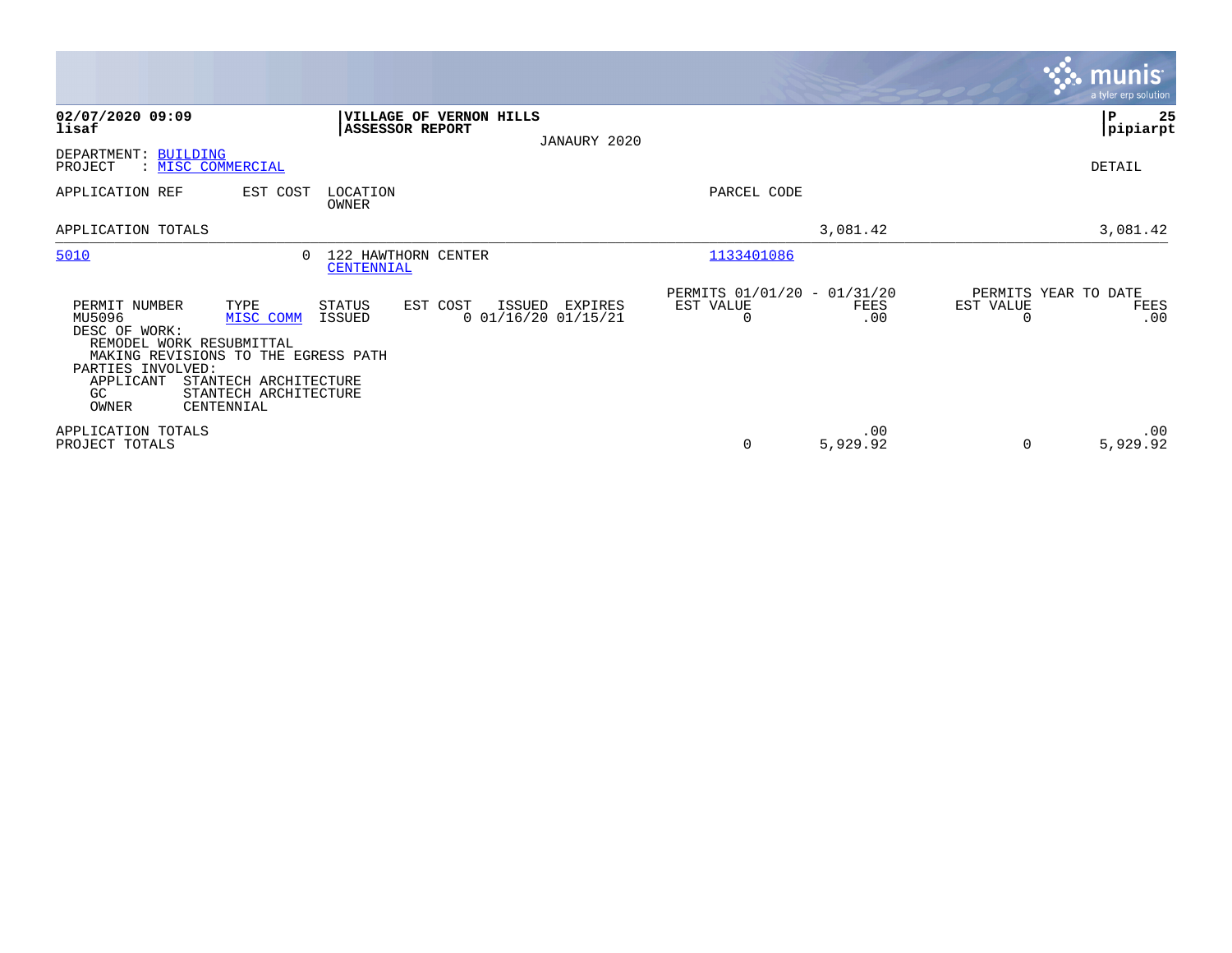|                                                                                                                                                                                                                                                    |                                             |                                                        |                                               |                 |           | $\overline{\mathsf{m} \mathsf{u}}$ nıs'<br>a tyler erp solution |
|----------------------------------------------------------------------------------------------------------------------------------------------------------------------------------------------------------------------------------------------------|---------------------------------------------|--------------------------------------------------------|-----------------------------------------------|-----------------|-----------|-----------------------------------------------------------------|
| 02/07/2020 09:09<br>lisaf                                                                                                                                                                                                                          | <b>ASSESSOR REPORT</b>                      | VILLAGE OF VERNON HILLS<br>JANAURY 2020                |                                               |                 |           | P<br>25<br> pipiarpt                                            |
| DEPARTMENT: BUILDING<br>PROJECT<br>: MISC COMMERCIAL                                                                                                                                                                                               |                                             |                                                        |                                               |                 |           | DETAIL                                                          |
| APPLICATION REF<br>EST COST                                                                                                                                                                                                                        | LOCATION<br>OWNER                           |                                                        | PARCEL CODE                                   |                 |           |                                                                 |
| APPLICATION TOTALS                                                                                                                                                                                                                                 |                                             |                                                        |                                               | 3,081.42        |           | 3,081.42                                                        |
| 5010                                                                                                                                                                                                                                               | 122 HAWTHORN CENTER<br>$\cap$<br>CENTENNIAL |                                                        | 1133401086                                    |                 |           |                                                                 |
| TYPE<br>PERMIT NUMBER<br>MU5096<br>MISC COMM<br>DESC OF WORK:<br>REMODEL WORK RESUBMITTAL<br>MAKING REVISIONS TO THE EGRESS PATH<br>PARTIES INVOLVED:<br>APPLICANT<br>STANTECH ARCHITECTURE<br>STANTECH ARCHITECTURE<br>GC.<br>OWNER<br>CENTENNIAL | STATUS<br>ISSUED                            | EST COST<br>ISSUED<br>EXPIRES<br>$0$ 01/16/20 01/15/21 | PERMITS 01/01/20 - 01/31/20<br>EST VALUE<br>0 | FEES<br>.00     | EST VALUE | PERMITS YEAR TO DATE<br>FEES<br>.00                             |
| APPLICATION TOTALS<br>PROJECT TOTALS                                                                                                                                                                                                               |                                             |                                                        | 0                                             | .00<br>5,929.92 | $\Omega$  | .00<br>5,929.92                                                 |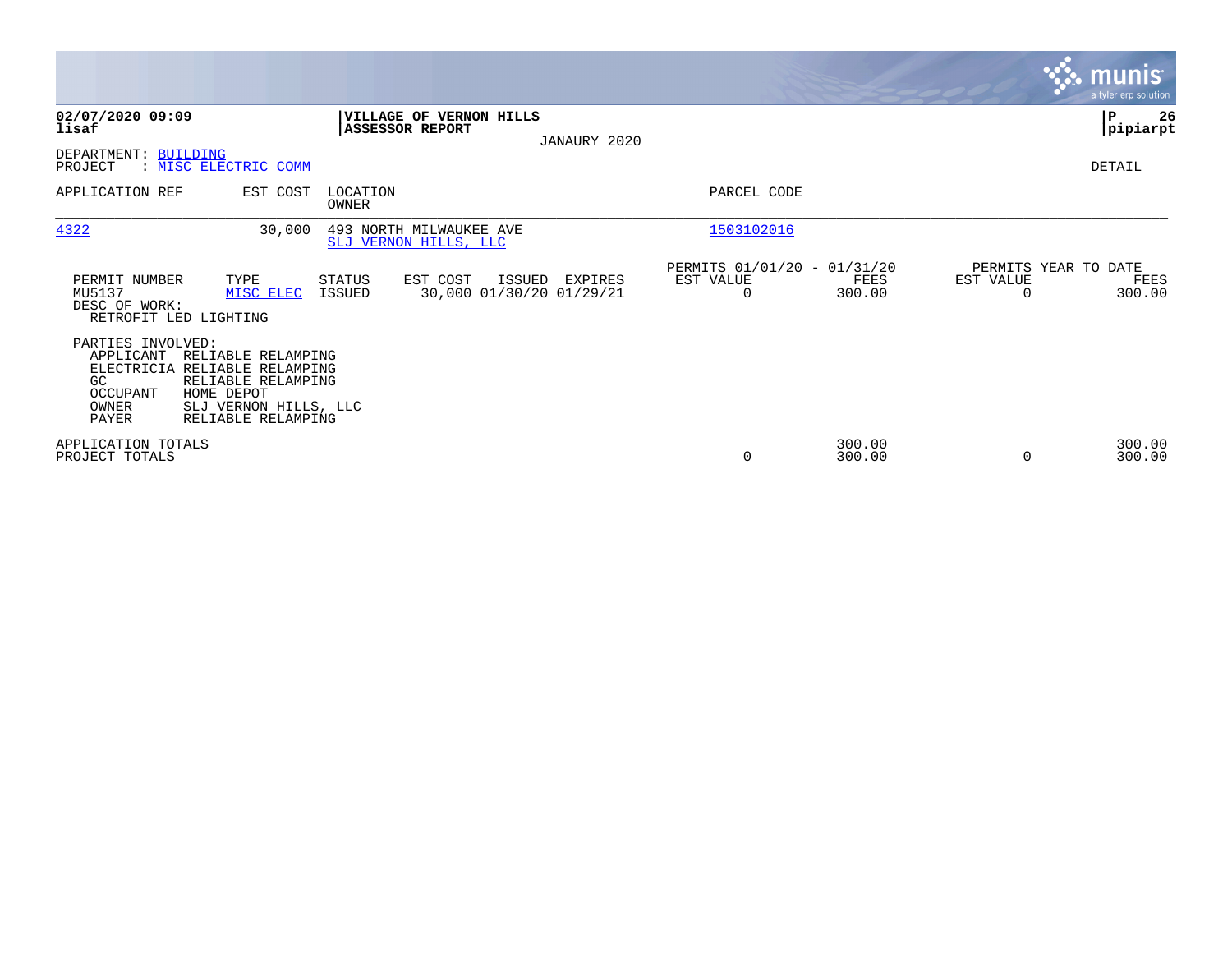|                                                                    |                                                                                                                                        |                         |                                                          |              |                                                      |                  |           | <u>munis </u><br>a tyler erp solution  |
|--------------------------------------------------------------------|----------------------------------------------------------------------------------------------------------------------------------------|-------------------------|----------------------------------------------------------|--------------|------------------------------------------------------|------------------|-----------|----------------------------------------|
| 02/07/2020 09:09<br>lisaf                                          |                                                                                                                                        |                         | <b>VILLAGE OF VERNON HILLS</b><br><b>ASSESSOR REPORT</b> | JANAURY 2020 |                                                      |                  |           | ∣₽<br>26<br> pipiarpt                  |
| DEPARTMENT: BUILDING<br>PROJECT                                    | : MISC ELECTRIC COMM                                                                                                                   |                         |                                                          |              |                                                      |                  |           | DETAIL                                 |
| APPLICATION REF                                                    | EST COST                                                                                                                               | LOCATION<br>OWNER       |                                                          |              | PARCEL CODE                                          |                  |           |                                        |
| 4322                                                               | 30,000                                                                                                                                 |                         | 493 NORTH MILWAUKEE AVE<br>SLJ VERNON HILLS, LLC         |              | 1503102016                                           |                  |           |                                        |
| PERMIT NUMBER<br>MU5137<br>DESC OF WORK:<br>RETROFIT LED LIGHTING  | TYPE<br>MISC ELEC                                                                                                                      | <b>STATUS</b><br>ISSUED | EST COST<br>ISSUED<br>30,000 01/30/20 01/29/21           | EXPIRES      | PERMITS 01/01/20 - 01/31/20<br>EST VALUE<br>$\Omega$ | FEES<br>300.00   | EST VALUE | PERMITS YEAR TO DATE<br>FEES<br>300.00 |
| PARTIES INVOLVED:<br>APPLICANT<br>GC<br>OCCUPANT<br>OWNER<br>PAYER | RELIABLE RELAMPING<br>ELECTRICIA RELIABLE RELAMPING<br>RELIABLE RELAMPING<br>HOME DEPOT<br>SLJ VERNON HILLS, LLC<br>RELIABLE RELAMPING |                         |                                                          |              |                                                      |                  |           |                                        |
| APPLICATION TOTALS<br>PROJECT TOTALS                               |                                                                                                                                        |                         |                                                          |              | 0                                                    | 300.00<br>300.00 |           | 300.00<br>300.00                       |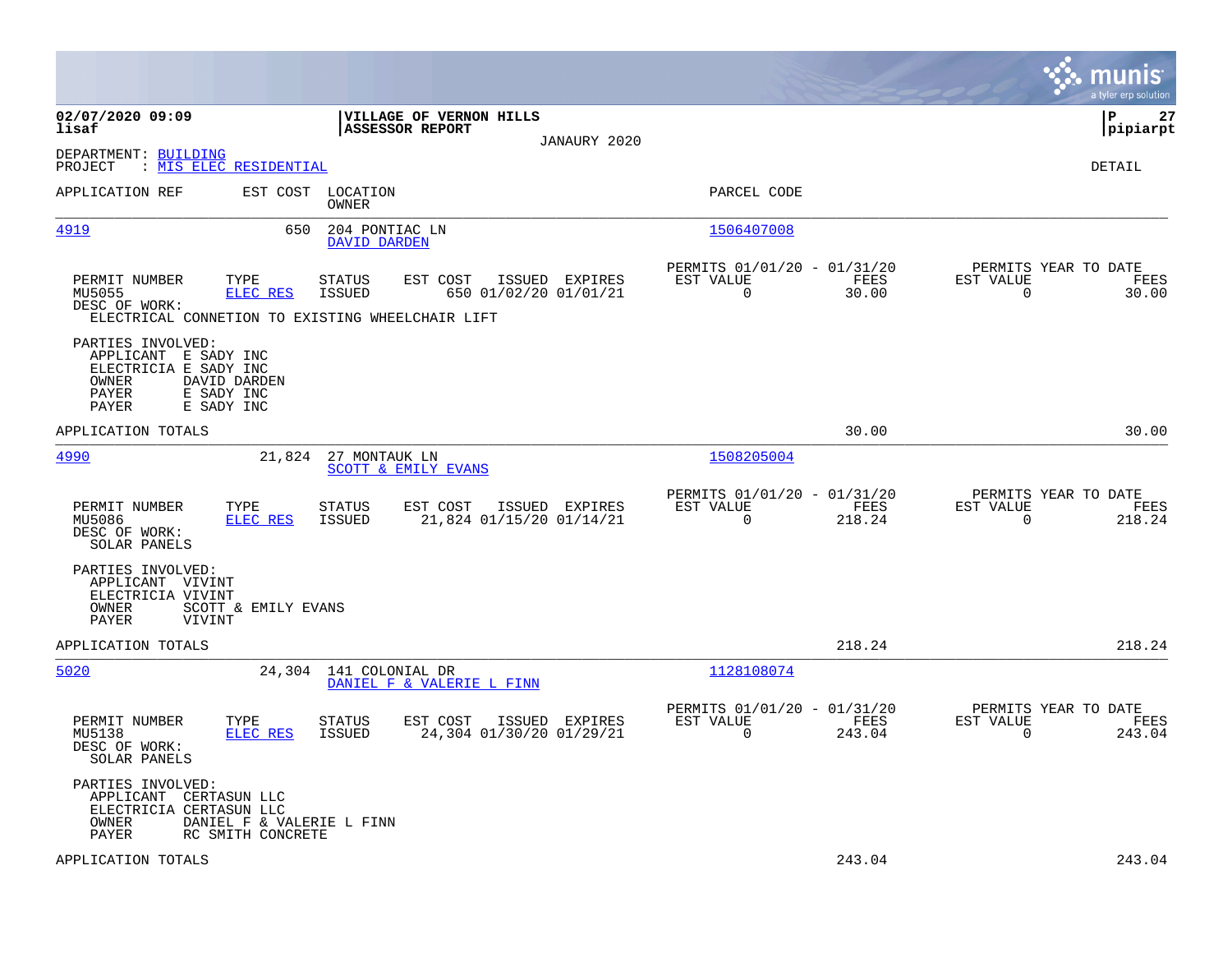|                                                                                                                                           |                                                                                                                                           |                                                                           | munis<br>a tyler erp solution                                      |
|-------------------------------------------------------------------------------------------------------------------------------------------|-------------------------------------------------------------------------------------------------------------------------------------------|---------------------------------------------------------------------------|--------------------------------------------------------------------|
| 02/07/2020 09:09<br>lisaf                                                                                                                 | VILLAGE OF VERNON HILLS<br><b>ASSESSOR REPORT</b><br>JANAURY 2020                                                                         |                                                                           | lР<br>27<br> pipiarpt                                              |
| DEPARTMENT: BUILDING<br>: MIS ELEC RESIDENTIAL<br>PROJECT                                                                                 |                                                                                                                                           |                                                                           | DETAIL                                                             |
| APPLICATION REF                                                                                                                           | EST COST LOCATION<br><b>OWNER</b>                                                                                                         | PARCEL CODE                                                               |                                                                    |
| 4919                                                                                                                                      | 650<br>204 PONTIAC LN<br>DAVID DARDEN                                                                                                     | 1506407008                                                                |                                                                    |
| PERMIT NUMBER<br>TYPE<br>MU5055<br><b>ELEC RES</b><br>DESC OF WORK:                                                                       | <b>STATUS</b><br>EST COST<br>ISSUED EXPIRES<br>650 01/02/20 01/01/21<br><b>ISSUED</b><br>ELECTRICAL CONNETION TO EXISTING WHEELCHAIR LIFT | PERMITS 01/01/20 - 01/31/20<br>EST VALUE<br>FEES<br>$\mathbf 0$<br>30.00  | PERMITS YEAR TO DATE<br>EST VALUE<br>FEES<br>$\mathbf 0$<br>30.00  |
| PARTIES INVOLVED:<br>APPLICANT E SADY INC<br>ELECTRICIA E SADY INC<br>OWNER<br>DAVID DARDEN<br>E SADY INC<br>PAYER<br>PAYER<br>E SADY INC |                                                                                                                                           |                                                                           |                                                                    |
| APPLICATION TOTALS                                                                                                                        |                                                                                                                                           | 30.00                                                                     | 30.00                                                              |
| 4990                                                                                                                                      | 21,824 27 MONTAUK LN<br><b>SCOTT &amp; EMILY EVANS</b>                                                                                    | 1508205004                                                                |                                                                    |
| PERMIT NUMBER<br>TYPE<br>ELEC RES<br>MU5086<br>DESC OF WORK:<br>SOLAR PANELS                                                              | <b>STATUS</b><br>EST COST<br>ISSUED EXPIRES<br>ISSUED<br>21,824 01/15/20 01/14/21                                                         | PERMITS 01/01/20 - 01/31/20<br>EST VALUE<br>FEES<br>$\mathbf 0$<br>218.24 | PERMITS YEAR TO DATE<br>EST VALUE<br>FEES<br>$\mathbf 0$<br>218.24 |
| PARTIES INVOLVED:<br>APPLICANT VIVINT<br>ELECTRICIA VIVINT<br><b>OWNER</b><br>SCOTT & EMILY EVANS<br><b>PAYER</b><br>VIVINT               |                                                                                                                                           |                                                                           |                                                                    |
| APPLICATION TOTALS                                                                                                                        |                                                                                                                                           | 218.24                                                                    | 218.24                                                             |
| 5020                                                                                                                                      | 24,304 141 COLONIAL DR<br>DANIEL F & VALERIE L FINN                                                                                       | 1128108074                                                                |                                                                    |
| PERMIT NUMBER<br>TYPE<br>ELEC RES<br>MU5138<br>DESC OF WORK:<br>SOLAR PANELS                                                              | <b>STATUS</b><br>EST COST<br>ISSUED EXPIRES<br><b>ISSUED</b><br>24,304 01/30/20 01/29/21                                                  | PERMITS 01/01/20 - 01/31/20<br>EST VALUE<br>FEES<br>$\Omega$<br>243.04    | PERMITS YEAR TO DATE<br>EST VALUE<br>FEES<br>$\Omega$<br>243.04    |
| PARTIES INVOLVED:<br>APPLICANT CERTASUN LLC<br>ELECTRICIA CERTASUN LLC<br>OWNER<br>PAYER<br>RC SMITH CONCRETE                             | DANIEL F & VALERIE L FINN                                                                                                                 |                                                                           |                                                                    |
| APPLICATION TOTALS                                                                                                                        |                                                                                                                                           | 243.04                                                                    | 243.04                                                             |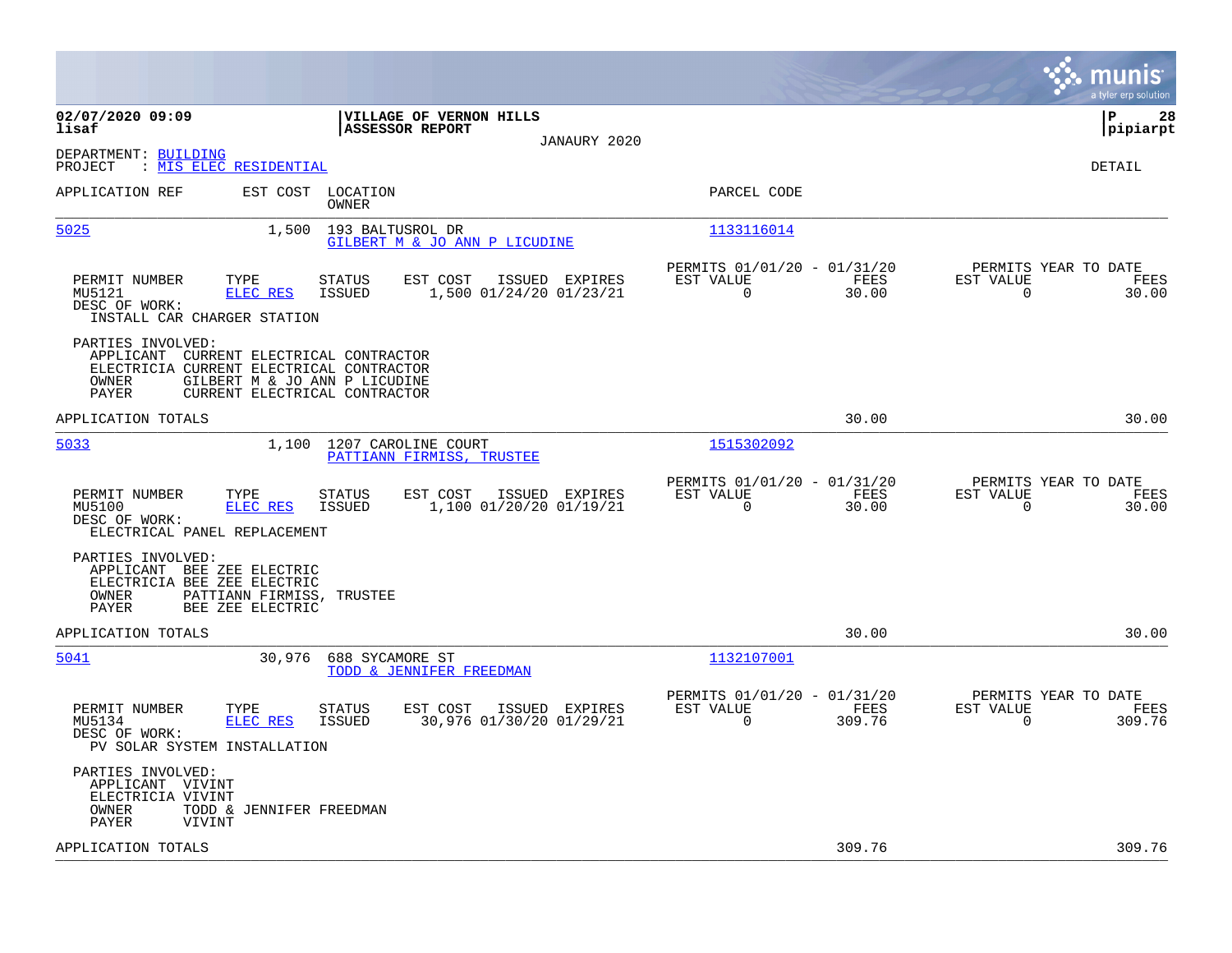|                                                                                                                                                                                              |                                                                                         |                                                                          | munis<br>a tyler erp solution                                      |
|----------------------------------------------------------------------------------------------------------------------------------------------------------------------------------------------|-----------------------------------------------------------------------------------------|--------------------------------------------------------------------------|--------------------------------------------------------------------|
| 02/07/2020 09:09<br>lisaf                                                                                                                                                                    | VILLAGE OF VERNON HILLS<br><b>ASSESSOR REPORT</b>                                       |                                                                          | ΙP<br>28<br> pipiarpt                                              |
| DEPARTMENT: BUILDING<br>: MIS ELEC RESIDENTIAL<br>PROJECT                                                                                                                                    | JANAURY 2020                                                                            |                                                                          | DETAIL                                                             |
| APPLICATION REF                                                                                                                                                                              | EST COST LOCATION<br><b>OWNER</b>                                                       | PARCEL CODE                                                              |                                                                    |
| 5025<br>1,500                                                                                                                                                                                | 193 BALTUSROL DR<br>GILBERT M & JO ANN P LICUDINE                                       | 1133116014                                                               |                                                                    |
| PERMIT NUMBER<br>TYPE<br>ELEC RES<br>MU5121<br>DESC OF WORK:<br>INSTALL CAR CHARGER STATION                                                                                                  | EST COST<br>ISSUED EXPIRES<br><b>STATUS</b><br><b>ISSUED</b><br>1,500 01/24/20 01/23/21 | PERMITS 01/01/20 - 01/31/20<br>EST VALUE<br>FEES<br>$\mathbf 0$<br>30.00 | PERMITS YEAR TO DATE<br>EST VALUE<br>FEES<br>$\mathbf 0$<br>30.00  |
| PARTIES INVOLVED:<br>APPLICANT CURRENT ELECTRICAL CONTRACTOR<br>ELECTRICIA CURRENT ELECTRICAL CONTRACTOR<br>OWNER<br>GILBERT M & JO ANN P LICUDINE<br>PAYER<br>CURRENT ELECTRICAL CONTRACTOR |                                                                                         |                                                                          |                                                                    |
| APPLICATION TOTALS                                                                                                                                                                           |                                                                                         | 30.00                                                                    | 30.00                                                              |
| 5033                                                                                                                                                                                         | 1,100 1207 CAROLINE COURT<br>PATTIANN FIRMISS, TRUSTEE                                  | 1515302092                                                               |                                                                    |
| PERMIT NUMBER<br>TYPE<br>MU5100<br><b>ELEC RES</b><br>DESC OF WORK:<br>ELECTRICAL PANEL REPLACEMENT                                                                                          | EST COST<br>ISSUED EXPIRES<br>STATUS<br><b>ISSUED</b><br>1,100 01/20/20 01/19/21        | PERMITS 01/01/20 - 01/31/20<br>EST VALUE<br>FEES<br>$\Omega$<br>30.00    | PERMITS YEAR TO DATE<br>EST VALUE<br>FEES<br>$\Omega$<br>30.00     |
| PARTIES INVOLVED:<br>APPLICANT BEE ZEE ELECTRIC<br>ELECTRICIA BEE ZEE ELECTRIC<br>PATTIANN FIRMISS,<br>OWNER<br>PAYER<br>BEE ZEE ELECTRIC                                                    | TRUSTEE                                                                                 |                                                                          |                                                                    |
| APPLICATION TOTALS                                                                                                                                                                           |                                                                                         | 30.00                                                                    | 30.00                                                              |
| 5041                                                                                                                                                                                         | 30,976 688 SYCAMORE ST<br>TODD & JENNIFER FREEDMAN                                      | 1132107001                                                               |                                                                    |
| PERMIT NUMBER<br>TYPE<br>MU5134<br>ELEC RES<br>DESC OF WORK:<br>PV SOLAR SYSTEM INSTALLATION                                                                                                 | EST COST<br>ISSUED EXPIRES<br><b>STATUS</b><br>30,976 01/30/20 01/29/21<br>ISSUED       | PERMITS 01/01/20 - 01/31/20<br>EST VALUE<br>FEES<br>$\Omega$<br>309.76   | PERMITS YEAR TO DATE<br>EST VALUE<br>FEES<br>$\mathbf 0$<br>309.76 |
| PARTIES INVOLVED:<br>APPLICANT VIVINT<br>ELECTRICIA VIVINT<br>OWNER<br>TODD & JENNIFER FREEDMAN<br>PAYER<br>VIVINT                                                                           |                                                                                         |                                                                          |                                                                    |
| APPLICATION TOTALS                                                                                                                                                                           |                                                                                         | 309.76                                                                   | 309.76                                                             |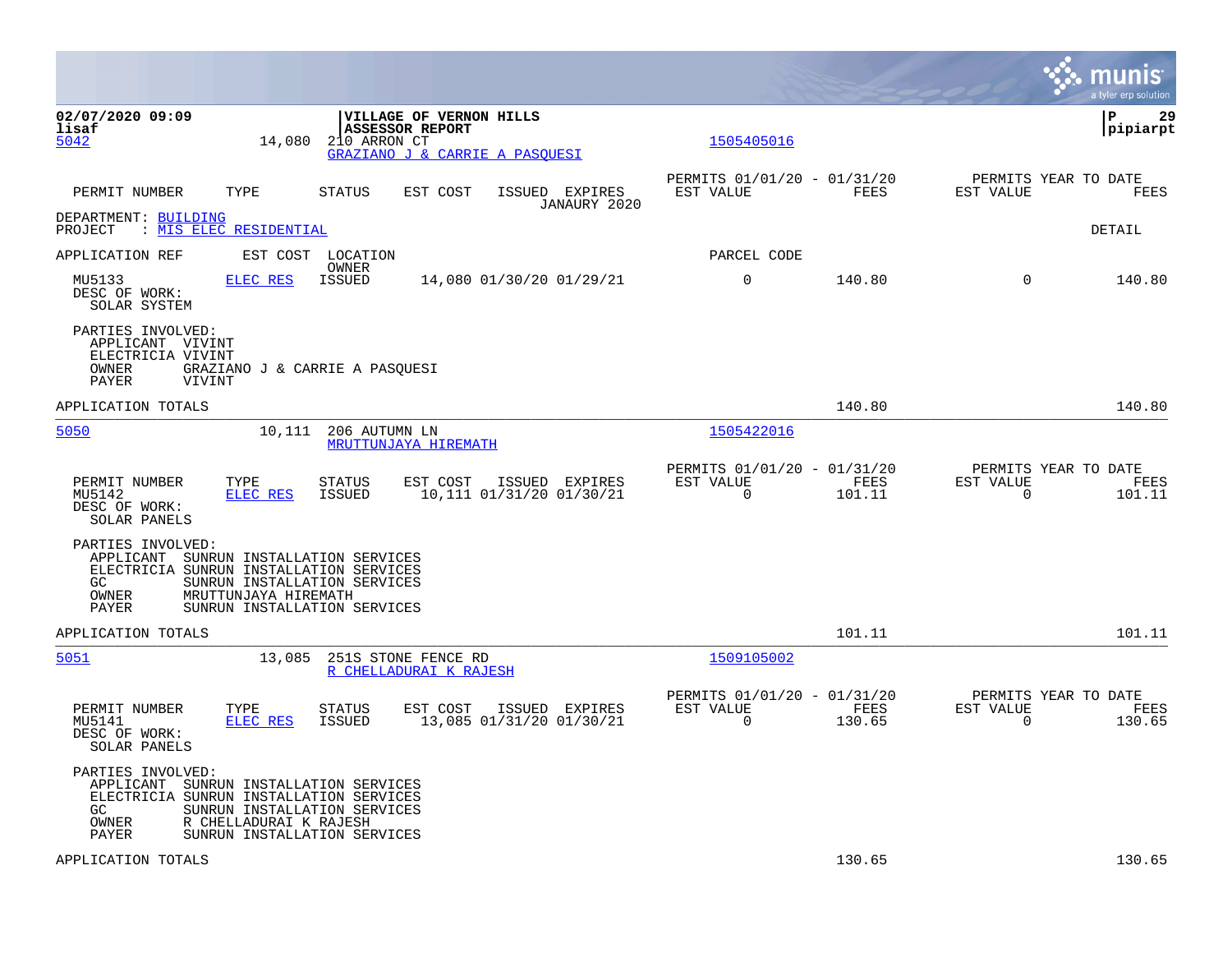|                                                                                                                                 |                                                                                                                        |                         |                                                                                     |                                            |                                                         |                |                | munis<br>a tyler erp solution          |
|---------------------------------------------------------------------------------------------------------------------------------|------------------------------------------------------------------------------------------------------------------------|-------------------------|-------------------------------------------------------------------------------------|--------------------------------------------|---------------------------------------------------------|----------------|----------------|----------------------------------------|
| 02/07/2020 09:09<br>lisaf<br>5042                                                                                               | 14,080                                                                                                                 | 210 ARRON CT            | VILLAGE OF VERNON HILLS<br><b>ASSESSOR REPORT</b><br>GRAZIANO J & CARRIE A PASQUESI |                                            | 1505405016                                              |                |                | l P<br>29<br> pipiarpt                 |
| PERMIT NUMBER                                                                                                                   | TYPE                                                                                                                   | <b>STATUS</b>           | EST COST                                                                            | ISSUED EXPIRES<br>JANAURY 2020             | PERMITS 01/01/20 - 01/31/20<br>EST VALUE                | FEES           | EST VALUE      | PERMITS YEAR TO DATE<br>FEES           |
| DEPARTMENT: BUILDING<br>PROJECT                                                                                                 | : MIS ELEC RESIDENTIAL                                                                                                 |                         |                                                                                     |                                            |                                                         |                |                | DETAIL                                 |
| APPLICATION REF                                                                                                                 |                                                                                                                        | EST COST LOCATION       |                                                                                     |                                            | PARCEL CODE                                             |                |                |                                        |
| MU5133<br>DESC OF WORK:<br>SOLAR SYSTEM                                                                                         | <b>ELEC RES</b>                                                                                                        | OWNER<br><b>ISSUED</b>  |                                                                                     | 14,080 01/30/20 01/29/21                   | $\mathbf 0$                                             | 140.80         | $\Omega$       | 140.80                                 |
| PARTIES INVOLVED:<br>APPLICANT VIVINT<br>ELECTRICIA VIVINT<br>OWNER<br>PAYER                                                    | GRAZIANO J & CARRIE A PASQUESI<br>VIVINT                                                                               |                         |                                                                                     |                                            |                                                         |                |                |                                        |
| APPLICATION TOTALS                                                                                                              |                                                                                                                        |                         |                                                                                     |                                            |                                                         | 140.80         |                | 140.80                                 |
| 5050                                                                                                                            | 10,111                                                                                                                 | 206 AUTUMN LN           | MRUTTUNJAYA HIREMATH                                                                |                                            | 1505422016                                              |                |                |                                        |
| PERMIT NUMBER<br>MU5142<br>DESC OF WORK:<br>SOLAR PANELS                                                                        | TYPE<br>ELEC RES                                                                                                       | STATUS<br>ISSUED        | EST COST                                                                            | ISSUED EXPIRES<br>10,111 01/31/20 01/30/21 | PERMITS 01/01/20 - 01/31/20<br>EST VALUE<br>0           | FEES<br>101.11 | EST VALUE<br>0 | PERMITS YEAR TO DATE<br>FEES<br>101.11 |
| PARTIES INVOLVED:<br>APPLICANT SUNRUN INSTALLATION SERVICES<br>ELECTRICIA SUNRUN INSTALLATION SERVICES<br>GC.<br>OWNER<br>PAYER | SUNRUN INSTALLATION SERVICES<br>MRUTTUNJAYA HIREMATH<br>SUNRUN INSTALLATION SERVICES                                   |                         |                                                                                     |                                            |                                                         |                |                |                                        |
| APPLICATION TOTALS                                                                                                              |                                                                                                                        |                         |                                                                                     |                                            |                                                         | 101.11         |                | 101.11                                 |
| 5051                                                                                                                            | 13,085                                                                                                                 |                         | 251S STONE FENCE RD<br>R CHELLADURAI K RAJESH                                       |                                            | 1509105002                                              |                |                |                                        |
| PERMIT NUMBER<br>MU5141<br>DESC OF WORK:<br>SOLAR PANELS                                                                        | TYPE<br>ELEC RES                                                                                                       | <b>STATUS</b><br>ISSUED | EST COST                                                                            | ISSUED EXPIRES<br>13,085 01/31/20 01/30/21 | PERMITS 01/01/20 - 01/31/20<br>EST VALUE<br>$\mathbf 0$ | FEES<br>130.65 | EST VALUE<br>0 | PERMITS YEAR TO DATE<br>FEES<br>130.65 |
| PARTIES INVOLVED:<br>APPLICANT<br>ELECTRICIA SUNRUN INSTALLATION SERVICES<br>GC.<br>OWNER<br>PAYER                              | SUNRUN INSTALLATION SERVICES<br>SUNRUN INSTALLATION SERVICES<br>R CHELLADURAI K RAJESH<br>SUNRUN INSTALLATION SERVICES |                         |                                                                                     |                                            |                                                         |                |                |                                        |
| APPLICATION TOTALS                                                                                                              |                                                                                                                        |                         |                                                                                     |                                            |                                                         | 130.65         |                | 130.65                                 |

**Contract**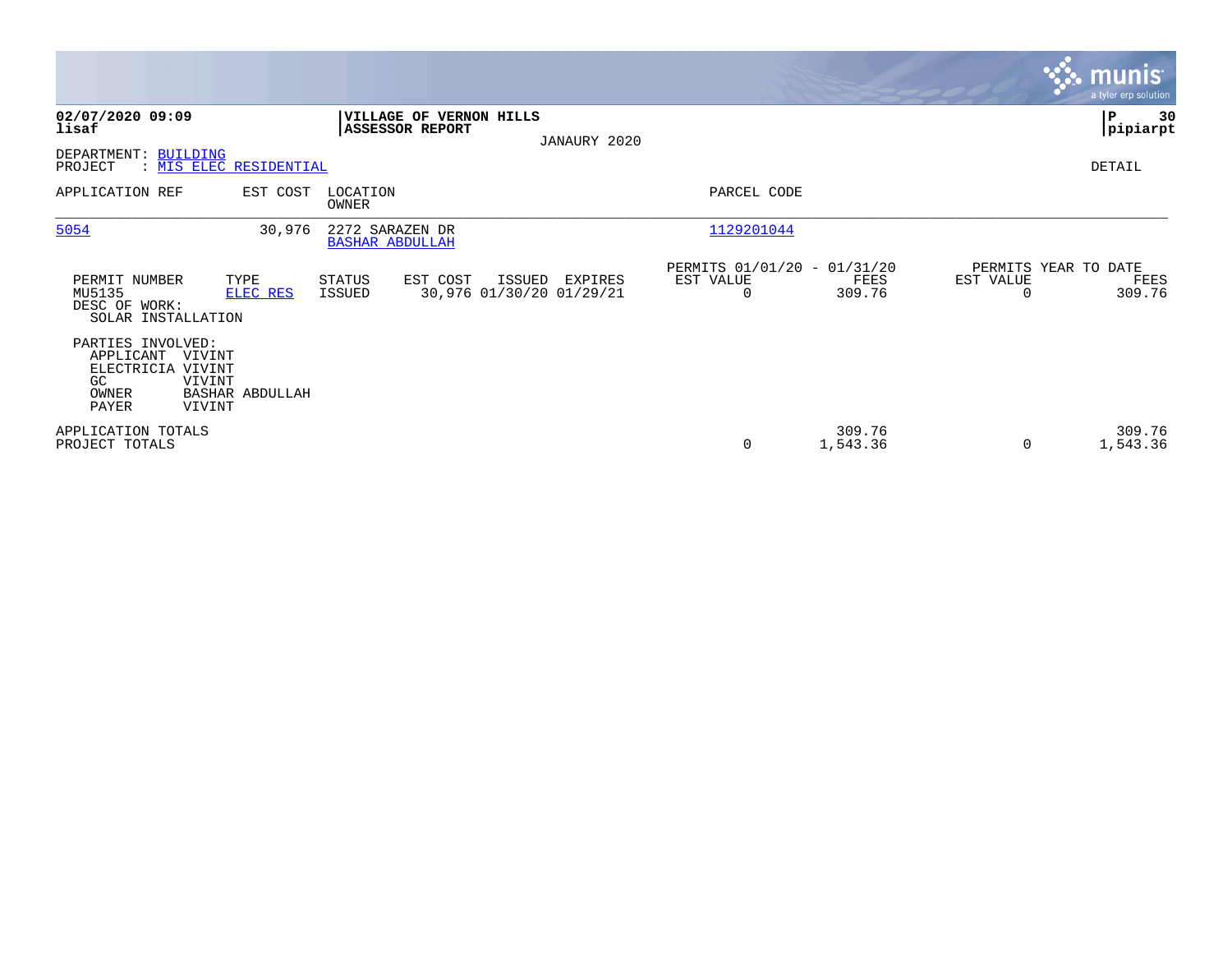|                                                                                                                              |                            |                                                               |                                      |        |              |                                                             |                    |                                   | <b>munis</b><br>a tyler erp solution |
|------------------------------------------------------------------------------------------------------------------------------|----------------------------|---------------------------------------------------------------|--------------------------------------|--------|--------------|-------------------------------------------------------------|--------------------|-----------------------------------|--------------------------------------|
| 02/07/2020 09:09<br>lisaf<br>BUILDING<br>DEPARTMENT:<br>PROJECT                                                              | : MIS ELEC RESIDENTIAL     | <b>ASSESSOR REPORT</b>                                        | <b>VILLAGE OF VERNON HILLS</b>       |        | JANAURY 2020 |                                                             |                    |                                   | ∣P<br>30<br> pipiarpt<br>DETAIL      |
| APPLICATION REF                                                                                                              | EST COST                   | LOCATION<br>OWNER                                             |                                      |        |              | PARCEL CODE                                                 |                    |                                   |                                      |
| 5054<br>PERMIT NUMBER<br>MU5135<br>DESC OF WORK:<br>SOLAR INSTALLATION<br>PARTIES INVOLVED:                                  | 30,976<br>TYPE<br>ELEC RES | 2272 SARAZEN DR<br><b>BASHAR ABDULLAH</b><br>STATUS<br>ISSUED | EST COST<br>30,976 01/30/20 01/29/21 | ISSUED | EXPIRES      | 1129201044<br>PERMITS 01/01/20 - 01/31/20<br>EST VALUE<br>0 | FEES<br>309.76     | PERMITS YEAR TO DATE<br>EST VALUE | FEES<br>309.76                       |
| APPLICANT<br>VIVINT<br>ELECTRICIA VIVINT<br>GC<br>VIVINT<br>OWNER<br>PAYER<br>VIVINT<br>APPLICATION TOTALS<br>PROJECT TOTALS | BASHAR ABDULLAH            |                                                               |                                      |        |              | 0                                                           | 309.76<br>1,543.36 | $\Omega$                          | 309.76<br>1,543.36                   |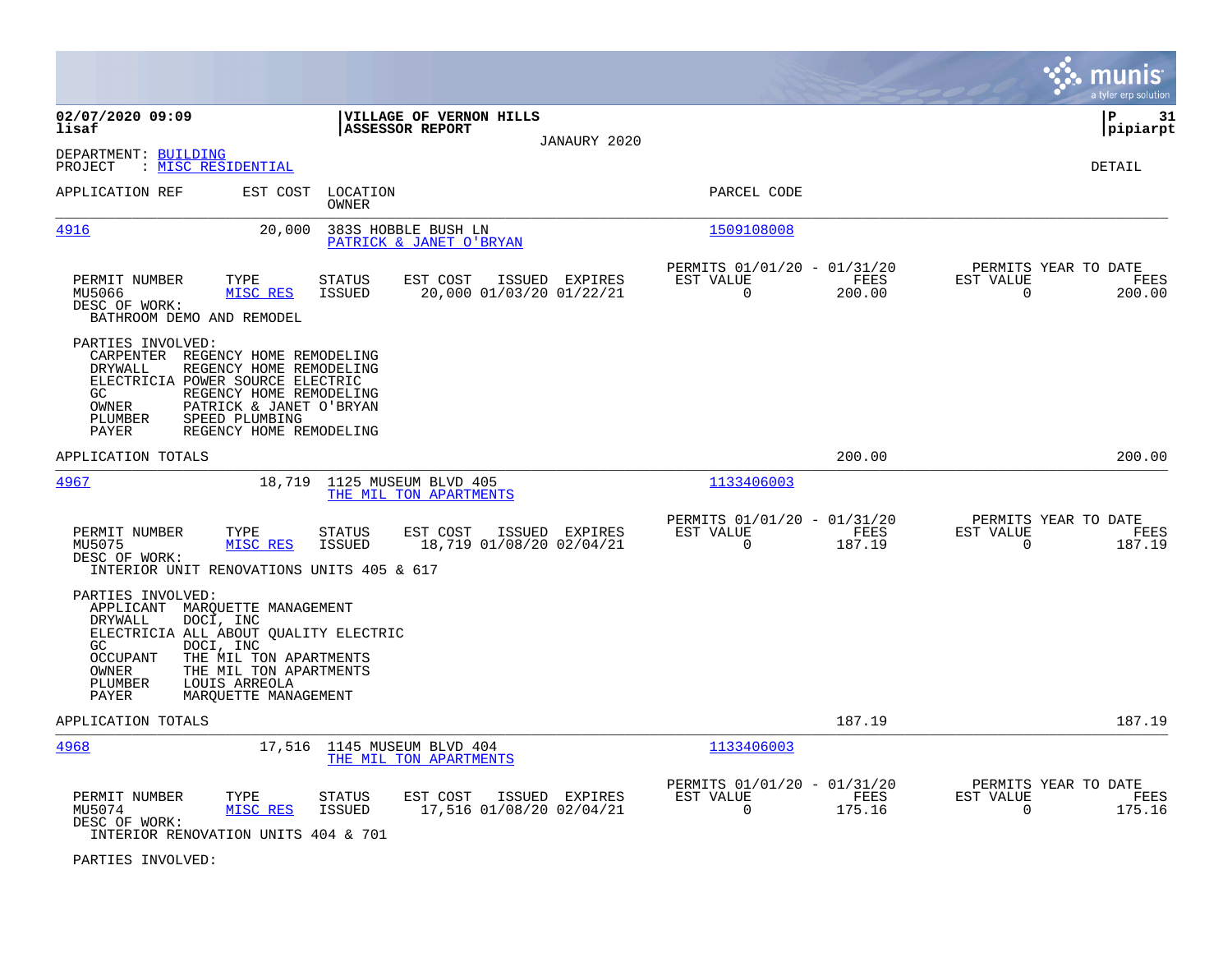|                                                                                                                                                                                                                                                                               |                                                                                  | munis<br>a tyler erp solution                                      |
|-------------------------------------------------------------------------------------------------------------------------------------------------------------------------------------------------------------------------------------------------------------------------------|----------------------------------------------------------------------------------|--------------------------------------------------------------------|
| 02/07/2020 09:09<br>VILLAGE OF VERNON HILLS<br><b>ASSESSOR REPORT</b><br>lisaf<br>JANAURY 2020                                                                                                                                                                                |                                                                                  | P<br>31<br>pipiarpt                                                |
| DEPARTMENT: BUILDING<br>PROJECT<br>: MISC RESIDENTIAL                                                                                                                                                                                                                         |                                                                                  | DETAIL                                                             |
| APPLICATION REF<br>EST COST<br>LOCATION<br>OWNER                                                                                                                                                                                                                              | PARCEL CODE                                                                      |                                                                    |
| 4916<br>20,000<br>383S HOBBLE BUSH LN<br>PATRICK & JANET O'BRYAN                                                                                                                                                                                                              | 1509108008                                                                       |                                                                    |
| PERMIT NUMBER<br>TYPE<br><b>STATUS</b><br>EST COST<br>ISSUED EXPIRES<br>20,000 01/03/20 01/22/21<br>MU5066<br>MISC RES<br>ISSUED<br>DESC OF WORK:<br>BATHROOM DEMO AND REMODEL                                                                                                | PERMITS 01/01/20 - 01/31/20<br>EST VALUE<br>FEES<br>$\mathbf 0$<br>200.00        | PERMITS YEAR TO DATE<br>EST VALUE<br>FEES<br>$\mathbf 0$<br>200.00 |
| PARTIES INVOLVED:<br>CARPENTER REGENCY HOME REMODELING<br>REGENCY HOME REMODELING<br>DRYWALL<br>ELECTRICIA POWER SOURCE ELECTRIC<br>REGENCY HOME REMODELING<br>GC.<br>OWNER<br>PATRICK & JANET O'BRYAN<br>PLUMBER<br>SPEED PLUMBING<br>PAYER<br>REGENCY HOME REMODELING       |                                                                                  |                                                                    |
| APPLICATION TOTALS                                                                                                                                                                                                                                                            | 200.00                                                                           | 200.00                                                             |
| <u>4967</u><br>18,719<br>1125 MUSEUM BLVD 405<br>THE MIL TON APARTMENTS                                                                                                                                                                                                       | 1133406003                                                                       |                                                                    |
| PERMIT NUMBER<br>TYPE<br><b>STATUS</b><br>EST COST<br>ISSUED EXPIRES<br>MISC RES<br><b>ISSUED</b><br>18,719 01/08/20 02/04/21<br>MU5075<br>DESC OF WORK:<br>INTERIOR UNIT RENOVATIONS UNITS 405 & 617                                                                         | PERMITS 01/01/20 - 01/31/20<br>EST VALUE<br>FEES<br>$\mathbf 0$<br>187.19        | PERMITS YEAR TO DATE<br>EST VALUE<br>FEES<br>$\mathbf 0$<br>187.19 |
| PARTIES INVOLVED:<br>APPLICANT MARQUETTE MANAGEMENT<br>DOCI, INC<br>DRYWALL<br>ELECTRICIA ALL ABOUT QUALITY ELECTRIC<br>GC<br>DOCI, INC<br>THE MIL TON APARTMENTS<br>OCCUPANT<br>OWNER<br>THE MIL TON APARTMENTS<br>PLUMBER<br>LOUIS ARREOLA<br>PAYER<br>MAROUETTE MANAGEMENT |                                                                                  |                                                                    |
| APPLICATION TOTALS                                                                                                                                                                                                                                                            | 187.19                                                                           | 187.19                                                             |
| 4968<br>17,516<br>1145 MUSEUM BLVD 404<br>THE MIL TON APARTMENTS                                                                                                                                                                                                              | 1133406003                                                                       |                                                                    |
| PERMIT NUMBER<br>ISSUED EXPIRES<br>TYPE<br>STATUS<br>EST COST<br>17,516 01/08/20 02/04/21<br>MU5074<br>MISC RES<br>ISSUED<br>DESC OF WORK:<br>INTERIOR RENOVATION UNITS 404 & 701                                                                                             | PERMITS 01/01/20 - 01/31/20<br>EST VALUE<br><b>FEES</b><br>$\mathbf 0$<br>175.16 | PERMITS YEAR TO DATE<br>EST VALUE<br>FEES<br>0<br>175.16           |

PARTIES INVOLVED: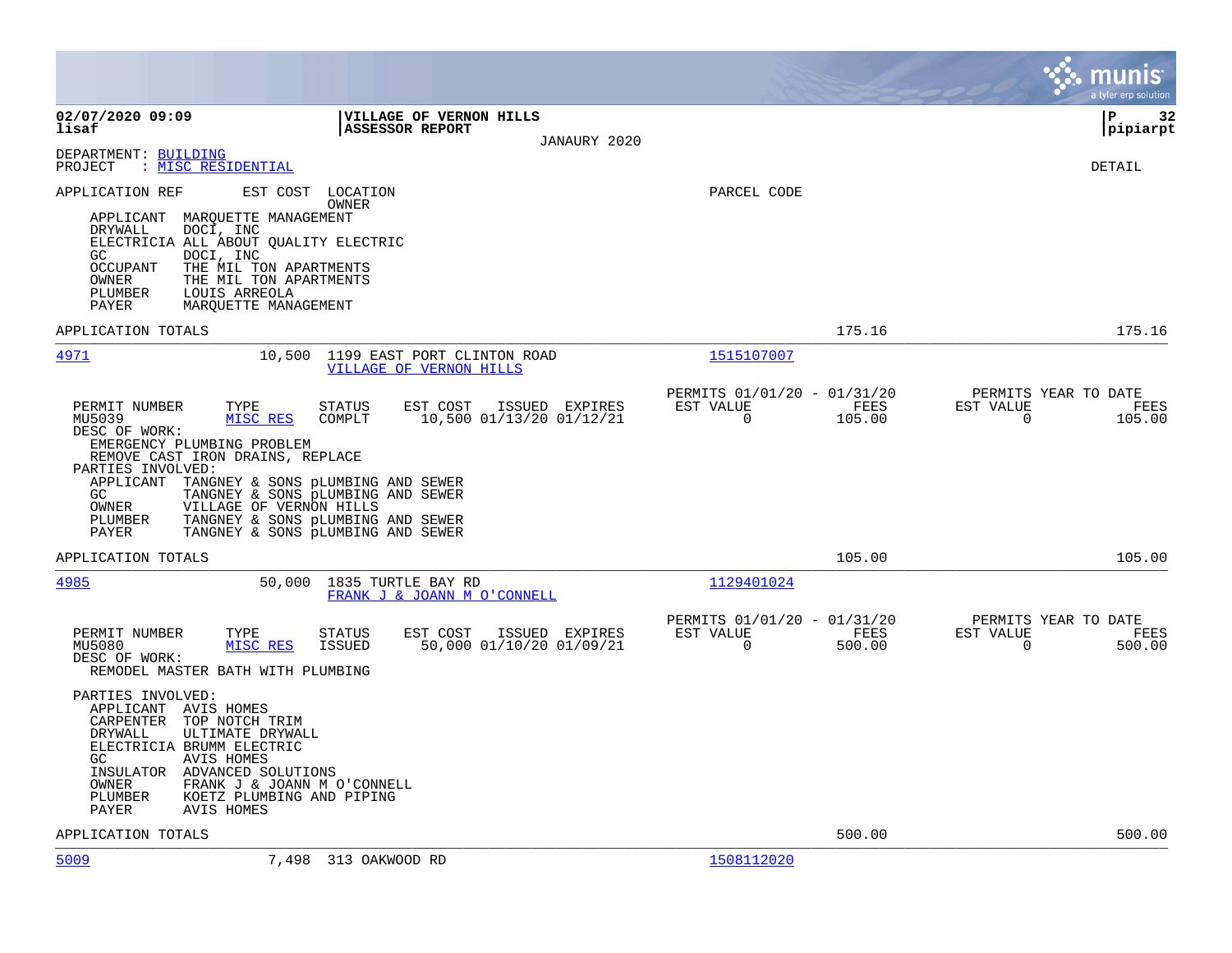|                                                                                                                                                                                                                                                                                                                                                                                                                                                                  |                                                                           | munis<br>a tyler erp solution                                      |
|------------------------------------------------------------------------------------------------------------------------------------------------------------------------------------------------------------------------------------------------------------------------------------------------------------------------------------------------------------------------------------------------------------------------------------------------------------------|---------------------------------------------------------------------------|--------------------------------------------------------------------|
| 02/07/2020 09:09<br>VILLAGE OF VERNON HILLS<br>lisaf<br><b>ASSESSOR REPORT</b><br>JANAURY 2020                                                                                                                                                                                                                                                                                                                                                                   |                                                                           | l P<br>32<br> pipiarpt                                             |
| DEPARTMENT: BUILDING<br>: MISC RESIDENTIAL<br>PROJECT                                                                                                                                                                                                                                                                                                                                                                                                            |                                                                           | DETAIL                                                             |
| EST COST<br>APPLICATION REF<br>LOCATION<br>OWNER<br>MARQUETTE MANAGEMENT<br>APPLICANT<br>DRYWALL<br>DOCI, INC<br>ELECTRICIA ALL ABOUT QUALITY ELECTRIC<br>GC<br>DOCI, INC<br><b>OCCUPANT</b><br>THE MIL TON APARTMENTS<br>OWNER<br>THE MIL TON APARTMENTS<br>PLUMBER<br>LOUIS ARREOLA<br>PAYER<br>MARQUETTE MANAGEMENT                                                                                                                                           | PARCEL CODE                                                               |                                                                    |
| APPLICATION TOTALS                                                                                                                                                                                                                                                                                                                                                                                                                                               | 175.16                                                                    | 175.16                                                             |
| 4971<br>10,500<br>1199 EAST PORT CLINTON ROAD<br>VILLAGE OF VERNON HILLS                                                                                                                                                                                                                                                                                                                                                                                         | 1515107007                                                                |                                                                    |
| PERMIT NUMBER<br>TYPE<br>EST COST<br>ISSUED EXPIRES<br>STATUS<br>MU5039<br>10,500 01/13/20 01/12/21<br>MISC RES<br>COMPLT<br>DESC OF WORK:<br>EMERGENCY PLUMBING PROBLEM<br>REMOVE CAST IRON DRAINS, REPLACE<br>PARTIES INVOLVED:<br>APPLICANT<br>TANGNEY & SONS PLUMBING AND SEWER<br>GC<br>TANGNEY & SONS PLUMBING AND SEWER<br>VILLAGE OF VERNON HILLS<br>OWNER<br>TANGNEY & SONS PLUMBING AND SEWER<br>PLUMBER<br>TANGNEY & SONS PLUMBING AND SEWER<br>PAYER | PERMITS 01/01/20 - 01/31/20<br>EST VALUE<br>FEES<br>$\mathbf 0$<br>105.00 | PERMITS YEAR TO DATE<br>EST VALUE<br>FEES<br>$\mathbf 0$<br>105.00 |
| APPLICATION TOTALS                                                                                                                                                                                                                                                                                                                                                                                                                                               | 105.00                                                                    | 105.00                                                             |
| 4985<br>50,000<br>1835 TURTLE BAY RD<br>FRANK J & JOANN M O'CONNELL                                                                                                                                                                                                                                                                                                                                                                                              | 1129401024                                                                |                                                                    |
| PERMIT NUMBER<br>TYPE<br><b>STATUS</b><br>EST COST<br>ISSUED EXPIRES<br>50,000 01/10/20 01/09/21<br>MU5080<br>MISC RES<br><b>ISSUED</b><br>DESC OF WORK:<br>REMODEL MASTER BATH WITH PLUMBING<br>PARTIES INVOLVED:                                                                                                                                                                                                                                               | PERMITS 01/01/20 - 01/31/20<br>EST VALUE<br>FEES<br>$\mathbf 0$<br>500.00 | PERMITS YEAR TO DATE<br>EST VALUE<br>FEES<br>$\mathbf 0$<br>500.00 |
| APPLICANT<br>AVIS HOMES<br>CARPENTER<br>TOP NOTCH TRIM<br>DRYWALL<br>ULTIMATE DRYWALL<br>ELECTRICIA BRUMM ELECTRIC<br>AVIS HOMES<br>GC.<br>INSULATOR ADVANCED SOLUTIONS<br>OWNER<br>FRANK J & JOANN M O'CONNELL<br>KOETZ PLUMBING AND PIPING<br>PLUMBER<br>PAYER<br>AVIS HOMES                                                                                                                                                                                   |                                                                           |                                                                    |
| APPLICATION TOTALS                                                                                                                                                                                                                                                                                                                                                                                                                                               | 500.00                                                                    | 500.00                                                             |
| 5009<br>7,498<br>313 OAKWOOD RD                                                                                                                                                                                                                                                                                                                                                                                                                                  | 1508112020                                                                |                                                                    |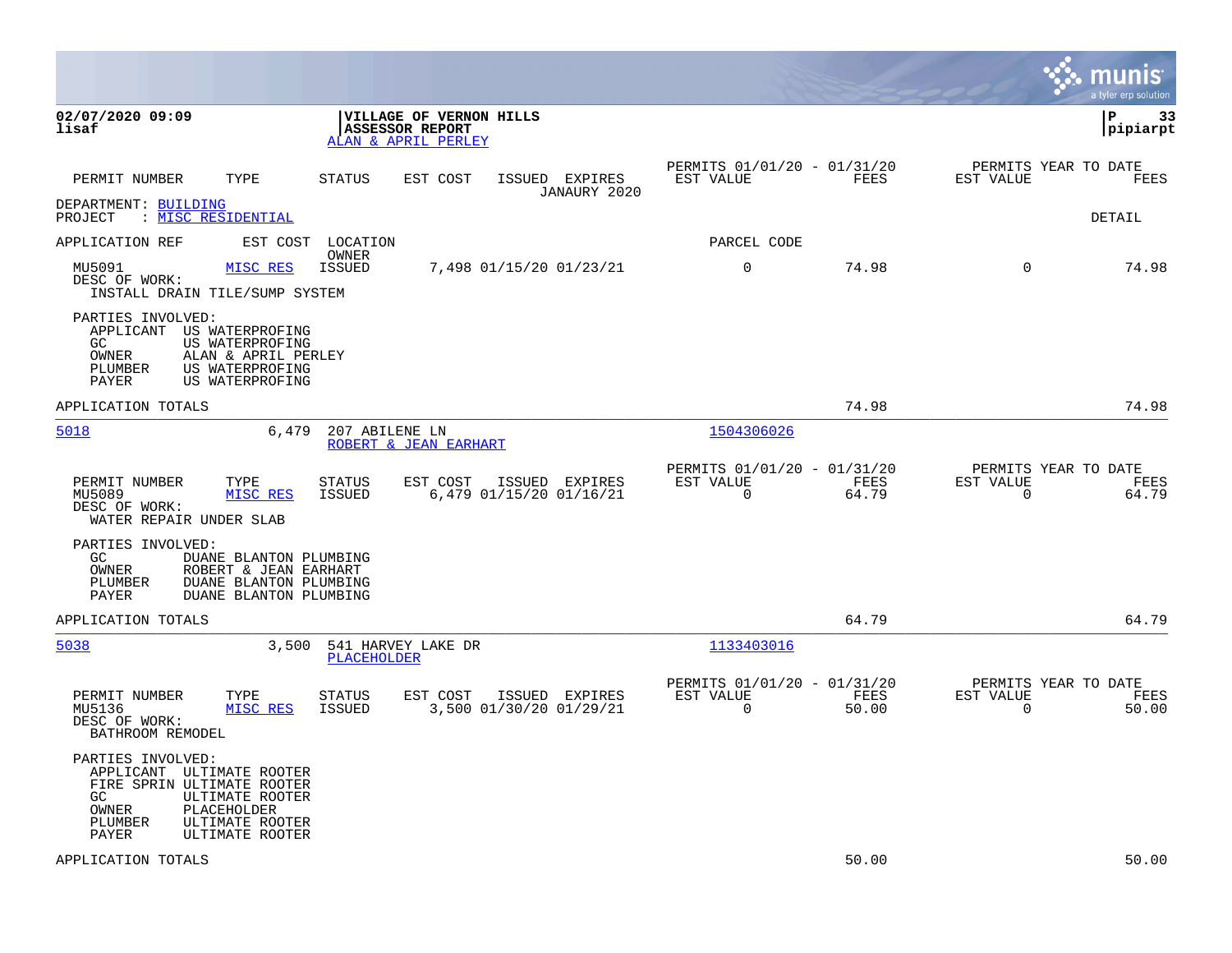|                                                                                                                                                                                         |                                                                          |                                           |                                                         |               |                                                  | munis<br>a tyler erp solution |
|-----------------------------------------------------------------------------------------------------------------------------------------------------------------------------------------|--------------------------------------------------------------------------|-------------------------------------------|---------------------------------------------------------|---------------|--------------------------------------------------|-------------------------------|
| 02/07/2020 09:09<br>lisaf                                                                                                                                                               | VILLAGE OF VERNON HILLS<br><b>ASSESSOR REPORT</b><br>ALAN & APRIL PERLEY |                                           |                                                         |               |                                                  | l P<br>-33<br> pipiarpt       |
| TYPE<br>PERMIT NUMBER                                                                                                                                                                   | STATUS<br>EST COST                                                       | ISSUED EXPIRES<br>JANAURY 2020            | PERMITS 01/01/20 - 01/31/20<br>EST VALUE                | FEES          | PERMITS YEAR TO DATE<br>EST VALUE                | FEES                          |
| DEPARTMENT: BUILDING<br>: MISC RESIDENTIAL<br>PROJECT                                                                                                                                   |                                                                          |                                           |                                                         |               |                                                  | DETAIL                        |
| APPLICATION REF<br>EST COST                                                                                                                                                             | LOCATION                                                                 |                                           | PARCEL CODE                                             |               |                                                  |                               |
| MISC RES<br>MU5091<br>DESC OF WORK:<br>INSTALL DRAIN TILE/SUMP SYSTEM                                                                                                                   | OWNER<br><b>ISSUED</b>                                                   | 7,498 01/15/20 01/23/21                   | $\mathbf 0$                                             | 74.98         | $\Omega$                                         | 74.98                         |
| PARTIES INVOLVED:<br>APPLICANT US WATERPROFING<br>GC<br>US WATERPROFING<br>OWNER<br>ALAN & APRIL PERLEY<br>PLUMBER<br>US WATERPROFING<br>PAYER<br>US WATERPROFING                       |                                                                          |                                           |                                                         |               |                                                  |                               |
| APPLICATION TOTALS                                                                                                                                                                      |                                                                          |                                           |                                                         | 74.98         |                                                  | 74.98                         |
| 5018<br>6,479                                                                                                                                                                           | 207 ABILENE LN<br>ROBERT & JEAN EARHART                                  |                                           | 1504306026                                              |               |                                                  |                               |
| PERMIT NUMBER<br>TYPE<br>MU5089<br>MISC RES<br>DESC OF WORK:<br>WATER REPAIR UNDER SLAB                                                                                                 | <b>STATUS</b><br>EST COST<br>ISSUED                                      | ISSUED EXPIRES<br>6,479 01/15/20 01/16/21 | PERMITS 01/01/20 - 01/31/20<br>EST VALUE<br>$\mathbf 0$ | FEES<br>64.79 | PERMITS YEAR TO DATE<br>EST VALUE<br>$\mathbf 0$ | FEES<br>64.79                 |
| PARTIES INVOLVED:<br>GC.<br>DUANE BLANTON PLUMBING<br>OWNER<br>ROBERT & JEAN EARHART<br>PLUMBER<br>DUANE BLANTON PLUMBING<br>PAYER<br>DUANE BLANTON PLUMBING                            |                                                                          |                                           |                                                         |               |                                                  |                               |
| APPLICATION TOTALS                                                                                                                                                                      |                                                                          |                                           |                                                         | 64.79         |                                                  | 64.79                         |
| 5038<br>3,500                                                                                                                                                                           | 541 HARVEY LAKE DR<br>PLACEHOLDER                                        |                                           | 1133403016                                              |               |                                                  |                               |
| PERMIT NUMBER<br>TYPE<br>MU5136<br>MISC RES<br>DESC OF WORK:<br>BATHROOM REMODEL                                                                                                        | STATUS<br>EST COST<br>ISSUED                                             | ISSUED EXPIRES<br>3,500 01/30/20 01/29/21 | PERMITS 01/01/20 - 01/31/20<br>EST VALUE<br>$\mathbf 0$ | FEES<br>50.00 | PERMITS YEAR TO DATE<br>EST VALUE<br>$\mathbf 0$ | FEES<br>50.00                 |
| PARTIES INVOLVED:<br>APPLICANT ULTIMATE ROOTER<br>FIRE SPRIN ULTIMATE ROOTER<br>GC<br>ULTIMATE ROOTER<br>OWNER<br>PLACEHOLDER<br>PLUMBER<br>ULTIMATE ROOTER<br>PAYER<br>ULTIMATE ROOTER |                                                                          |                                           |                                                         |               |                                                  |                               |
| APPLICATION TOTALS                                                                                                                                                                      |                                                                          |                                           |                                                         | 50.00         |                                                  | 50.00                         |

**Contract**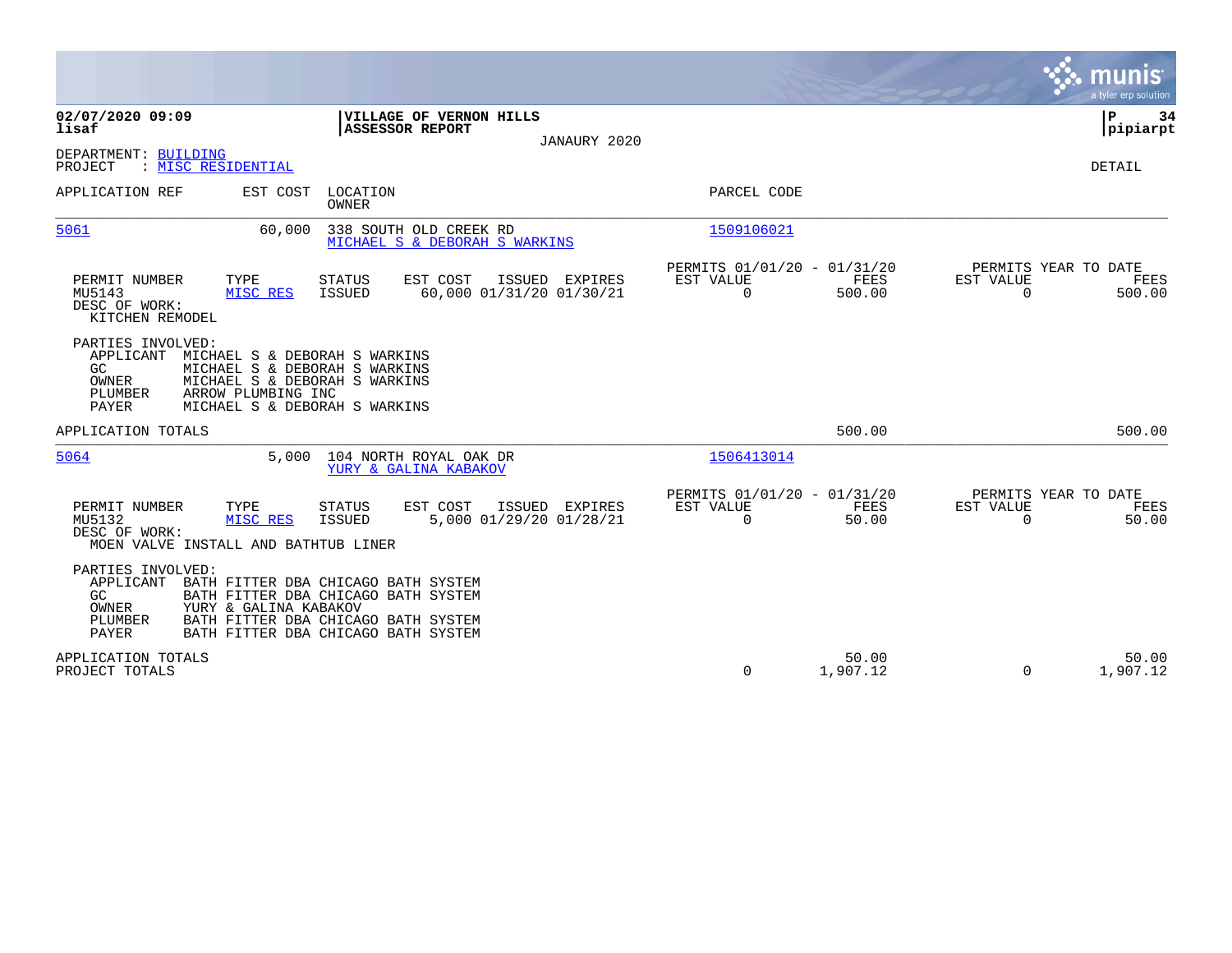|                                                                                                      |                                                                                                                                                          |                                                                       | a tyler erp solution                                               |
|------------------------------------------------------------------------------------------------------|----------------------------------------------------------------------------------------------------------------------------------------------------------|-----------------------------------------------------------------------|--------------------------------------------------------------------|
| 02/07/2020 09:09<br>lisaf                                                                            | VILLAGE OF VERNON HILLS<br><b>ASSESSOR REPORT</b><br>JANAURY 2020                                                                                        |                                                                       | P<br>34<br> pipiarpt                                               |
| DEPARTMENT: BUILDING<br>PROJECT<br>: MISC RESIDENTIAL                                                |                                                                                                                                                          |                                                                       | <b>DETAIL</b>                                                      |
| APPLICATION REF<br>EST COST                                                                          | LOCATION<br>OWNER                                                                                                                                        | PARCEL CODE                                                           |                                                                    |
| 5061<br>60,000                                                                                       | 338 SOUTH OLD CREEK RD<br>MICHAEL S & DEBORAH S WARKINS                                                                                                  | 1509106021                                                            |                                                                    |
| TYPE<br>PERMIT NUMBER<br>MU5143<br>MISC RES<br>DESC OF WORK:<br>KITCHEN REMODEL                      | EST COST<br>ISSUED EXPIRES<br><b>STATUS</b><br>60,000 01/31/20 01/30/21<br>ISSUED                                                                        | PERMITS 01/01/20 - 01/31/20<br>EST VALUE<br>FEES<br>0<br>500.00       | PERMITS YEAR TO DATE<br>EST VALUE<br>FEES<br>$\mathbf 0$<br>500.00 |
| PARTIES INVOLVED:<br>APPLICANT<br>GC.<br>OWNER<br>ARROW PLUMBING INC<br>PLUMBER<br>PAYER             | MICHAEL S & DEBORAH S WARKINS<br>MICHAEL S & DEBORAH S WARKINS<br>MICHAEL S & DEBORAH S WARKINS<br>MICHAEL S & DEBORAH S WARKINS                         |                                                                       |                                                                    |
| APPLICATION TOTALS                                                                                   |                                                                                                                                                          | 500.00                                                                | 500.00                                                             |
| 5064                                                                                                 | 104 NORTH ROYAL OAK DR<br>5,000<br>YURY & GALINA KABAKOV                                                                                                 | 1506413014                                                            |                                                                    |
| PERMIT NUMBER<br>TYPE<br>MU5132<br>MISC RES<br>DESC OF WORK:<br>MOEN VALVE INSTALL AND BATHTUB LINER | EST COST<br>ISSUED<br>EXPIRES<br><b>STATUS</b><br><b>ISSUED</b><br>5,000 01/29/20 01/28/21                                                               | PERMITS 01/01/20 - 01/31/20<br>EST VALUE<br>FEES<br>$\Omega$<br>50.00 | PERMITS YEAR TO DATE<br>EST VALUE<br>FEES<br>$\Omega$<br>50.00     |
| PARTIES INVOLVED:<br>APPLICANT<br>GC<br>OWNER<br>YURY & GALINA KABAKOV<br>PLUMBER<br>PAYER           | BATH FITTER DBA CHICAGO BATH SYSTEM<br>BATH FITTER DBA CHICAGO BATH SYSTEM<br>BATH FITTER DBA CHICAGO BATH SYSTEM<br>BATH FITTER DBA CHICAGO BATH SYSTEM |                                                                       |                                                                    |
| APPLICATION TOTALS<br>PROJECT TOTALS                                                                 |                                                                                                                                                          | 50.00<br>0<br>1,907.12                                                | 50.00<br>1,907.12<br>$\Omega$                                      |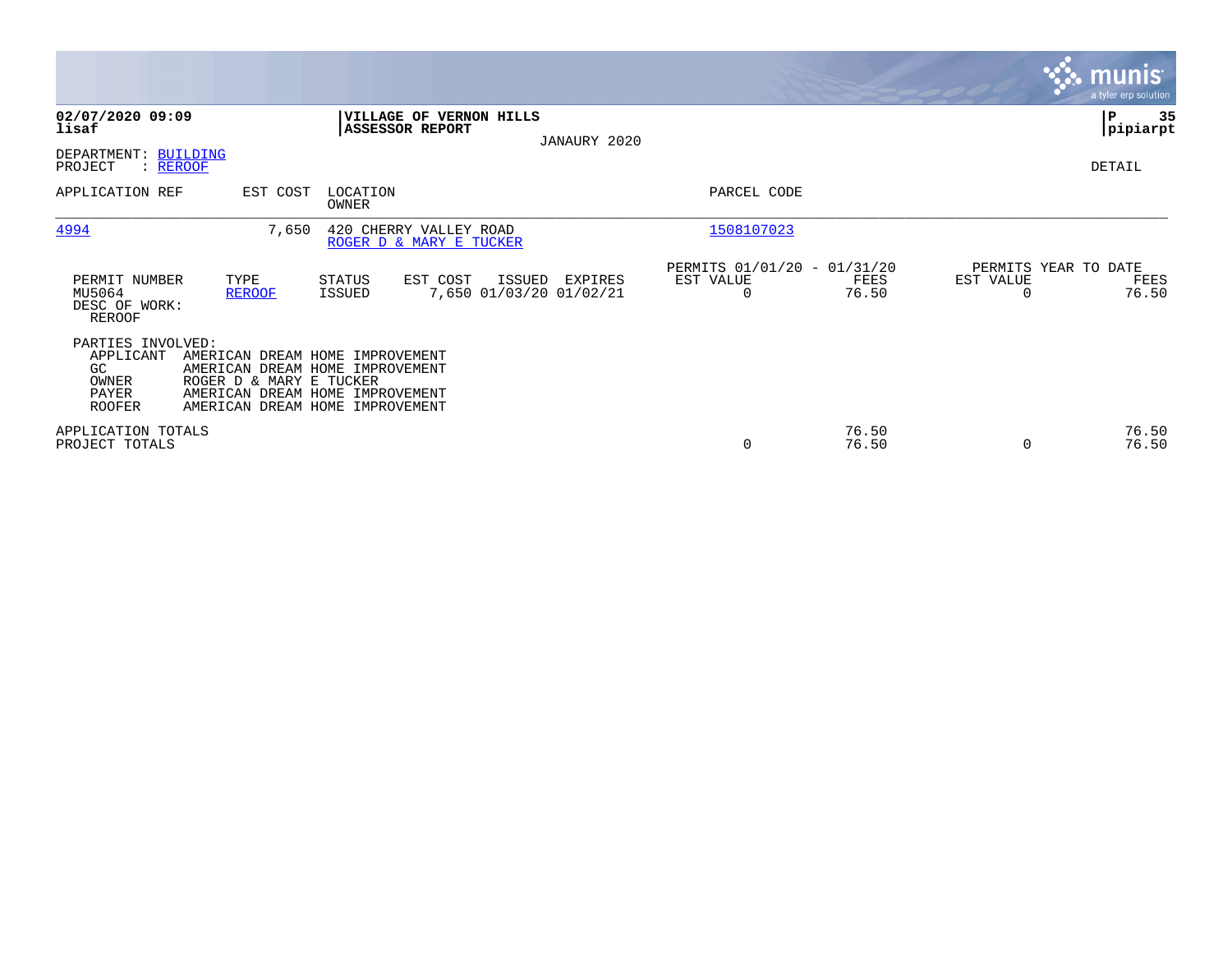|                                                                         |                                                                                                                                                                     |                          |                                                   |        |                                    |                                                      |                |                                   | <b>munis</b><br>a tyler erp solution |
|-------------------------------------------------------------------------|---------------------------------------------------------------------------------------------------------------------------------------------------------------------|--------------------------|---------------------------------------------------|--------|------------------------------------|------------------------------------------------------|----------------|-----------------------------------|--------------------------------------|
| 02/07/2020 09:09<br>lisaf                                               |                                                                                                                                                                     |                          | VILLAGE OF VERNON HILLS<br><b>ASSESSOR REPORT</b> |        | JANAURY 2020                       |                                                      |                |                                   | P<br>35<br> pipiarpt                 |
| DEPARTMENT:<br>PROJECT<br>: REROOF                                      | <b>BUILDING</b>                                                                                                                                                     |                          |                                                   |        |                                    |                                                      |                |                                   | DETAIL                               |
| APPLICATION REF                                                         | EST COST                                                                                                                                                            | LOCATION<br><b>OWNER</b> |                                                   |        |                                    | PARCEL CODE                                          |                |                                   |                                      |
| 4994                                                                    | 7,650                                                                                                                                                               |                          | 420 CHERRY VALLEY ROAD<br>ROGER D & MARY E TUCKER |        |                                    | 1508107023                                           |                |                                   |                                      |
| PERMIT NUMBER<br>MU5064<br>DESC OF WORK:<br>REROOF                      | TYPE<br><b>REROOF</b>                                                                                                                                               | STATUS<br><b>ISSUED</b>  | EST COST                                          | ISSUED | EXPIRES<br>7,650 01/03/20 01/02/21 | PERMITS 01/01/20 - 01/31/20<br>EST VALUE<br>$\Omega$ | FEES<br>76.50  | PERMITS YEAR TO DATE<br>EST VALUE | FEES<br>76.50                        |
| PARTIES INVOLVED:<br>APPLICANT<br>GC<br>OWNER<br>PAYER<br><b>ROOFER</b> | AMERICAN DREAM HOME IMPROVEMENT<br>AMERICAN DREAM HOME IMPROVEMENT<br>ROGER D & MARY E TUCKER<br>AMERICAN DREAM HOME IMPROVEMENT<br>AMERICAN DREAM HOME IMPROVEMENT |                          |                                                   |        |                                    |                                                      |                |                                   |                                      |
| APPLICATION TOTALS<br>PROJECT TOTALS                                    |                                                                                                                                                                     |                          |                                                   |        |                                    | $\mathbf 0$                                          | 76.50<br>76.50 | $\Omega$                          | 76.50<br>76.50                       |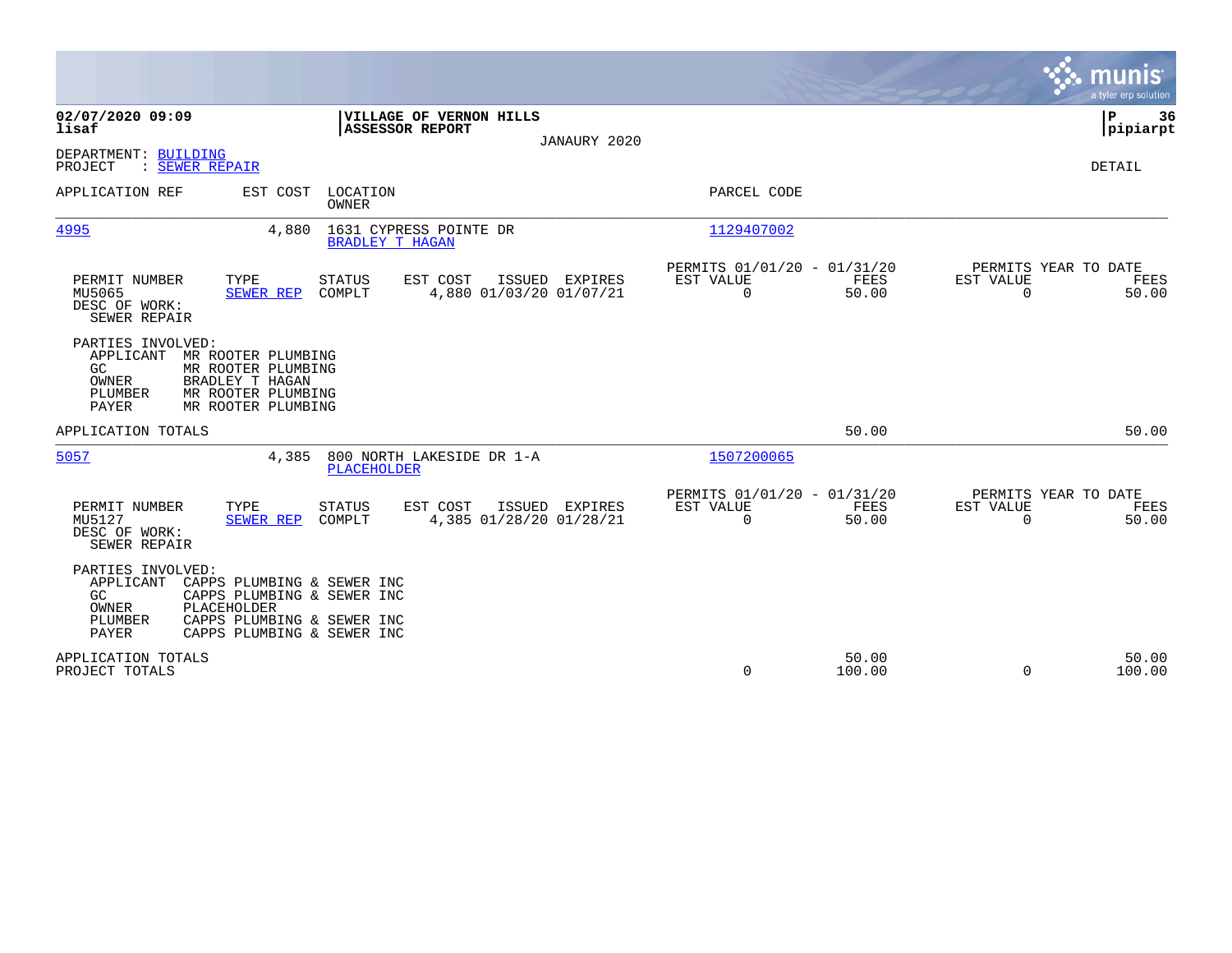|                                                                    |                                                                                                                                     |                                                   |                                              |                                                         |                 |                                                  | munis<br>a tyler erp solution         |
|--------------------------------------------------------------------|-------------------------------------------------------------------------------------------------------------------------------------|---------------------------------------------------|----------------------------------------------|---------------------------------------------------------|-----------------|--------------------------------------------------|---------------------------------------|
| 02/07/2020 09:09<br>lisaf                                          |                                                                                                                                     | VILLAGE OF VERNON HILLS<br><b>ASSESSOR REPORT</b> | JANAURY 2020                                 |                                                         |                 |                                                  | P<br>36<br> pipiarpt                  |
| DEPARTMENT: BUILDING<br>: SEWER REPAIR<br>PROJECT                  |                                                                                                                                     |                                                   |                                              |                                                         |                 |                                                  | DETAIL                                |
| APPLICATION REF                                                    | EST COST                                                                                                                            | LOCATION<br>OWNER                                 |                                              | PARCEL CODE                                             |                 |                                                  |                                       |
| 4995                                                               | 4,880                                                                                                                               | 1631 CYPRESS POINTE DR<br><b>BRADLEY T HAGAN</b>  |                                              | 1129407002                                              |                 |                                                  |                                       |
| PERMIT NUMBER<br>MU5065<br>DESC OF WORK:<br>SEWER REPAIR           | TYPE<br><b>SEWER REP</b>                                                                                                            | EST COST<br><b>STATUS</b><br>COMPLT               | ISSUED<br>EXPIRES<br>4,880 01/03/20 01/07/21 | PERMITS 01/01/20 - 01/31/20<br>EST VALUE<br>$\mathbf 0$ | FEES<br>50.00   | PERMITS YEAR TO DATE<br>EST VALUE<br>$\mathbf 0$ | FEES<br>50.00                         |
| PARTIES INVOLVED:<br>APPLICANT<br>GC<br>OWNER<br>PLUMBER<br>PAYER  | MR ROOTER PLUMBING<br>MR ROOTER PLUMBING<br>BRADLEY T HAGAN<br>MR ROOTER PLUMBING<br>MR ROOTER PLUMBING                             |                                                   |                                              |                                                         |                 |                                                  |                                       |
| APPLICATION TOTALS                                                 |                                                                                                                                     |                                                   |                                              |                                                         | 50.00           |                                                  | 50.00                                 |
| 5057                                                               | 4,385                                                                                                                               | 800 NORTH LAKESIDE DR 1-A<br>PLACEHOLDER          |                                              | 1507200065                                              |                 |                                                  |                                       |
| PERMIT NUMBER<br>MU5127<br>DESC OF WORK:<br>SEWER REPAIR           | TYPE<br><b>SEWER REP</b>                                                                                                            | EST COST<br><b>STATUS</b><br>COMPLT               | ISSUED EXPIRES<br>4,385 01/28/20 01/28/21    | PERMITS 01/01/20 - 01/31/20<br>EST VALUE<br>$\mathbf 0$ | FEES<br>50.00   | EST VALUE<br>$\Omega$                            | PERMITS YEAR TO DATE<br>FEES<br>50.00 |
| PARTIES INVOLVED:<br>APPLICANT<br>GC.<br>OWNER<br>PLUMBER<br>PAYER | CAPPS PLUMBING & SEWER INC<br>CAPPS PLUMBING & SEWER INC<br>PLACEHOLDER<br>CAPPS PLUMBING & SEWER INC<br>CAPPS PLUMBING & SEWER INC |                                                   |                                              |                                                         |                 |                                                  |                                       |
| APPLICATION TOTALS<br>PROJECT TOTALS                               |                                                                                                                                     |                                                   |                                              | 0                                                       | 50.00<br>100.00 | $\Omega$                                         | 50.00<br>100.00                       |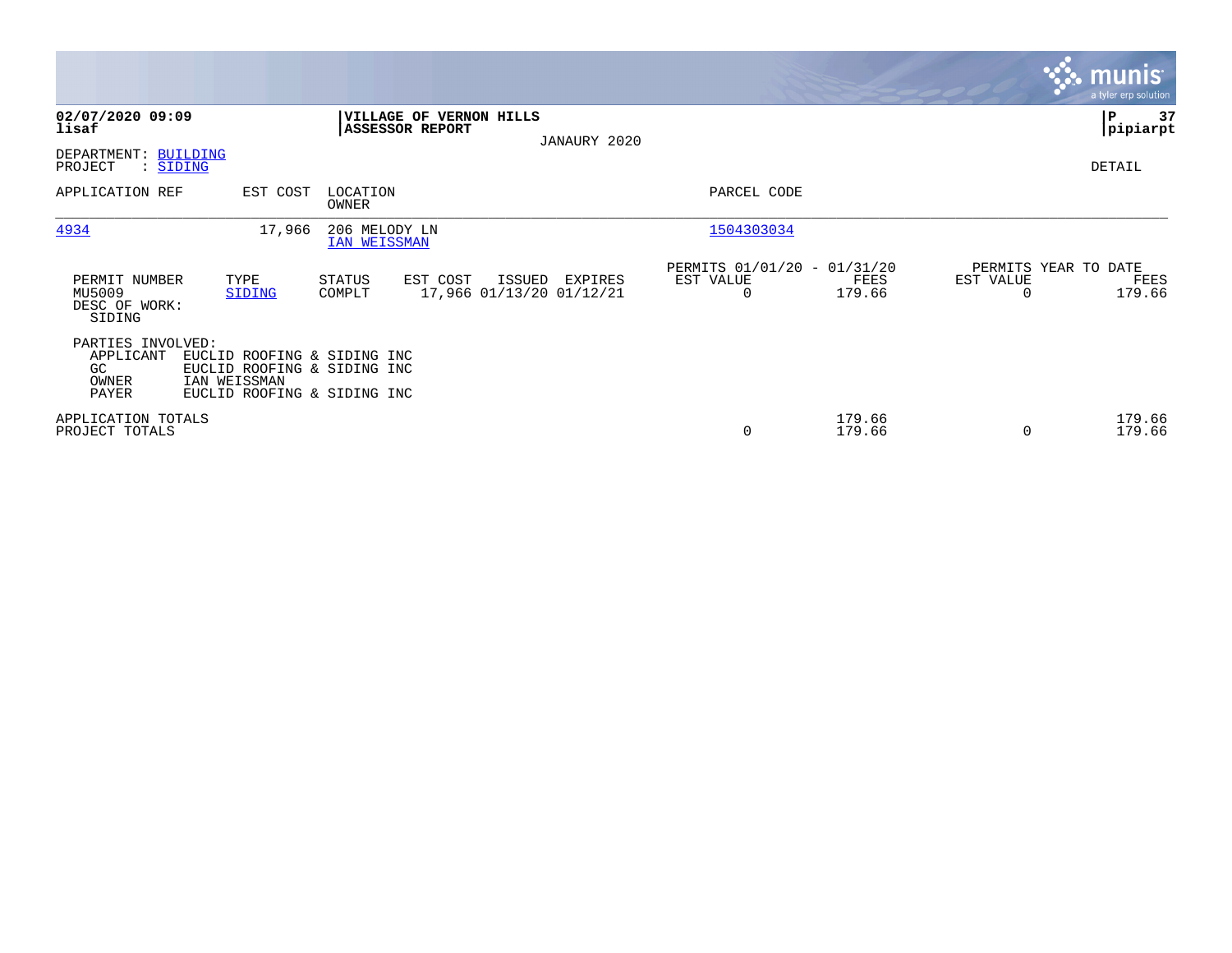|                                                        |                                                                                                           |                               |                                                   |        |                                     |                                                      |                  |                                   | <b>munis</b><br>a tyler erp solution |
|--------------------------------------------------------|-----------------------------------------------------------------------------------------------------------|-------------------------------|---------------------------------------------------|--------|-------------------------------------|------------------------------------------------------|------------------|-----------------------------------|--------------------------------------|
| 02/07/2020 09:09<br>lisaf                              |                                                                                                           |                               | VILLAGE OF VERNON HILLS<br><b>ASSESSOR REPORT</b> |        | JANAURY 2020                        |                                                      |                  |                                   | 37<br> P<br> pipiarpt                |
| DEPARTMENT: BUILDING<br>PROJECT<br>: SIDING            |                                                                                                           |                               |                                                   |        |                                     |                                                      |                  |                                   | DETAIL                               |
| APPLICATION REF                                        | EST COST                                                                                                  | LOCATION<br>OWNER             |                                                   |        |                                     | PARCEL CODE                                          |                  |                                   |                                      |
| 4934                                                   | 17,966                                                                                                    | 206 MELODY LN<br>IAN WEISSMAN |                                                   |        |                                     | 1504303034                                           |                  |                                   |                                      |
| PERMIT NUMBER<br>MU5009<br>DESC OF WORK:<br>SIDING     | TYPE<br>SIDING                                                                                            | STATUS<br>COMPLT              | EST COST                                          | ISSUED | EXPIRES<br>17,966 01/13/20 01/12/21 | PERMITS 01/01/20 - 01/31/20<br>EST VALUE<br>$\Omega$ | FEES<br>179.66   | PERMITS YEAR TO DATE<br>EST VALUE | FEES<br>179.66                       |
| PARTIES INVOLVED:<br>APPLICANT<br>GC<br>OWNER<br>PAYER | EUCLID ROOFING & SIDING INC<br>EUCLID ROOFING & SIDING INC<br>IAN WEISSMAN<br>EUCLID ROOFING & SIDING INC |                               |                                                   |        |                                     |                                                      |                  |                                   |                                      |
| APPLICATION TOTALS<br>PROJECT TOTALS                   |                                                                                                           |                               |                                                   |        |                                     | 0                                                    | 179.66<br>179.66 | $\Omega$                          | 179.66<br>179.66                     |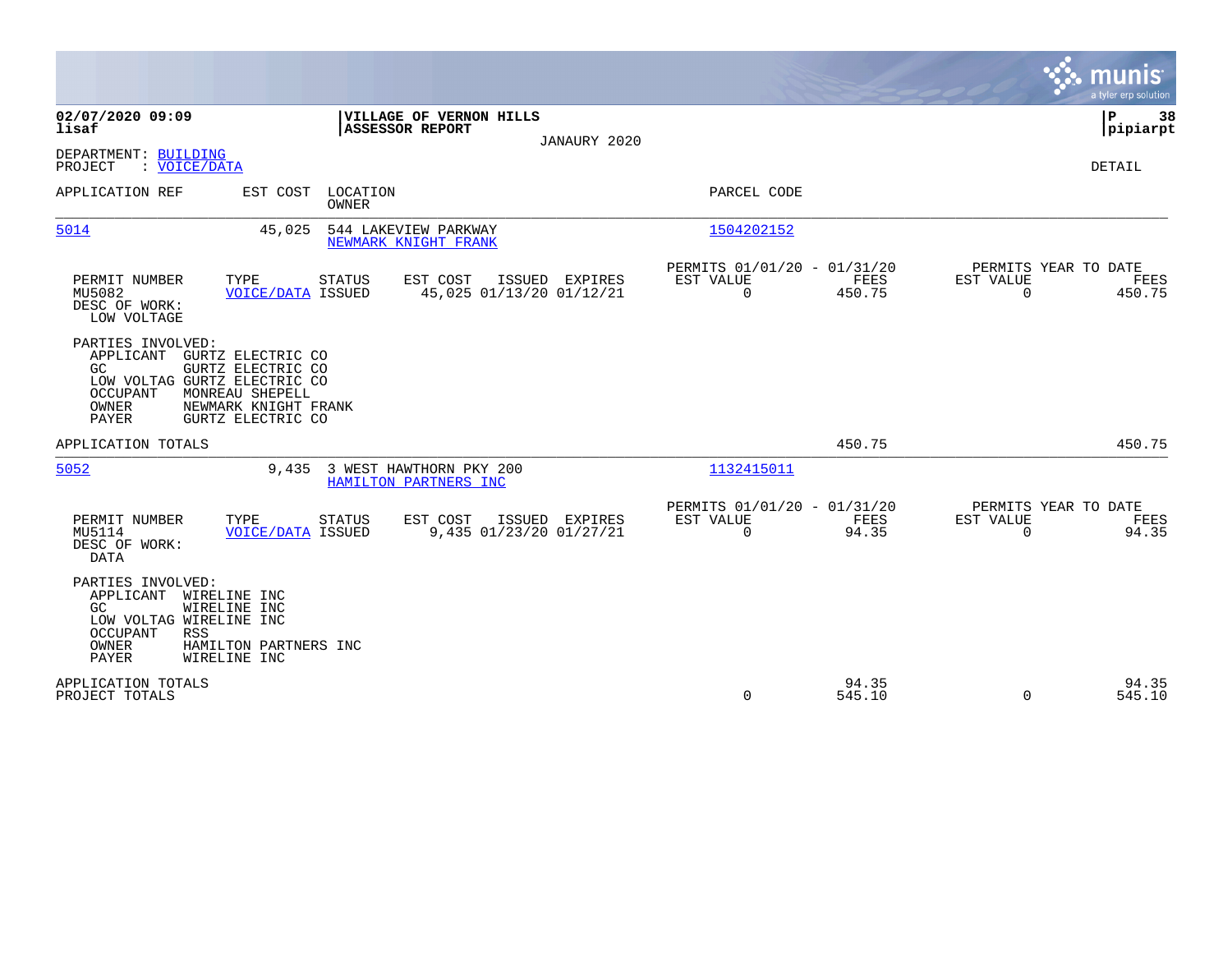|                                                                                                                                                                                                                      |                                                           |                                            |                                                            |                 |                                               | munis<br>a tyler erp solution |
|----------------------------------------------------------------------------------------------------------------------------------------------------------------------------------------------------------------------|-----------------------------------------------------------|--------------------------------------------|------------------------------------------------------------|-----------------|-----------------------------------------------|-------------------------------|
| 02/07/2020 09:09<br>lisaf                                                                                                                                                                                            | VILLAGE OF VERNON HILLS<br><b>ASSESSOR REPORT</b>         | JANAURY 2020                               |                                                            |                 |                                               | 38<br>P<br> pipiarpt          |
| DEPARTMENT: BUILDING<br>PROJECT<br>: VOICE/DATA                                                                                                                                                                      |                                                           |                                            |                                                            |                 |                                               | DETAIL                        |
| APPLICATION REF<br>EST COST                                                                                                                                                                                          | LOCATION<br><b>OWNER</b>                                  |                                            | PARCEL CODE                                                |                 |                                               |                               |
| 5014                                                                                                                                                                                                                 | 45,025<br>544 LAKEVIEW PARKWAY<br>NEWMARK KNIGHT FRANK    |                                            | 1504202152                                                 |                 |                                               |                               |
| PERMIT NUMBER<br>TYPE<br>MU5082<br>DESC OF WORK:<br>LOW VOLTAGE                                                                                                                                                      | EST COST<br>STATUS<br><b>VOICE/DATA ISSUED</b>            | ISSUED EXPIRES<br>45,025 01/13/20 01/12/21 | PERMITS 01/01/20 - 01/31/20<br>EST VALUE<br>$\Omega$       | FEES<br>450.75  | PERMITS YEAR TO DATE<br>EST VALUE<br>$\Omega$ | FEES<br>450.75                |
| PARTIES INVOLVED:<br>APPLICANT<br>GURTZ ELECTRIC CO<br>GURTZ ELECTRIC CO<br>GC.<br>LOW VOLTAG GURTZ ELECTRIC CO<br>MONREAU SHEPELL<br>OCCUPANT<br><b>OWNER</b><br>NEWMARK KNIGHT FRANK<br>PAYER<br>GURTZ ELECTRIC CO |                                                           |                                            |                                                            |                 |                                               |                               |
| APPLICATION TOTALS                                                                                                                                                                                                   |                                                           |                                            |                                                            | 450.75          |                                               | 450.75                        |
| 5052                                                                                                                                                                                                                 | 3 WEST HAWTHORN PKY 200<br>9,435<br>HAMILTON PARTNERS INC |                                            | 1132415011                                                 |                 |                                               |                               |
| PERMIT NUMBER<br>TYPE<br>MU5114<br>DESC OF WORK:<br><b>DATA</b>                                                                                                                                                      | <b>STATUS</b><br>EST COST<br><b>VOICE/DATA ISSUED</b>     | ISSUED EXPIRES<br>9,435 01/23/20 01/27/21  | PERMITS 01/01/20 - 01/31/20<br>EST VALUE<br>$\overline{0}$ | FEES<br>94.35   | PERMITS YEAR TO DATE<br>EST VALUE<br>$\Omega$ | FEES<br>94.35                 |
| PARTIES INVOLVED:<br>APPLICANT<br>WIRELINE INC<br>GC<br>WIRELINE INC<br>LOW VOLTAG WIRELINE INC<br>OCCUPANT<br><b>RSS</b><br>OWNER<br>HAMILTON PARTNERS INC<br>PAYER<br>WIRELINE INC                                 |                                                           |                                            |                                                            |                 |                                               |                               |
| APPLICATION TOTALS<br>PROJECT TOTALS                                                                                                                                                                                 |                                                           |                                            | $\Omega$                                                   | 94.35<br>545.10 | $\Omega$                                      | 94.35<br>545.10               |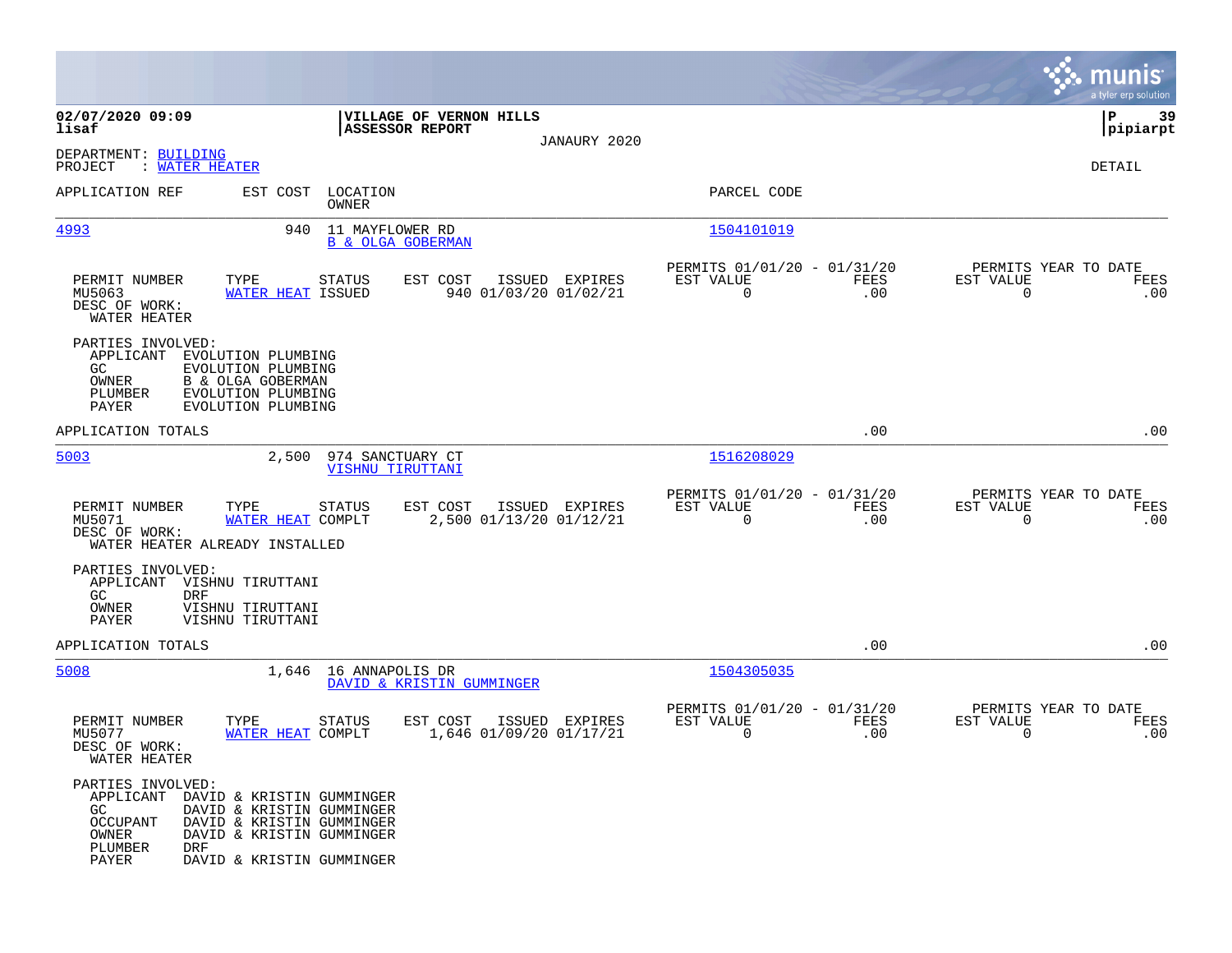|                                                                                                                                                                                                                                       |                                                    |                                           |                                                         |             | munis<br>a tyler erp solution                                   |
|---------------------------------------------------------------------------------------------------------------------------------------------------------------------------------------------------------------------------------------|----------------------------------------------------|-------------------------------------------|---------------------------------------------------------|-------------|-----------------------------------------------------------------|
| 02/07/2020 09:09<br>lisaf                                                                                                                                                                                                             | VILLAGE OF VERNON HILLS<br><b>ASSESSOR REPORT</b>  |                                           |                                                         |             | 39<br>ΙP<br> pipiarpt                                           |
| DEPARTMENT: BUILDING<br>PROJECT<br>: WATER HEATER                                                                                                                                                                                     |                                                    | JANAURY 2020                              |                                                         |             | DETAIL                                                          |
| APPLICATION REF                                                                                                                                                                                                                       | EST COST LOCATION<br>OWNER                         |                                           | PARCEL CODE                                             |             |                                                                 |
| 4993<br>940                                                                                                                                                                                                                           | 11 MAYFLOWER RD<br><b>B &amp; OLGA GOBERMAN</b>    |                                           | 1504101019                                              |             |                                                                 |
| PERMIT NUMBER<br>TYPE<br>MU5063<br>WATER HEAT ISSUED<br>DESC OF WORK:<br>WATER HEATER                                                                                                                                                 | <b>STATUS</b><br>EST COST                          | ISSUED EXPIRES<br>940 01/03/20 01/02/21   | PERMITS 01/01/20 - 01/31/20<br>EST VALUE<br>$\mathbf 0$ | FEES<br>.00 | PERMITS YEAR TO DATE<br>EST VALUE<br>FEES<br>$\mathbf 0$<br>.00 |
| PARTIES INVOLVED:<br>APPLICANT<br>EVOLUTION PLUMBING<br>GC<br>EVOLUTION PLUMBING<br>OWNER<br>B & OLGA GOBERMAN<br>EVOLUTION PLUMBING<br>PLUMBER<br>PAYER<br>EVOLUTION PLUMBING                                                        |                                                    |                                           |                                                         |             |                                                                 |
| APPLICATION TOTALS                                                                                                                                                                                                                    |                                                    |                                           |                                                         | .00         | .00                                                             |
| 5003                                                                                                                                                                                                                                  | 2,500 974 SANCTUARY CT<br>VISHNU TIRUTTANI         |                                           | 1516208029                                              |             |                                                                 |
| PERMIT NUMBER<br>TYPE<br>MU5071<br>WATER HEAT COMPLT<br>DESC OF WORK:<br>WATER HEATER ALREADY INSTALLED                                                                                                                               | STATUS<br>EST COST                                 | ISSUED EXPIRES<br>2,500 01/13/20 01/12/21 | PERMITS 01/01/20 - 01/31/20<br>EST VALUE<br>$\mathbf 0$ | FEES<br>.00 | PERMITS YEAR TO DATE<br>EST VALUE<br>FEES<br>$\mathbf 0$<br>.00 |
| PARTIES INVOLVED:<br>VISHNU TIRUTTANI<br>APPLICANT<br><b>DRF</b><br>GC.<br>OWNER<br>VISHNU TIRUTTANI<br>PAYER<br>VISHNU TIRUTTANI                                                                                                     |                                                    |                                           |                                                         |             |                                                                 |
| APPLICATION TOTALS                                                                                                                                                                                                                    |                                                    |                                           |                                                         | .00         | .00                                                             |
| 5008                                                                                                                                                                                                                                  | 1,646 16 ANNAPOLIS DR<br>DAVID & KRISTIN GUMMINGER |                                           | 1504305035                                              |             |                                                                 |
| PERMIT NUMBER<br>TYPE<br>MU5077<br>WATER HEAT COMPLT<br>DESC OF WORK:<br>WATER HEATER                                                                                                                                                 | EST COST<br>STATUS                                 | ISSUED EXPIRES<br>1,646 01/09/20 01/17/21 | PERMITS 01/01/20 - 01/31/20<br>EST VALUE<br>$\mathbf 0$ | FEES<br>.00 | PERMITS YEAR TO DATE<br>EST VALUE<br>FEES<br>$\mathbf 0$<br>.00 |
| PARTIES INVOLVED:<br>APPLICANT<br>DAVID & KRISTIN GUMMINGER<br>GC<br>DAVID & KRISTIN GUMMINGER<br>OCCUPANT<br>DAVID & KRISTIN GUMMINGER<br>OWNER<br>DAVID & KRISTIN GUMMINGER<br>PLUMBER<br>DRF<br>PAYER<br>DAVID & KRISTIN GUMMINGER |                                                    |                                           |                                                         |             |                                                                 |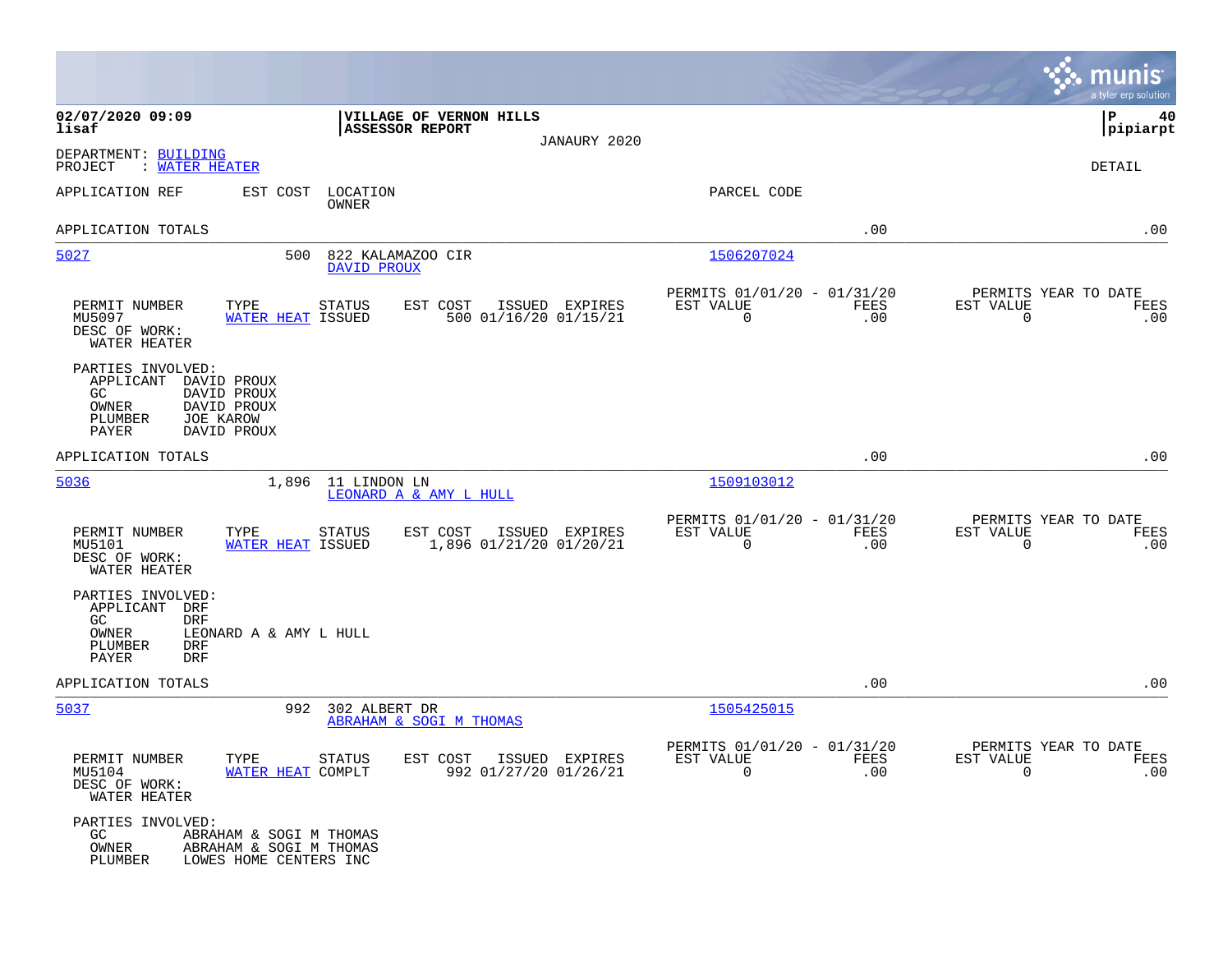|                                                                                                      |                                                                              |                                        |                                                  |                |                                                         |             |                                                  | munis<br>a tyler erp solution |
|------------------------------------------------------------------------------------------------------|------------------------------------------------------------------------------|----------------------------------------|--------------------------------------------------|----------------|---------------------------------------------------------|-------------|--------------------------------------------------|-------------------------------|
| 02/07/2020 09:09<br>lisaf                                                                            |                                                                              | <b>ASSESSOR REPORT</b>                 | VILLAGE OF VERNON HILLS                          | JANAURY 2020   |                                                         |             |                                                  | P<br>40<br> pipiarpt          |
| DEPARTMENT: BUILDING<br>PROJECT<br>: WATER HEATER                                                    |                                                                              |                                        |                                                  |                |                                                         |             |                                                  | DETAIL                        |
| APPLICATION REF                                                                                      | EST COST                                                                     | LOCATION<br>OWNER                      |                                                  |                | PARCEL CODE                                             |             |                                                  |                               |
| APPLICATION TOTALS                                                                                   |                                                                              |                                        |                                                  |                |                                                         | .00         |                                                  | .00                           |
| 5027                                                                                                 | 500                                                                          | 822 KALAMAZOO CIR<br>DAVID PROUX       |                                                  |                | 1506207024                                              |             |                                                  |                               |
| PERMIT NUMBER<br>MU5097<br>DESC OF WORK:<br>WATER HEATER                                             | TYPE<br>WATER HEAT ISSUED                                                    | STATUS                                 | EST COST<br>500 01/16/20 01/15/21                | ISSUED EXPIRES | PERMITS 01/01/20 - 01/31/20<br>EST VALUE<br>0           | FEES<br>.00 | PERMITS YEAR TO DATE<br>EST VALUE<br>0           | FEES<br>.00                   |
| PARTIES INVOLVED:<br>APPLICANT<br>GC<br>OWNER<br>PLUMBER<br>JOE KAROW<br>PAYER                       | DAVID PROUX<br>DAVID PROUX<br>DAVID PROUX<br>DAVID PROUX                     |                                        |                                                  |                |                                                         |             |                                                  |                               |
| APPLICATION TOTALS                                                                                   |                                                                              |                                        |                                                  |                |                                                         | .00         |                                                  | .00                           |
| 5036                                                                                                 | 1,896                                                                        | 11 LINDON LN<br>LEONARD A & AMY L HULL |                                                  |                | 1509103012                                              |             |                                                  |                               |
| PERMIT NUMBER<br>MU5101<br>DESC OF WORK:<br>WATER HEATER                                             | TYPE<br>WATER HEAT ISSUED                                                    | STATUS                                 | EST COST<br>1,896 01/21/20 01/20/21              | ISSUED EXPIRES | PERMITS 01/01/20 - 01/31/20<br>EST VALUE<br>$\mathbf 0$ | FEES<br>.00 | PERMITS YEAR TO DATE<br>EST VALUE<br>$\mathbf 0$ | FEES<br>.00                   |
| PARTIES INVOLVED:<br>APPLICANT<br>DRF<br>GC<br><b>DRF</b><br>OWNER<br>PLUMBER<br>DRF<br>PAYER<br>DRF | LEONARD A & AMY L HULL                                                       |                                        |                                                  |                |                                                         |             |                                                  |                               |
| APPLICATION TOTALS                                                                                   |                                                                              |                                        |                                                  |                |                                                         | .00         |                                                  | .00                           |
| 5037                                                                                                 |                                                                              | 992 302 ALBERT DR                      | ABRAHAM & SOGI M THOMAS                          |                | 1505425015                                              |             |                                                  |                               |
| PERMIT NUMBER<br>MU5104<br>DESC OF WORK:<br>WATER HEATER                                             | TYPE<br>WATER HEAT COMPLT                                                    | STATUS                                 | EST COST ISSUED EXPIRES<br>992 01/27/20 01/26/21 |                | PERMITS 01/01/20 - 01/31/20<br>EST VALUE<br>0           | FEES<br>.00 | PERMITS YEAR TO DATE<br>EST VALUE<br>$\mathbf 0$ | FEES<br>.00                   |
| PARTIES INVOLVED:<br>GC<br>OWNER<br>PLUMBER                                                          | ABRAHAM & SOGI M THOMAS<br>ABRAHAM & SOGI M THOMAS<br>LOWES HOME CENTERS INC |                                        |                                                  |                |                                                         |             |                                                  |                               |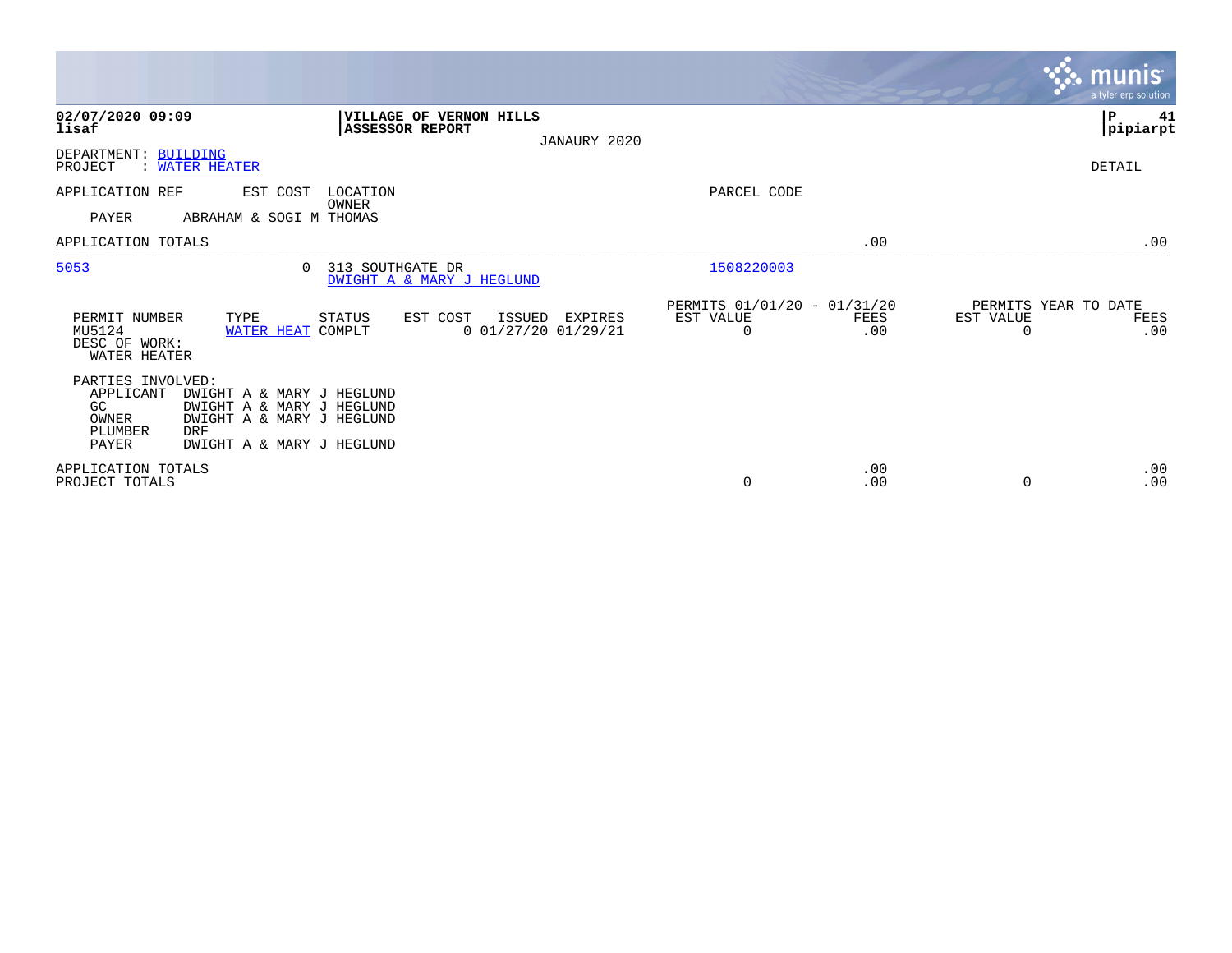|                                                                   |                                                                                                                                |                                                   |                                            |                                               |             |                                        | munis'<br>a tyler erp solution. |
|-------------------------------------------------------------------|--------------------------------------------------------------------------------------------------------------------------------|---------------------------------------------------|--------------------------------------------|-----------------------------------------------|-------------|----------------------------------------|---------------------------------|
| 02/07/2020 09:09<br>lisaf                                         |                                                                                                                                | VILLAGE OF VERNON HILLS<br><b>ASSESSOR REPORT</b> | JANAURY 2020                               |                                               |             |                                        | P<br>41<br> pipiarpt            |
| DEPARTMENT: BUILDING<br>PROJECT                                   | <u>WATER HEATER</u>                                                                                                            |                                                   |                                            |                                               |             |                                        | DETAIL                          |
| APPLICATION REF<br>PAYER                                          | EST COST<br>ABRAHAM & SOGI M THOMAS                                                                                            | LOCATION<br>OWNER                                 |                                            | PARCEL CODE                                   |             |                                        |                                 |
| APPLICATION TOTALS                                                |                                                                                                                                |                                                   |                                            |                                               | .00         |                                        | .00                             |
| 5053                                                              | $\Omega$                                                                                                                       | 313 SOUTHGATE DR<br>DWIGHT A & MARY J HEGLUND     |                                            | 1508220003                                    |             |                                        |                                 |
| PERMIT NUMBER<br>MU5124<br>DESC OF WORK:<br>WATER HEATER          | TYPE<br>WATER HEAT COMPLT                                                                                                      | EST COST<br>STATUS                                | ISSUED<br>EXPIRES<br>$0$ 01/27/20 01/29/21 | PERMITS 01/01/20 - 01/31/20<br>EST VALUE<br>0 | FEES<br>.00 | PERMITS YEAR TO DATE<br>EST VALUE<br>O | FEES<br>.00                     |
| PARTIES INVOLVED:<br>APPLICANT<br>GC<br>OWNER<br>PLUMBER<br>PAYER | DWIGHT A & MARY J HEGLUND<br>DWIGHT A & MARY J HEGLUND<br>DWIGHT A & MARY J HEGLUND<br><b>DRF</b><br>DWIGHT A & MARY J HEGLUND |                                                   |                                            |                                               |             |                                        |                                 |
| APPLICATION TOTALS<br>PROJECT TOTALS                              |                                                                                                                                |                                                   |                                            | 0                                             | .00<br>.00  | $\Omega$                               | .00<br>.00                      |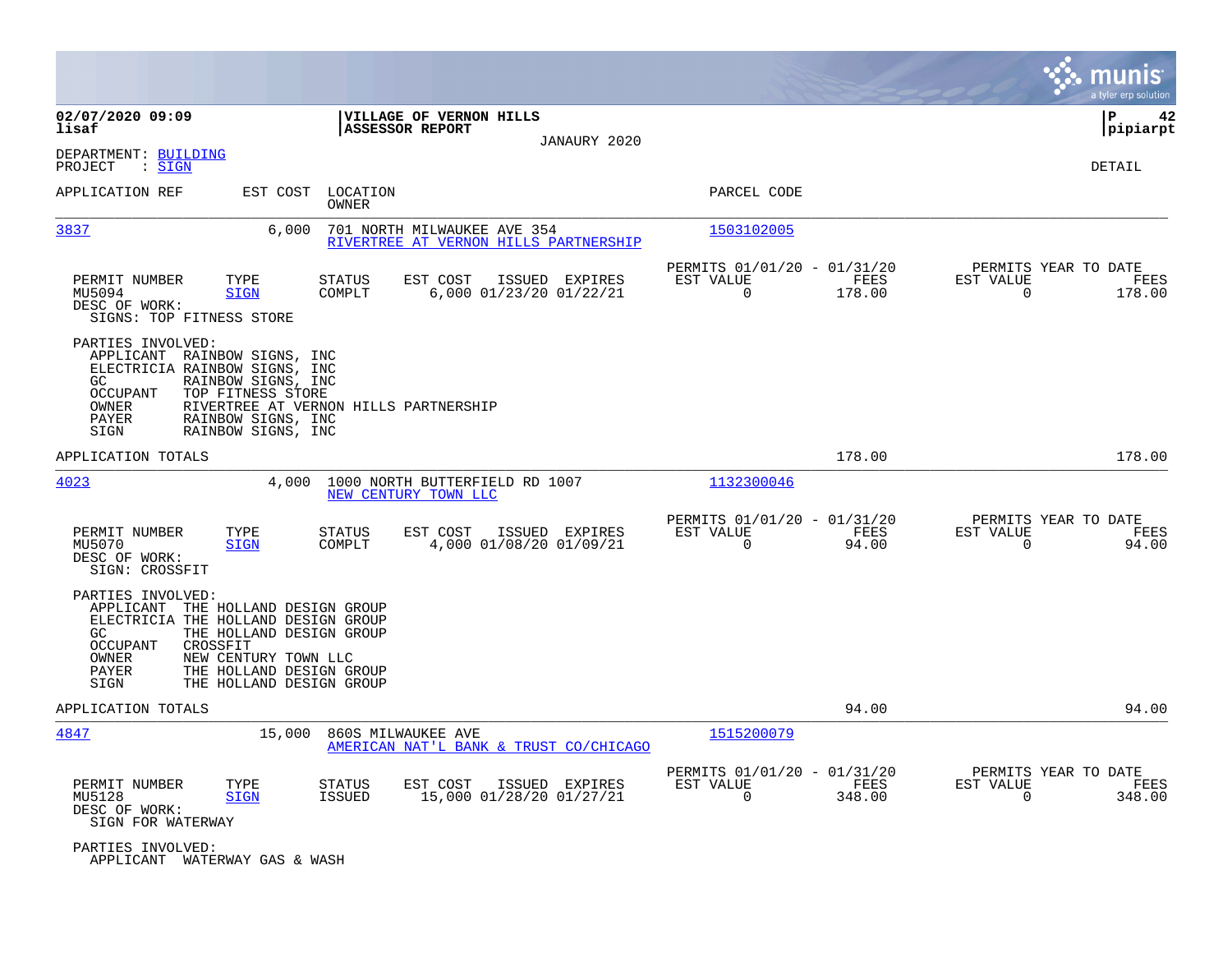|                                                                                                                                                                                                                                                                        |                                                                                   |                                                                          | munis<br>a tyler erp solution                                      |
|------------------------------------------------------------------------------------------------------------------------------------------------------------------------------------------------------------------------------------------------------------------------|-----------------------------------------------------------------------------------|--------------------------------------------------------------------------|--------------------------------------------------------------------|
| 02/07/2020 09:09<br>lisaf                                                                                                                                                                                                                                              | VILLAGE OF VERNON HILLS<br>ASSESSOR REPORT<br>JANAURY 2020                        |                                                                          | ΙP<br>42<br> pipiarpt                                              |
| DEPARTMENT: BUILDING<br>: <u>SIGN</u><br>PROJECT                                                                                                                                                                                                                       |                                                                                   |                                                                          | DETAIL                                                             |
| APPLICATION REF<br>EST COST                                                                                                                                                                                                                                            | LOCATION<br>OWNER                                                                 | PARCEL CODE                                                              |                                                                    |
| 3837<br>6,000                                                                                                                                                                                                                                                          | 701 NORTH MILWAUKEE AVE 354<br>RIVERTREE AT VERNON HILLS PARTNERSHIP              | 1503102005                                                               |                                                                    |
| PERMIT NUMBER<br>TYPE<br>MU5094<br><b>SIGN</b><br>DESC OF WORK:<br>SIGNS: TOP FITNESS STORE                                                                                                                                                                            | <b>STATUS</b><br>EST COST<br>ISSUED EXPIRES<br>COMPLT<br>6,000 01/23/20 01/22/21  | PERMITS 01/01/20 - 01/31/20<br>EST VALUE<br>FEES<br>$\Omega$<br>178.00   | PERMITS YEAR TO DATE<br>EST VALUE<br>FEES<br>$\Omega$<br>178.00    |
| PARTIES INVOLVED:<br>APPLICANT RAINBOW SIGNS, INC<br>ELECTRICIA RAINBOW SIGNS, INC<br>GC.<br>RAINBOW SIGNS, INC<br>OCCUPANT<br>TOP FITNESS STORE<br>OWNER<br>PAYER<br>RAINBOW SIGNS, INC<br>RAINBOW SIGNS, INC<br>SIGN                                                 | RIVERTREE AT VERNON HILLS PARTNERSHIP                                             |                                                                          |                                                                    |
| APPLICATION TOTALS                                                                                                                                                                                                                                                     |                                                                                   | 178.00                                                                   | 178.00                                                             |
| 4023<br>4,000                                                                                                                                                                                                                                                          | 1000 NORTH BUTTERFIELD RD 1007<br>NEW CENTURY TOWN LLC                            | 1132300046                                                               |                                                                    |
| PERMIT NUMBER<br>TYPE<br>MU5070<br><b>SIGN</b><br>DESC OF WORK:<br>SIGN: CROSSFIT                                                                                                                                                                                      | EST COST<br>ISSUED EXPIRES<br>STATUS<br>COMPLT<br>4,000 01/08/20 01/09/21         | PERMITS 01/01/20 - 01/31/20<br>EST VALUE<br>FEES<br>$\mathbf 0$<br>94.00 | PERMITS YEAR TO DATE<br>EST VALUE<br>FEES<br>$\mathbf 0$<br>94.00  |
| PARTIES INVOLVED:<br>APPLICANT<br>THE HOLLAND DESIGN GROUP<br>ELECTRICIA THE HOLLAND DESIGN GROUP<br>GC.<br>THE HOLLAND DESIGN GROUP<br>OCCUPANT<br>CROSSFIT<br>OWNER<br>NEW CENTURY TOWN LLC<br>PAYER<br>THE HOLLAND DESIGN GROUP<br>SIGN<br>THE HOLLAND DESIGN GROUP |                                                                                   |                                                                          |                                                                    |
| APPLICATION TOTALS                                                                                                                                                                                                                                                     |                                                                                   | 94.00                                                                    | 94.00                                                              |
| 4847<br>15,000                                                                                                                                                                                                                                                         | 860S MILWAUKEE AVE<br>AMERICAN NAT'L BANK & TRUST CO/CHICAGO                      | 1515200079                                                               |                                                                    |
| PERMIT NUMBER<br>TYPE<br>MU5128<br><b>SIGN</b><br>DESC OF WORK:<br>SIGN FOR WATERWAY                                                                                                                                                                                   | EST COST<br>ISSUED EXPIRES<br>STATUS<br><b>ISSUED</b><br>15,000 01/28/20 01/27/21 | PERMITS 01/01/20 -<br>01/31/20<br>EST VALUE<br>FEES<br>0<br>348.00       | PERMITS YEAR TO DATE<br>EST VALUE<br>FEES<br>$\mathbf 0$<br>348.00 |
| PARTIES INVOLVED:<br>APPLICANT WATERWAY GAS & WASH                                                                                                                                                                                                                     |                                                                                   |                                                                          |                                                                    |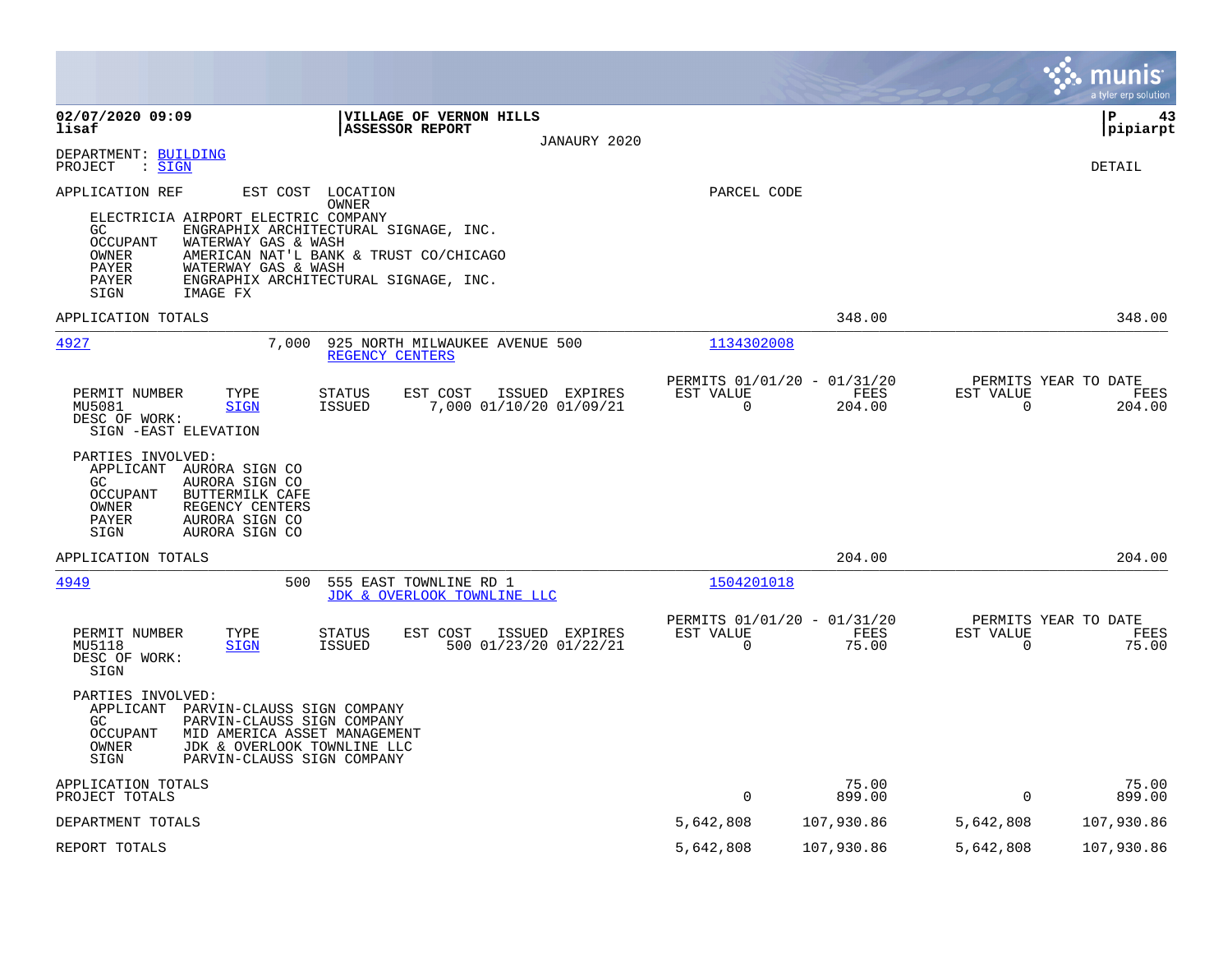|                                                                                                                                                                                                                                                                                                                                            |                          |                                               |                          | munis<br>a tyler erp solution          |
|--------------------------------------------------------------------------------------------------------------------------------------------------------------------------------------------------------------------------------------------------------------------------------------------------------------------------------------------|--------------------------|-----------------------------------------------|--------------------------|----------------------------------------|
| 02/07/2020 09:09<br>VILLAGE OF VERNON HILLS<br>lisaf<br><b>ASSESSOR REPORT</b><br>JANAURY 2020                                                                                                                                                                                                                                             |                          |                                               |                          | l P<br>43<br> pipiarpt                 |
| DEPARTMENT: BUILDING<br>PROJECT<br>: SIGN                                                                                                                                                                                                                                                                                                  |                          |                                               |                          | DETAIL                                 |
| EST COST<br>APPLICATION REF<br>LOCATION<br>OWNER<br>ELECTRICIA AIRPORT ELECTRIC COMPANY<br>ENGRAPHIX ARCHITECTURAL SIGNAGE, INC.<br>GC.<br><b>OCCUPANT</b><br>WATERWAY GAS & WASH<br>AMERICAN NAT'L BANK & TRUST CO/CHICAGO<br>OWNER<br>PAYER<br>WATERWAY GAS & WASH<br>PAYER<br>ENGRAPHIX ARCHITECTURAL SIGNAGE, INC.<br>SIGN<br>IMAGE FX | PARCEL CODE              |                                               |                          |                                        |
| APPLICATION TOTALS                                                                                                                                                                                                                                                                                                                         |                          | 348.00                                        |                          | 348.00                                 |
| 4927<br>7,000<br>925 NORTH MILWAUKEE AVENUE 500<br>REGENCY CENTERS                                                                                                                                                                                                                                                                         | 1134302008               |                                               |                          |                                        |
| PERMIT NUMBER<br>STATUS<br>EST COST<br>ISSUED EXPIRES<br>TYPE<br>7,000 01/10/20 01/09/21<br>MU5081<br><b>SIGN</b><br>ISSUED<br>DESC OF WORK:<br>SIGN - EAST ELEVATION<br>PARTIES INVOLVED:<br>APPLICANT AURORA SIGN CO                                                                                                                     | EST VALUE<br>$\Omega$    | PERMITS 01/01/20 - 01/31/20<br>FEES<br>204.00 | EST VALUE<br>$\Omega$    | PERMITS YEAR TO DATE<br>FEES<br>204.00 |
| GC<br>AURORA SIGN CO<br><b>OCCUPANT</b><br>BUTTERMILK CAFE<br>OWNER<br>REGENCY CENTERS<br>PAYER<br>AURORA SIGN CO<br>SIGN<br>AURORA SIGN CO                                                                                                                                                                                                |                          |                                               |                          |                                        |
| APPLICATION TOTALS                                                                                                                                                                                                                                                                                                                         |                          | 204.00                                        |                          | 204.00                                 |
| 4949<br>500<br>555 EAST TOWNLINE RD 1<br>JDK & OVERLOOK TOWNLINE LLC                                                                                                                                                                                                                                                                       | 1504201018               |                                               |                          |                                        |
| TYPE<br>EST COST<br>PERMIT NUMBER<br>STATUS<br>ISSUED EXPIRES<br>MU5118<br><b>ISSUED</b><br>500 01/23/20 01/22/21<br><b>SIGN</b><br>DESC OF WORK:<br>SIGN                                                                                                                                                                                  | EST VALUE<br>$\mathbf 0$ | PERMITS 01/01/20 - 01/31/20<br>FEES<br>75.00  | EST VALUE<br>$\mathbf 0$ | PERMITS YEAR TO DATE<br>FEES<br>75.00  |
| PARTIES INVOLVED:<br>APPLICANT<br>PARVIN-CLAUSS SIGN COMPANY<br>GC<br>PARVIN-CLAUSS SIGN COMPANY<br><b>OCCUPANT</b><br>MID AMERICA ASSET MANAGEMENT<br>OWNER<br>JDK & OVERLOOK TOWNLINE LLC<br>SIGN<br>PARVIN-CLAUSS SIGN COMPANY                                                                                                          |                          |                                               |                          |                                        |
| APPLICATION TOTALS<br>PROJECT TOTALS                                                                                                                                                                                                                                                                                                       | $\mathbf 0$              | 75.00<br>899.00                               | $\mathbf 0$              | 75.00<br>899.00                        |
| DEPARTMENT TOTALS                                                                                                                                                                                                                                                                                                                          | 5,642,808                | 107,930.86                                    | 5,642,808                | 107,930.86                             |
| REPORT TOTALS                                                                                                                                                                                                                                                                                                                              | 5,642,808                | 107,930.86                                    | 5,642,808                | 107,930.86                             |